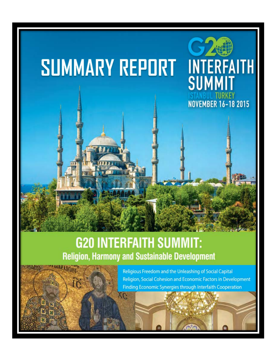

**SUMMIT** 

**ISTANBUL TURKEY<br>NOVEMBER 16-18 2015** 

# **SUMMARY REPORT**

# **G20 INTERFAITH SUMMIT: Religion, Harmony and Sustainable Development**



Religious Freedom and the Unleashing of Social Capital Religion, Social Cohesion and Economic Factors in Development Finding Economic Synergies through Interfaith Cooperation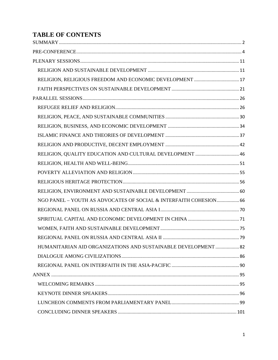# **TABLE OF CONTENTS**

| RELIGION, QUALITY EDUCATION AND CULTURAL DEVELOPMENT  46          |  |
|-------------------------------------------------------------------|--|
|                                                                   |  |
|                                                                   |  |
|                                                                   |  |
|                                                                   |  |
| NGO PANEL - YOUTH AS ADVOCATES OF SOCIAL & INTERFAITH COHESION 66 |  |
|                                                                   |  |
|                                                                   |  |
|                                                                   |  |
|                                                                   |  |
| HUMANITARIAN AID ORGANIZATIONS AND SUSTAINABLE DEVELOPMENT  82    |  |
|                                                                   |  |
|                                                                   |  |
|                                                                   |  |
|                                                                   |  |
|                                                                   |  |
|                                                                   |  |
|                                                                   |  |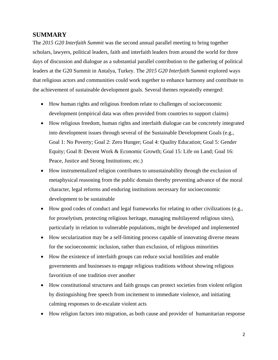## <span id="page-2-0"></span>**SUMMARY**

The *2015 G20 Interfaith Summit* was the second annual parallel meeting to bring together scholars, lawyers, political leaders, faith and interfaith leaders from around the world for three days of discussion and dialogue as a substantial parallel contribution to the gathering of political leaders at the G20 Summit in Antalya, Turkey. The *2015 G20 Interfaith Summit* explored ways that religious actors and communities could work together to enhance harmony and contribute to the achievement of sustainable development goals. Several themes repeatedly emerged:

- How human rights and religious freedom relate to challenges of socioeconomic development (empirical data was often provided from countries to support claims)
- How religious freedom, human rights and interfaith dialogue can be concretely integrated into development issues through several of the Sustainable Development Goals (e.g., Goal 1: No Poverty; Goal 2: Zero Hunger; Goal 4: Quality Education; Goal 5: Gender Equity; Goal 8: Decent Work & Economic Growth; Goal 15: Life on Land; Goal 16: Peace, Justice and Strong Institutions; etc.)
- How instrumentalized religion contributes to unsustainability through the exclusion of metaphysical reasoning from the public domain thereby preventing advance of the moral character, legal reforms and enduring institutions necessary for socioeconomic development to be sustainable
- How good codes of conduct and legal frameworks for relating to other civilizations (e.g., for proselytism, protecting religious heritage, managing multilayered religious sites), particularly in relation to vulnerable populations, might be developed and implemented
- How secularization may be a self-limiting process capable of innovating diverse means for the socioeconomic inclusion, rather than exclusion, of religious minorities
- How the existence of interfaith groups can reduce social hostilities and enable governments and businesses to engage religious traditions without showing religious favoritism of one tradition over another
- How constitutional structures and faith groups can protect societies from violent religion by distinguishing free speech from incitement to immediate violence, and initiating calming responses to de-escalate violent acts
- How religion factors into migration, as both cause and provider of humanitarian response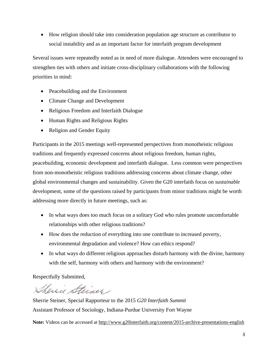• How religion should take into consideration population age structure as contributor to social instability and as an important factor for interfaith program development

Several issues were repeatedly noted as in need of more dialogue. Attendees were encouraged to strengthen ties with others and initiate cross-disciplinary collaborations with the following priorities in mind:

- Peacebuilding and the Environment
- Climate Change and Development
- Religious Freedom and Interfaith Dialogue
- Human Rights and Religious Rights
- Religion and Gender Equity

Participants in the 2015 meetings well-represented perspectives from monotheistic religious traditions and frequently expressed concerns about religious freedom, human rights, peacebuilding, economic development and interfaith dialogue. Less common were perspectives from non-monotheistic religious traditions addressing concerns about climate change, other global environmental changes and sustainability. Given the G20 interfaith focus on *sustainable*  development, some of the questions raised by participants from minor traditions might be worth addressing more directly in future meetings, such as:

- In what ways does too much focus on a solitary God who rules promote uncomfortable relationships with other religious traditions?
- How does the reduction of everything into one contribute to increased poverty, environmental degradation and violence? How can ethics respond?
- In what ways do different religious approaches disturb harmony with the divine, harmony with the self, harmony with others and harmony with the environment?

Respectfully Submitted,

Shewie Steiner

Sherrie Steiner, Special Rapporteur to the 2015 *G20 Interfaith Summit* Assistant Professor of Sociology, Indiana-Purdue University Fort Wayne

**Note:** Videos can be accessed at<http://www.g20interfaith.org/content/2015-archive-presentations-english>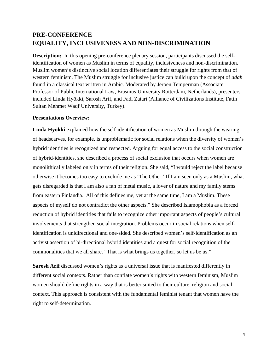# <span id="page-4-0"></span>**PRE-CONFERENCE EQUALITY, INCLUSIVENESS AND NON-DISCRIMINATION**

**Description:** In this opening pre-conference plenary session, participants discussed the selfidentification of women as Muslim in terms of equality, inclusiveness and non-discrimination. Muslim women's distinctive social location differentiates their struggle for rights from that of western feminism. The Muslim struggle for inclusive justice can build upon the concept of *adah* found in a classical text written in Arabic. Moderated by Jeroen Temperman (Associate Professor of Public International Law, Erasmus University Rotterdam, Netherlands), presenters included Linda Hyökki, Sarosh Arif, and Fadi Zatari (Alliance of Civilizations Institute, Fatih Sultan Mehmet Waqf University, Turkey).

#### **Presentations Overview:**

**Linda Hyökki** explained how the self-identification of women as Muslim through the wearing of headscarves, for example, is unproblematic for social relations when the diversity of women's hybrid identities is recognized and respected. Arguing for equal access to the social construction of hybrid-identities, she described a process of social exclusion that occurs when women are monolithically labeled only in terms of their religion. She said, "I would reject the label because otherwise it becomes too easy to exclude me as 'The Other.' If I am seen only as a Muslim, what gets disregarded is that I am also a fan of metal music, a lover of nature and my family stems from eastern Finlandia. All of this defines me, yet at the same time, I am a Muslim. These aspects of myself do not contradict the other aspects." She described Islamophobia as a forced reduction of hybrid identities that fails to recognize other important aspects of people's cultural involvements that strengthen social integration. Problems occur in social relations when selfidentification is unidirectional and one-sided. She described women's self-identification as an activist assertion of bi-directional hybrid identities and a quest for social recognition of the commonalities that we all share. "That is what brings us together, so let us be us."

**Sarosh Arif** discussed women's rights as a universal issue that is manifested differently in different social contexts. Rather than conflate women's rights with western feminism, Muslim women should define rights in a way that is better suited to their culture, religion and social context. This approach is consistent with the fundamental feminist tenant that women have the right to self-determination.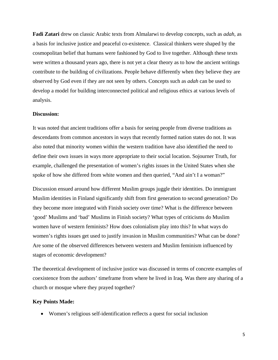**Fadi Zatari** drew on classic Arabic texts from Almalarwi to develop concepts, such as *adah,* as a basis for inclusive justice and peaceful co-existence. Classical thinkers were shaped by the cosmopolitan belief that humans were fashioned by God to live together. Although these texts were written a thousand years ago, there is not yet a clear theory as to how the ancient writings contribute to the building of civilizations. People behave differently when they believe they are observed by God even if they are not seen by others. Concepts such as *adah* can be used to develop a model for building interconnected political and religious ethics at various levels of analysis.

#### **Discussion:**

It was noted that ancient traditions offer a basis for seeing people from diverse traditions as descendants from common ancestors in ways that recently formed nation states do not. It was also noted that minority women within the western tradition have also identified the need to define their own issues in ways more appropriate to their social location. Sojourner Truth, for example, challenged the presentation of women's rights issues in the United States when she spoke of how she differed from white women and then queried, "And ain't I a woman?"

Discussion ensued around how different Muslim groups juggle their identities. Do immigrant Muslim identities in Finland significantly shift from first generation to second generation? Do they become more integrated with Finish society over time? What is the difference between 'good' Muslims and 'bad' Muslims in Finish society? What types of criticisms do Muslim women have of western feminists? How does colonialism play into this? In what ways do women's rights issues get used to justify invasion in Muslim communities? What can be done? Are some of the observed differences between western and Muslim feminism influenced by stages of economic development?

The theoretical development of inclusive justice was discussed in terms of concrete examples of coexistence from the authors' timeframe from where he lived in Iraq. Was there any sharing of a church or mosque where they prayed together?

#### **Key Points Made:**

• Women's religious self-identification reflects a quest for social inclusion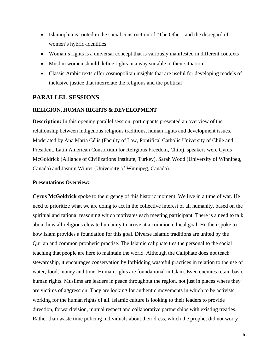- Islamophia is rooted in the social construction of "The Other" and the disregard of women's hybrid-identities
- Woman's rights is a universal concept that is variously manifested in different contexts
- Muslim women should define rights in a way suitable to their situation
- Classic Arabic texts offer cosmopolitan insights that are useful for developing models of inclusive justice that interrelate the religious and the political

### **PARALLEL SESSIONS**

#### **RELIGION, HUMAN RIGHTS & DEVELOPMENT**

**Description:** In this opening parallel session, participants presented an overview of the relationship between indigenous religious traditions, human rights and development issues. Moderated by Ana María Célis (Faculty of Law, Pontifical Catholic University of Chile and President, Latin American Consortium for Religious Freedom, Chile), speakers were Cyrus McGoldrick (Alliance of Civilizations Institute, Turkey), Sarah Wood (University of Winnipeg, Canada) and Jasmin Winter (University of Winnipeg, Canada).

#### **Presentations Overview:**

**Cyrus McGoldrick** spoke to the urgency of this historic moment. We live in a time of war. He need to prioritize what we are doing to act in the collective interest of all humanity, based on the spiritual and rational reasoning which motivates each meeting participant. There is a need to talk about how all religions elevate humanity to arrive at a common ethical goal. He then spoke to how Islam provides a foundation for this goal. Diverse Islamic traditions are united by the Qur'an and common prophetic practise. The Islamic caliphate ties the personal to the social teaching that people are here to maintain the world. Although the Caliphate does not teach stewardship, it encourages conservation by forbidding wasteful practices in relation to the use of water, food, money and time. Human rights are foundational in Islam. Even enemies retain basic human rights. Muslims are leaders in peace throughout the region, not just in places where they are victims of aggression. They are looking for authentic movements in which to be activists working for the human rights of all. Islamic culture is looking to their leaders to provide direction, forward vision, mutual respect and collaborative partnerships with existing treaties. Rather than waste time policing individuals about their dress, which the prophet did not worry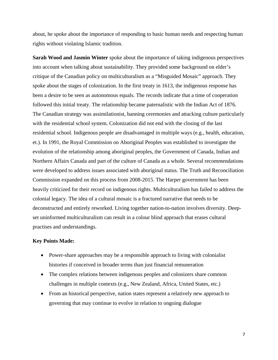about, he spoke about the importance of responding to basic human needs and respecting human rights without violating Islamic tradition.

**Sarah Wood and Jasmin Winter** spoke about the importance of taking indigenous perspectives into account when talking about sustainability. They provided some background on elder's critique of the Canadian policy on multiculturalism as a "Misguided Mosaic" approach. They spoke about the stages of colonization. In the first treaty in 1613, the indigenous response has been a desire to be seen as autonomous equals. The records indicate that a time of cooperation followed this initial treaty. The relationship became paternalistic with the Indian Act of 1876. The Canadian strategy was assimilationist, banning ceremonies and attacking culture particularly with the residential school system. Colonization did not end with the closing of the last residential school. Indigenous people are disadvantaged in multiple ways (e.g., health, education, et.). In 1991, the Royal Commission on Aboriginal Peoples was established to investigate the evolution of the relationship among aboriginal peoples, the Government of Canada, Indian and Northern Affairs Canada and part of the culture of Canada as a whole. Several recommendations were developed to address issues associated with aboriginal status. The Truth and Reconciliation Commission expanded on this process from 2008-2015. The Harper government has been heavily criticized for their record on indigenous rights. Multiculturalism has failed to address the colonial legacy. The idea of a cultural mosaic is a fractured narrative that needs to be deconstructed and entirely reworked. Living together nation-to-nation involves diversity. Deepset uninformed multiculturalism can result in a colour blind approach that erases cultural practises and understandings.

#### **Key Points Made:**

- Power-share approaches may be a responsible approach to living with colonialist histories if conceived in broader terms than just financial remuneration
- The complex relations between indigenous peoples and colonizers share common challenges in multiple contexts (e.g., New Zealand, Africa, United States, etc.)
- From an historical perspective, nation states represent a relatively new approach to governing that may continue to evolve in relation to ongoing dialogue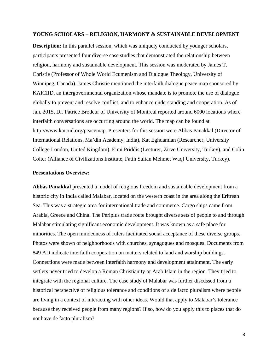#### **YOUNG SCHOLARS – RELIGION, HARMONY & SUSTAINABLE DEVELOPMENT**

**Description:** In this parallel session, which was uniquely conducted by younger scholars, participants presented four diverse case studies that demonstrated the relationship between religion, harmony and sustainable development. This session was moderated by James T. Christie (Professor of Whole World Ecumenism and Dialogue Theology, University of Winnipeg, Canada). James Christie mentioned the interfaith dialogue peace map sponsored by KAICIID, an intergovernmental organization whose mandate is to promote the use of dialogue globally to prevent and resolve conflict, and to enhance understanding and cooperation. As of Jan. 2015, Dr. Patrice Brodeur of University of Montreal reported around 6000 locations where interfaith conversations are occurring around the world. The map can be found at [http://www.kaiciid.org/peacemap.](http://www.kaiciid.org/peacemap) Presenters for this session were Abbas Panakkal (Director of International Relations, Ma'din Academy, India), Kat Eghdamian (Researcher, University College London, United Kingdom), Eimi Priddis (Lecturer, Zirve University, Turkey), and Colin Colter (Alliance of Civilizations Institute, Fatih Sultan Mehmet Waqf University, Turkey).

#### **Presentations Overview:**

**Abbas Panakkal** presented a model of religious freedom and sustainable development from a historic city in India called Malabar, located on the western coast in the area along the Eritrean Sea. This was a strategic area for international trade and commerce. Cargo ships came from Arabia, Greece and China. The Periplus trade route brought diverse sets of people to and through Malabar stimulating significant economic development. It was known as a safe place for minorities. The open mindedness of rulers facilitated social acceptance of these diverse groups. Photos were shown of neighborhoods with churches, synagogues and mosques. Documents from 849 AD indicate interfaith cooperation on matters related to land and worship buildings. Connections were made between interfaith harmony and development attainment. The early settlers never tried to develop a Roman Christianity or Arab Islam in the region. They tried to integrate with the regional culture. The case study of Malabar was further discussed from a historical perspective of religious tolerance and conditions of a de facto pluralism where people are living in a context of interacting with other ideas. Would that apply to Malabar's tolerance because they received people from many regions? If so, how do you apply this to places that do not have de facto pluralism?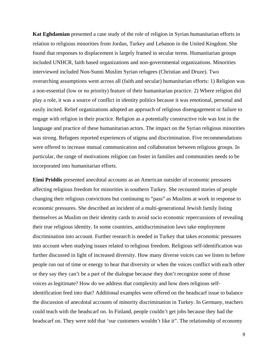**Kat Eghdamian** presented a case study of the role of religion in Syrian humanitarian efforts in relation to religious minorities from Jordan, Turkey and Lebanon in the United Kingdom. She found that responses to displacement is largely framed in secular terms. Humanitarian groups included UNHCR, faith based organizations and non-governmental organizations. Minorities interviewed included Non-Sunni Muslim Syrian refugees (Christian and Druze). Two overarching assumptions went across all (faith and secular) humanitarian efforts: 1) Religion was a non-essential (low or no priority) feature of their humanitarian practice. 2) Where religion did play a role, it was a source of conflict in identity politics because it was emotional, personal and easily incited. Relief organizations adopted an approach of religious disengagement or failure to engage with religion in their practice. Religion as a potentially constructive role was lost in the language and practice of these humanitarian actors. The impact on the Syrian religious minorities was strong. Refugees reported experiences of stigma and discrimination. Five recommendations were offered to increase mutual communication and collaboration between religious groups. In particular, the range of motivations religion can foster in families and communities needs to be incorporated into humanitarian efforts.

**Eimi Priddis** presented anecdotal accounts as an American outsider of economic pressures affecting religious freedom for minorities in southern Turkey. She recounted stories of people changing their religious convictions but continuing to "pass" as Muslims at work in response to economic pressures. She described an incident of a multi-generational Jewish family listing themselves as Muslim on their identity cards to avoid socio economic repercussions of revealing their true religious identity. In some countries, antidiscrimination laws take employment discrimination into account. Further research is needed in Turkey that takes economic pressures into account when studying issues related to religious freedom. Religious self-identification was further discussed in light of increased diversity. How many diverse voices can we listen to before people run out of time or energy to hear that diversity or when the voices conflict with each other or they say they can't be a part of the dialogue because they don't recognize some of those voices as legitimate? How do we address that complexity and how does religious selfidentification feed into that? Additional examples were offered on the headscarf issue to balance the discussion of anecdotal accounts of minority discrimination in Turkey. In Germany, teachers could teach with the headscarf on. In Finland, people couldn't get jobs because they had the headscarf on. They were told that 'our customers wouldn't like it". The relationship of economy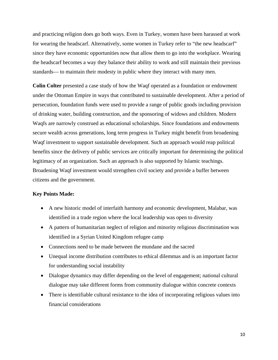and practicing religion does go both ways. Even in Turkey, women have been harassed at work for wearing the headscarf. Alternatively, some women in Turkey refer to "the new headscarf" since they have economic opportunities now that allow them to go into the workplace. Wearing the headscarf becomes a way they balance their ability to work and still maintain their previous standards— to maintain their modesty in public where they interact with many men.

**Colin Colter** presented a case study of how the Waqf operated as a foundation or endowment under the Ottoman Empire in ways that contributed to sustainable development. After a period of persecution, foundation funds were used to provide a range of public goods including provision of drinking water, building construction, and the sponsoring of widows and children. Modern Waqfs are narrowly construed as educational scholarships. Since foundations and endowments secure wealth across generations, long term progress in Turkey might benefit from broadening Waqf investment to support sustainable development. Such an approach would reap political benefits since the delivery of public services are critically important for determining the political legitimacy of an organization. Such an approach is also supported by Islamic teachings. Broadening Waqf investment would strengthen civil society and provide a buffer between citizens and the government.

#### **Key Points Made:**

- A new historic model of interfaith harmony and economic development, Malabar, was identified in a trade region where the local leadership was open to diversity
- A pattern of humanitarian neglect of religion and minority religious discrimination was identified in a Syrian United Kingdom refugee camp
- Connections need to be made between the mundane and the sacred
- Unequal income distribution contributes to ethical dilemmas and is an important factor for understanding social instability
- Dialogue dynamics may differ depending on the level of engagement; national cultural dialogue may take different forms from community dialogue within concrete contexts
- There is identifiable cultural resistance to the idea of incorporating religious values into financial considerations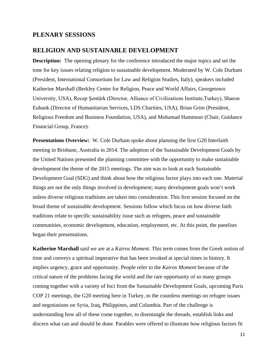#### <span id="page-11-0"></span>**PLENARY SESSIONS**

#### <span id="page-11-1"></span>**RELIGION AND SUSTAINABLE DEVELOPMENT**

**Description:** The opening plenary for the conference introduced the major topics and set the tone for key issues relating religion to sustainable development. Moderated by W. Cole Durham (President, International Consortium for Law and Religion Studies, Italy), speakers included Katherine Marshall (Berkley Center for Religion, Peace and World Affairs, Georgetown University, USA), Recep Şentürk (Director, Alliance of Civilizations Institute,Turkey), Sharon Eubank (Director of Humanitarian Services, LDS Charities, USA), Brian Grim (President, Religious Freedom and Business Foundation, USA), and Mohamad Hammour (Chair, Guidance Financial Group, France).

**Presentations Overview:** W. Cole Durham spoke about planning the first G20 Interfaith meeting in Brisbane, Australia in 2014. The adoption of the Sustainable Development Goals by the United Nations presented the planning committee with the opportunity to make sustainable development the theme of the 2015 meetings. The aim was to look at each Sustainable Development Goal (SDG) and think about how the religious factor plays into each one. Material things are not the only things involved in development; many development goals won't work unless diverse religious traditions are taken into consideration. This first session focused on the broad theme of sustainable development. Sessions follow which focus on how diverse faith traditions relate to specific sustainability issue such as refugees, peace and sustainable communities, economic development, education, employment, etc. At this point, the panelists began their presentations.

**Katherine Marshall** said we are at a *Kairos Moment*. This term comes from the Greek notion of time and conveys a spiritual imperative that has been invoked at special times in history. It implies urgency, grace and opportunity. People refer to the *Kairos Moment* because of the critical nature of the problems facing the world and the rare opportunity of so many groups coming together with a variety of foci from the Sustainable Development Goals, upcoming Paris COP 21 meetings, the G20 meeting here in Turkey, to the countless meetings on refugee issues and negotiations on Syria, Iraq, Philippines, and Columbia. Part of the challenge is understanding how all of these come together, to disentangle the threads, establish links and discern what can and should be done. Parables were offered to illustrate how religious factors fit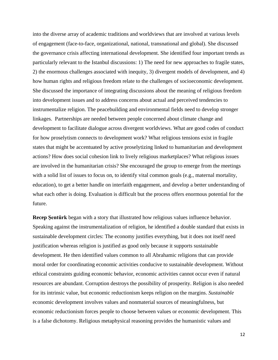into the diverse array of academic traditions and worldviews that are involved at various levels of engagement (face-to-face, organizational, national, transnational and global). She discussed the governance crisis affecting international development. She identified four important trends as particularly relevant to the Istanbul discussions: 1) The need for new approaches to fragile states, 2) the enormous challenges associated with inequity, 3) divergent models of development, and 4) how human rights and religious freedom relate to the challenges of socioeconomic development. She discussed the importance of integrating discussions about the meaning of religious freedom into development issues and to address concerns about actual and perceived tendencies to instrumentalize religion. The peacebuilding and environmental fields need to develop stronger linkages. Partnerships are needed between people concerned about climate change and development to facilitate dialogue across divergent worldviews. What are good codes of conduct for how proselytism connects to development work? What religious tensions exist in fragile states that might be accentuated by active proselytizing linked to humanitarian and development actions? How does social cohesion link to lively religious marketplaces? What religious issues are involved in the humanitarian crisis? She encouraged the group to emerge from the meetings with a solid list of issues to focus on, to identify vital common goals (e.g., maternal mortality, education), to get a better handle on interfaith engagement, and develop a better understanding of what each other is doing. Evaluation is difficult but the process offers enormous potential for the future.

**Recep Şentürk** began with a story that illustrated how religious values influence behavior. Speaking against the instrumentalization of religion, he identified a double standard that exists in sustainable development circles: The economy justifies everything, but it does not itself need justification whereas religion is justified as good only because it supports sustainable development. He then identified values common to all Abrahamic religions that can provide moral order for coordinating economic activities conducive to sustainable development. Without ethical constraints guiding economic behavior, economic activities cannot occur even if natural resources are abundant. Corruption destroys the possibility of prosperity. Religion is also needed for its intrinsic value, but economic reductionism keeps religion on the margins. *Sustainable*  economic development involves values and nonmaterial sources of meaningfulness, but economic reductionism forces people to choose between values or economic development. This is a false dichotomy. Religious metaphysical reasoning provides the humanistic values and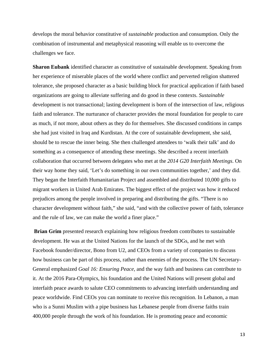develops the moral behavior constitutive of *sustainable* production and consumption. Only the combination of instrumental and metaphysical reasoning will enable us to overcome the challenges we face.

**Sharon Eubank** identified character as constitutive of sustainable development. Speaking from her experience of miserable places of the world where conflict and perverted religion shattered tolerance, she proposed character as a basic building block for practical application if faith based organizations are going to alleviate suffering and do good in these contexts. *Sustainable* development is not transactional; lasting development is born of the intersection of law, religious faith and tolerance. The nurturance of character provides the moral foundation for people to care as much, if not more, about others as they do for themselves. She discussed conditions in camps she had just visited in Iraq and Kurdistan. At the core of sustainable development, she said, should be to rescue the inner being. She then challenged attendees to 'walk their talk' and do something as a consequence of attending these meetings. She described a recent interfaith collaboration that occurred between delegates who met at the *2014 G20 Interfaith Meetings*. On their way home they said, 'Let's do something in our own communities together,' and they did. They began the Interfaith Humanitarian Project and assembled and distributed 10,000 gifts to migrant workers in United Arab Emirates. The biggest effect of the project was how it reduced prejudices among the people involved in preparing and distributing the gifts. "There is no character development without faith," she said, "and with the collective power of faith, tolerance and the rule of law, we can make the world a finer place."

**Brian Grim** presented research explaining how religious freedom contributes to sustainable development. He was at the United Nations for the launch of the SDGs, and he met with Facebook founder/director, Bono from U2, and CEOs from a variety of companies to discuss how business can be part of this process, rather than enemies of the process. The UN Secretary-General emphasized *Goal 16: Ensuring Peace,* and the way faith and business can contribute to it. At the 2016 Para-Olympics, his foundation and the United Nations will present global and interfaith peace awards to salute CEO commitments to advancing interfaith understanding and peace worldwide. Find CEOs you can nominate to receive this recognition. In Lebanon, a man who is a Sunni Muslim with a pipe business has Lebanese people from diverse faiths train 400,000 people through the work of his foundation. He is promoting peace and economic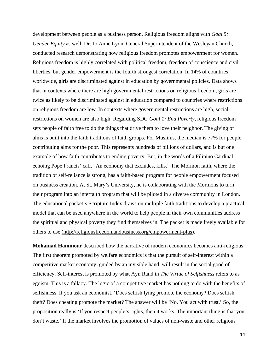development between people as a business person. Religious freedom aligns with *Goal 5: Gender Equity* as well. Dr. Jo Anne Lyon, General Superintendent of the Wesleyan Church, conducted research demonstrating how religious freedom promotes empowerment for women. Religious freedom is highly correlated with political freedom, freedom of conscience and civil liberties, but gender empowerment is the fourth strongest correlation. In 14% of countries worldwide, girls are discriminated against in education by governmental policies. Data shows that in contexts where there are high governmental restrictions on religious freedom, girls are twice as likely to be discriminated against in education compared to countries where restrictions on religious freedom are low. In contexts where governmental restrictions are high, social restrictions on women are also high. Regarding SDG *Goal 1: End Poverty*, religious freedom sets people of faith free to do the things that drive them to love their neighbor. The giving of alms is built into the faith traditions of faith groups. For Muslims, the median is 77% for people contributing alms for the poor. This represents hundreds of billions of dollars, and is but one example of how faith contributes to ending poverty. But, in the words of a Filipino Cardinal echoing Pope Francis' call, "An economy that excludes, kills." The Mormon faith, where the tradition of self-reliance is strong, has a faith-based program for people empowerment focused on business creation. At St. Mary's University, he is collaborating with the Mormons to turn their program into an interfaith program that will be piloted in a diverse community in London. The educational packet's Scripture Index draws on multiple faith traditions to develop a practical model that can be used anywhere in the world to help people in their own communities address the spiritual and physical poverty they find themselves in. The packet is made freely available for others to use (http://religiousfreedomandbusiness.org/empowerment-plus).

**Mohamad Hammour** described how the narrative of modern economics becomes anti-religious. The first theorem promoted by welfare economics is that the pursuit of self-interest within a competitive market economy, guided by an invisible hand, will result in the social good of efficiency. Self-interest is promoted by what Ayn Rand in *The Virtue of Selfishness* refers to as egoism. This is a fallacy. The logic of a competitive market has nothing to do with the benefits of selfishness. If you ask an economist, 'Does selfish lying promote the economy? Does selfish theft? Does cheating promote the market? The answer will be 'No. You act with trust.' So, the proposition really is 'If you respect people's rights, then it works. The important thing is that you don't waste.' If the market involves the promotion of values of non-waste and other religious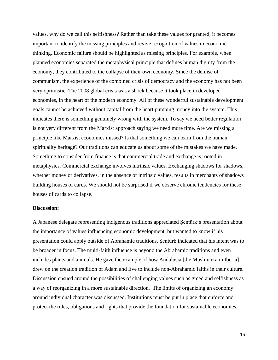values, why do we call this selfishness? Rather than take these values for granted, it becomes important to identify the missing principles and revive recognition of values in economic thinking. Economic failure should be highlighted as missing principles. For example, when planned economies separated the metaphysical principle that defines human dignity from the economy, they contributed to the collapse of their own economy. Since the demise of communism, the experience of the combined crisis of democracy and the economy has not been very optimistic. The 2008 global crisis was a shock because it took place in developed economies, in the heart of the modern economy. All of these wonderful sustainable development goals cannot be achieved without capital from the heart pumping money into the system. This indicates there is something genuinely wrong with the system. To say we need better regulation is not very different from the Marxist approach saying we need more time. Are we missing a principle like Marxist economics missed? Is that something we can learn from the human spirituality heritage? Our traditions can educate us about some of the mistakes we have made. Something to consider from finance is that commercial trade and exchange is rooted in metaphysics. Commercial exchange involves intrinsic values. Exchanging shadows for shadows, whether money or derivatives, in the absence of intrinsic values, results in merchants of shadows building houses of cards. We should not be surprised if we observe chronic tendencies for these houses of cards to collapse.

#### **Discussion:**

A Japanese delegate representing indigenous traditions appreciated Şentürk's presentation about the importance of values influencing economic development, but wanted to know if his presentation could apply outside of Abrahamic traditions. Şentürk indicated that his intent was to be broader in focus. The multi-faith influence is beyond the Abrahamic traditions and even includes plants and animals. He gave the example of how Andalusia [the Muslim era in Iberia] drew on the creation tradition of Adam and Eve to include non-Abrahamic faiths in their culture. Discussion ensued around the possibilities of challenging values such as greed and selfishness as a way of reorganizing in a more sustainable direction. The limits of organizing an economy around individual character was discussed. Institutions must be put in place that enforce and protect the rules, obligations and rights that provide the foundation for sustainable economies.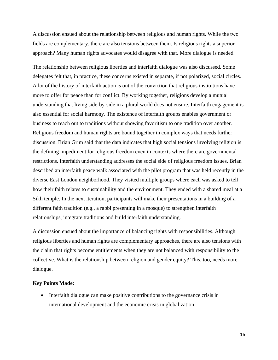A discussion ensued about the relationship between religious and human rights. While the two fields are complementary, there are also tensions between them. Is religious rights a superior approach? Many human rights advocates would disagree with that. More dialogue is needed.

The relationship between religious liberties and interfaith dialogue was also discussed. Some delegates felt that, in practice, these concerns existed in separate, if not polarized, social circles. A lot of the history of interfaith action is out of the conviction that religious institutions have more to offer for peace than for conflict. By working together, religions develop a mutual understanding that living side-by-side in a plural world does not ensure. Interfaith engagement is also essential for social harmony. The existence of interfaith groups enables government or business to reach out to traditions without showing favoritism to one tradition over another. Religious freedom and human rights are bound together in complex ways that needs further discussion. Brian Grim said that the data indicates that high social tensions involving religion is the defining impediment for religious freedom even in contexts where there are governmental restrictions. Interfaith understanding addresses the social side of religious freedom issues. Brian described an interfaith peace walk associated with the pilot program that was held recently in the diverse East London neighborhood. They visited multiple groups where each was asked to tell how their faith relates to sustainability and the environment. They ended with a shared meal at a Sikh temple. In the next iteration, participants will make their presentations in a building of a different faith tradition (e.g., a rabbi presenting in a mosque) to strengthen interfaith relationships, integrate traditions and build interfaith understanding.

A discussion ensued about the importance of balancing rights with responsibilities. Although religious liberties and human rights are complementary approaches, there are also tensions with the claim that rights become entitlements when they are not balanced with responsibility to the collective. What is the relationship between religion and gender equity? This, too, needs more dialogue.

#### **Key Points Made:**

• Interfaith dialogue can make positive contributions to the governance crisis in international development and the economic crisis in globalization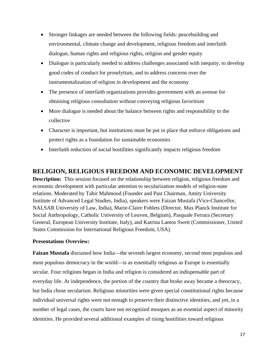- Stronger linkages are needed between the following fields: peacebuilding and environmental, climate change and development, religious freedom and interfaith dialogue, human rights and religious rights, religion and gender equity
- Dialogue is particularly needed to address challenges associated with inequity, to develop good codes of conduct for proselytism, and to address concerns over the instrumentalization of religion in development and the economy
- The presence of interfaith organizations provides government with an avenue for obtaining religious consultation without conveying religious favoritism
- More dialogue is needed about the balance between rights and responsibility to the collective
- Character is important, but institutions must be put in place that enforce obligations and protect rights as a foundation for sustainable economies
- Interfaith reduction of social hostilities significantly impacts religious freedom

# <span id="page-17-0"></span>**RELIGION, RELIGIOUS FREEDOM AND ECONOMIC DEVELOPMENT**

**Description:** This session focused on the relationship between religion, religious freedom and economic development with particular attention to secularization models of religion-state relations. Moderated by Tahir Mahmood (Founder and Past Chairman, Amity University Institute of Advanced Legal Studies, India), speakers were Faizan Mustafa (Vice-Chancellor, NALSAR University of Law, India), Marie-Claire Foblets (Director, Max Planck Institute for Social Anthropology, Catholic University of Leuven, Belgium), Pasquale Ferrara (Secretary General, European University Institute, Italy), and Katrina Lantos Swett (Commissioner, United States Commission for International Religious Freedom, USA).

#### **Presentations Overview:**

**Faizan Mustafa** discussed how India—the seventh largest economy, second most populous and most populous democracy in the world—is as essentially religious as Europe is essentially secular. Four religions began in India and religion is considered an indispensable part of everyday life. At independence, the portion of the country that broke away became a theocracy, but India chose secularism. Religious minorities were given special constitutional rights because individual universal rights were not enough to preserve their distinctive identities, and yet, in a number of legal cases, the courts have not recognized mosques as an essential aspect of minority identities. He provided several additional examples of rising hostilities toward religious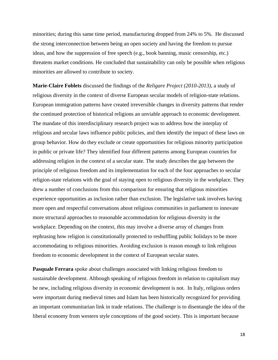minorities; during this same time period, manufacturing dropped from 24% to 5%. He discussed the strong interconnection between being an open society and having the freedom to pursue ideas, and how the suppression of free speech (e.g., book banning, music censorship, etc.) threatens market conditions. He concluded that sustainability can only be possible when religious minorities are allowed to contribute to society.

**Marie-Claire Foblets** discussed the findings of the *Religare Project (2010-2013),* a study of religious diversity in the context of diverse European secular models of religion-state relations. European immigration patterns have created irreversible changes in diversity patterns that render the continued protection of historical religions an unviable approach to economic development. The mandate of this interdisciplinary research project was to address how the interplay of religious and secular laws influence public policies, and then identify the impact of these laws on group behavior. How do they exclude or create opportunities for religious minority participation in public or private life? They identified four different patterns among European countries for addressing religion in the context of a secular state. The study describes the gap between the principle of religious freedom and its implementation for each of the four approaches to secular religion-state relations with the goal of staying open to religious diversity in the workplace. They drew a number of conclusions from this comparison for ensuring that religious minorities experience opportunities as inclusion rather than exclusion. The legislative task involves having more open and respectful conversations about religious communities in parliament to innovate more structural approaches to reasonable accommodation for religious diversity in the workplace. Depending on the context, this may involve a diverse array of changes from rephrasing how religion is constitutionally protected to reshuffling public holidays to be more accommodating to religious minorities. Avoiding exclusion is reason enough to link religious freedom to economic development in the context of European secular states.

**Pasquale Ferrara** spoke about challenges associated with linking religious freedom to sustainable development. Although speaking of religious freedom in relation to capitalism may be new, including religious diversity in economic development is not. In Italy, religious orders were important during medieval times and Islam has been historically recognized for providing an important communitarian link in trade relations. The challenge is to disentangle the idea of the liberal economy from western style conceptions of the good society. This is important because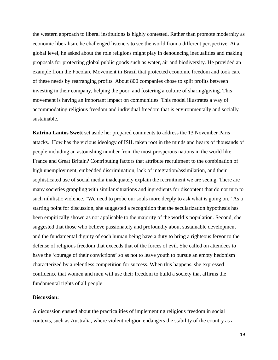the western approach to liberal institutions is highly contested. Rather than promote modernity as economic liberalism, he challenged listeners to see the world from a different perspective. At a global level, he asked about the role religions might play in denouncing inequalities and making proposals for protecting global public goods such as water, air and biodiversity. He provided an example from the Focolare Movement in Brazil that protected economic freedom and took care of these needs by rearranging profits. About 800 companies chose to split profits between investing in their company, helping the poor, and fostering a culture of sharing/giving. This movement is having an important impact on communities. This model illustrates a way of accommodating religious freedom and individual freedom that is environmentally and socially sustainable.

**Katrina Lantos Swett** set aside her prepared comments to address the 13 November Paris attacks. How has the vicious ideology of ISIL taken root in the minds and hearts of thousands of people including an astonishing number from the most prosperous nations in the world like France and Great Britain? Contributing factors that attribute recruitment to the combination of high unemployment, embedded discrimination, lack of integration/assimilation, and their sophisticated use of social media inadequately explain the recruitment we are seeing. There are many societies grappling with similar situations and ingredients for discontent that do not turn to such nihilistic violence. "We need to probe our souls more deeply to ask what is going on." As a starting point for discussion, she suggested a recognition that the secularization hypothesis has been empirically shown as not applicable to the majority of the world's population. Second, she suggested that those who believe passionately and profoundly about sustainable development and the fundamental dignity of each human being have a duty to bring a righteous fervor to the defense of religious freedom that exceeds that of the forces of evil. She called on attendees to have the 'courage of their convictions' so as not to leave youth to pursue an empty hedonism characterized by a relentless competition for success. When this happens, she expressed confidence that women and men will use their freedom to build a society that affirms the fundamental rights of all people.

#### **Discussion:**

A discussion ensued about the practicalities of implementing religious freedom in social contexts, such as Australia, where violent religion endangers the stability of the country as a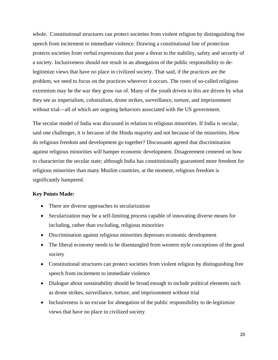whole. Constitutional structures can protect societies from violent religion by distinguishing free speech from incitement to immediate violence. Drawing a constitutional line of protection protects societies from verbal expressions that pose a threat to the stability, safety and security of a society. Inclusiveness should not result in an abnegation of the public responsibility to delegitimize views that have no place in civilized society. That said, if the practices are the problem, we need to focus on the practices wherever it occurs. The roots of so-called religious extremism may be the war they grow out of. Many of the youth driven to this are driven by what they see as imperialism, colonialism, drone strikes, surveillance, torture, and imprisonment without trial—all of which are ongoing behaviors associated with the US government.

The secular model of India was discussed in relation to religious minorities. If India is secular, said one challenger, it is because of the Hindu majority and not because of the minorities. How do religious freedom and development go together? Discussants agreed that discrimination against religious minorities will hamper economic development. Disagreement centered on how to characterize the secular state; although India has constitutionally guaranteed more freedom for religious minorities than many Muslim countries, at the moment, religious freedom is significantly hampered.

#### **Key Points Made:**

- There are diverse approaches to secularization
- Secularization may be a self-limiting process capable of innovating diverse means for including, rather than excluding, religious minorities
- Discrimination against religious minorities depresses economic development
- The liberal economy needs to be disentangled from western style conceptions of the good society
- Constitutional structures can protect societies from violent religion by distinguishing free speech from incitement to immediate violence
- Dialogue about sustainability should be broad enough to include political elements such as drone strikes, surveillance, torture, and imprisonment without trial
- Inclusiveness is no excuse for abnegation of the public responsibility to de-legitimize views that have no place in civilized society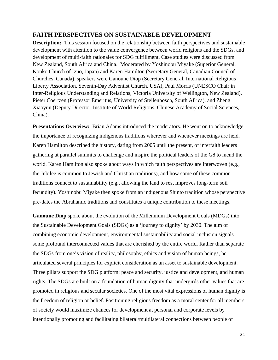# <span id="page-21-0"></span>**FAITH PERSPECTIVES ON SUSTAINABLE DEVELOPMENT**

**Description:** This session focused on the relationship between faith perspectives and sustainable development with attention to the value convergence between world religions and the SDGs, and development of multi-faith rationales for SDG fulfillment. Case studies were discussed from New Zealand, South Africa and China. Moderated by Yoshinobu Miyake (Superior General, Konko Church of Izuo, Japan) and Karen Hamilton (Secretary General, Canadian Council of Churches, Canada), speakers were Ganoune Diop (Secretary General, International Religious Liberty Association, Seventh-Day Adventist Church, USA), Paul Morris (UNESCO Chair in Inter-Religious Understanding and Relations, Victoria University of Wellington, New Zealand), Pieter Coertzen (Professor Emeritus, University of Stellenbosch, South Africa), and Zheng Xiaoyun (Deputy Director, Institute of World Religions, Chinese Academy of Social Sciences, China).

**Presentations Overview:** Brian Adams introduced the moderators. He went on to acknowledge the importance of recognizing indigenous traditions wherever and whenever meetings are held. Karen Hamilton described the history, dating from 2005 until the present, of interfaith leaders gathering at parallel summits to challenge and inspire the political leaders of the G8 to mend the world. Karen Hamilton also spoke about ways in which faith perspectives are interwoven (e.g., the Jubilee is common to Jewish and Christian traditions), and how some of these common traditions connect to sustainability (e.g., allowing the land to rest improves long-term soil fecundity). Yoshinobu Miyake then spoke from an indigenous Shinto tradition whose perspective pre-dates the Abrahamic traditions and constitutes a unique contribution to these meetings.

**Ganoune Diop** spoke about the evolution of the Millennium Development Goals (MDGs) into the Sustainable Development Goals (SDGs) as a 'journey to dignity' by 2030. The aim of combining economic development, environmental sustainability and social inclusion signals some profound interconnected values that are cherished by the entire world. Rather than separate the SDGs from one's vision of reality, philosophy, ethics and vision of human beings, he articulated several principles for explicit consideration as an asset to sustainable development. Three pillars support the SDG platform: peace and security, justice and development, and human rights. The SDGs are built on a foundation of human dignity that undergirds other values that are promoted in religious and secular societies. One of the most vital expressions of human dignity is the freedom of religion or belief. Positioning religious freedom as a moral center for all members of society would maximize chances for development at personal and corporate levels by intentionally promoting and facilitating bilateral/multilateral connections between people of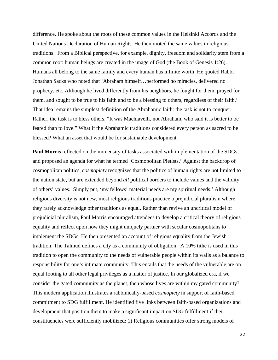difference. He spoke about the roots of these common values in the Helsinki Accords and the United Nations Declaration of Human Rights. He then rooted the same values in religious traditions. From a Biblical perspective, for example, dignity, freedom and solidarity stem from a common root: human beings are created in the image of God (the Book of Genesis 1:26). Humans all belong to the same family and every human has infinite worth. He quoted Rabbi Jonathan Sacks who noted that 'Abraham himself…performed no miracles, delivered no prophecy, etc. Although he lived differently from his neighbors, he fought for them, prayed for them, and sought to be true to his faith and to be a blessing to others, regardless of their faith.' That idea remains the simplest definition of the Abrahamic faith: the task is not to conquer. Rather, the task is to bless others. "It was Machiavelli, not Abraham, who said it is better to be feared than to love." What if the Abrahamic traditions considered every person as sacred to be blessed? What an asset that would be for sustainable development.

**Paul Morris** reflected on the immensity of tasks associated with implementation of the SDGs, and proposed an agenda for what he termed 'Cosmopolitan Pietists.' Against the backdrop of cosmopolitan politics, *cosmopiety* recognizes that the politics of human rights are not limited to the nation state, but are extended beyond *all* political borders to include values and the validity of others' values. Simply put, 'my fellows' material needs are my spiritual needs.' Although religious diversity is not new, most religious traditions practice a prejudicial pluralism where they rarely acknowledge other traditions as equal. Rather than revive an uncritical model of prejudicial pluralism, Paul Morris encouraged attendees to develop a critical theory of religious equality and reflect upon how they might uniquely partner with secular cosmopolitans to implement the SDGs. He then presented an account of religious equality from the Jewish tradition. The Talmud defines a city as a community of obligation. A 10% tithe is used in this tradition to open the community to the needs of vulnerable people within its walls as a balance to responsibility for one's intimate community. This entails that the needs of the vulnerable are on equal footing to all other legal privileges as a matter of justice. In our globalized era, if we consider the gated community as the planet, then whose lives are within my gated community? This modern application illustrates a rabbinically-based *cosmopiety* in support of faith-based commitment to SDG fulfillment. He identified five links between faith-based organizations and development that position them to make a significant impact on SDG fulfillment if their constituencies were sufficiently mobilized: 1) Religious communities offer strong models of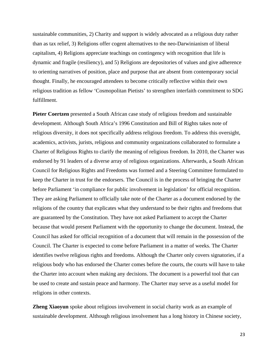sustainable communities, 2) Charity and support is widely advocated as a religious duty rather than as tax relief, 3) Religions offer cogent alternatives to the neo-Darwinianism of liberal capitalism, 4) Religions appreciate teachings on contingency with recognition that life is dynamic and fragile (resiliency), and 5) Religions are depositories of values and give adherence to orienting narratives of position, place and purpose that are absent from contemporary social thought. Finally, he encouraged attendees to become critically reflective within their own religious tradition as fellow 'Cosmopolitan Pietists' to strengthen interfaith commitment to SDG fulfillment.

**Pieter Coertzen** presented a South African case study of religious freedom and sustainable development. Although South Africa's 1996 Constitution and Bill of Rights takes note of religious diversity, it does not specifically address religious freedom. To address this oversight, academics, activists, jurists, religious and community organizations collaborated to formulate a Charter of Religious Rights to clarify the meaning of religious freedom. In 2010, the Charter was endorsed by 91 leaders of a diverse array of religious organizations. Afterwards, a South African Council for Religious Rights and Freedoms was formed and a Steering Committee formulated to keep the Charter in trust for the endorsers. The Council is in the process of bringing the Charter before Parliament 'in compliance for public involvement in legislation' for official recognition. They are asking Parliament to officially take note of the Charter as a document endorsed by the religions of the country that explicates what they understand to be their rights and freedoms that are guaranteed by the Constitution. They have not asked Parliament to accept the Charter because that would present Parliament with the opportunity to change the document. Instead, the Council has asked for official recognition of a document that will remain in the possession of the Council. The Charter is expected to come before Parliament in a matter of weeks. The Charter identifies twelve religious rights and freedoms. Although the Charter only covers signatories, if a religious body who has endorsed the Charter comes before the courts, the courts will have to take the Charter into account when making any decisions. The document is a powerful tool that can be used to create and sustain peace and harmony. The Charter may serve as a useful model for religions in other contexts.

**Zheng Xiaoyun** spoke about religious involvement in social charity work as an example of sustainable development. Although religious involvement has a long history in Chinese society,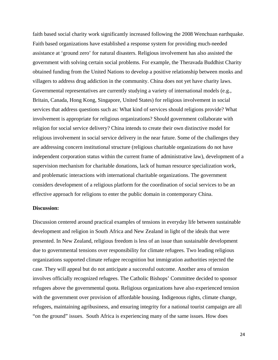faith based social charity work significantly increased following the 2008 Wenchuan earthquake. Faith based organizations have established a response system for providing much-needed assistance at 'ground zero' for natural disasters. Religious involvement has also assisted the government with solving certain social problems. For example, the Theravada Buddhist Charity obtained funding from the United Nations to develop a positive relationship between monks and villagers to address drug addiction in the community. China does not yet have charity laws. Governmental representatives are currently studying a variety of international models (e.g., Britain, Canada, Hong Kong, Singapore, United States) for religious involvement in social services that address questions such as: What kind of services should religions provide? What involvement is appropriate for religious organizations? Should government collaborate with religion for social service delivery? China intends to create their own distinctive model for religious involvement in social service delivery in the near future. Some of the challenges they are addressing concern institutional structure (religious charitable organizations do not have independent corporation status within the current frame of administrative law), development of a supervision mechanism for charitable donations, lack of human resource specialization work, and problematic interactions with international charitable organizations. The government considers development of a religious platform for the coordination of social services to be an effective approach for religions to enter the public domain in contemporary China.

#### **Discussion:**

Discussion centered around practical examples of tensions in everyday life between sustainable development and religion in South Africa and New Zealand in light of the ideals that were presented. In New Zealand, religious freedom is less of an issue than sustainable development due to governmental tensions over responsibility for climate refugees. Two leading religious organizations supported climate refugee recognition but immigration authorities rejected the case. They will appeal but do not anticipate a successful outcome. Another area of tension involves officially recognized refugees. The Catholic Bishops' Committee decided to sponsor refugees above the governmental quota. Religious organizations have also experienced tension with the government over provision of affordable housing. Indigenous rights, climate change, refugees, maintaining agribusiness, and ensuring integrity for a national tourist campaign are all "on the ground" issues. South Africa is experiencing many of the same issues. How does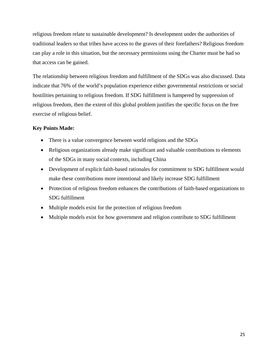religious freedom relate to sustainable development? Is development under the authorities of traditional leaders so that tribes have access to the graves of their forefathers? Religious freedom can play a role in this situation, but the necessary permissions using the Charter must be had so that access can be gained.

The relationship between religious freedom and fulfillment of the SDGs was also discussed. Data indicate that 76% of the world's population experience either governmental restrictions or social hostilities pertaining to religious freedom. If SDG fulfillment is hampered by suppression of religious freedom, then the extent of this global problem justifies the specific focus on the free exercise of religious belief.

#### **Key Points Made:**

- There is a value convergence between world religions and the SDGs
- Religious organizations already make significant and valuable contributions to elements of the SDGs in many social contexts, including China
- Development of explicit faith-based rationales for commitment to SDG fulfillment would make these contributions more intentional and likely increase SDG fulfillment
- Protection of religious freedom enhances the contributions of faith-based organizations to SDG fulfillment
- Multiple models exist for the protection of religious freedom
- Multiple models exist for how government and religion contribute to SDG fulfillment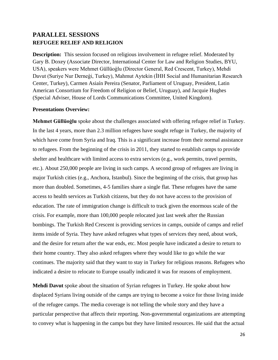# <span id="page-26-1"></span><span id="page-26-0"></span>**PARALLEL SESSIONS REFUGEE RELIEF AND RELIGION**

**Description:** This session focused on religious involvement in refugee relief. Moderated by Gary B. Doxey (Associate Director, International Center for Law and Religion Studies, BYU, USA), speakers were Mehmet Güllüoģlu (Director General, Red Crescent, Turkey), Mehdi Davut (Suriye Nur Derneģi, Turkey), Mahmut Aytekin (İHH Social and Humanitarian Research Center, Turkey), Carmen Asiaín Pereira (Senator, Parliament of Uruguay, President, Latin American Consortium for Freedom of Religion or Belief, Uruguay), and Jacquie Hughes (Special Adviser, House of Lords Communications Committee, United Kingdom).

#### **Presentations Overview:**

**Mehmet Güllüoģlu** spoke about the challenges associated with offering refugee relief in Turkey. In the last 4 years, more than 2.3 million refugees have sought refuge in Turkey, the majority of which have come from Syria and Iraq. This is a significant increase from their normal assistance to refugees. From the beginning of the crisis in 2011, they started to establish camps to provide shelter and healthcare with limited access to extra services (e.g., work permits, travel permits, etc.). About 250,000 people are living in such camps. A second group of refugees are living in major Turkish cities (e.g., Anchora, Istanbul). Since the beginning of the crisis, that group has more than doubled. Sometimes, 4-5 families share a single flat. These refugees have the same access to health services as Turkish citizens, but they do not have access to the provision of education. The rate of immigration change is difficult to track given the enormous scale of the crisis. For example, more than 100,000 people relocated just last week after the Russian bombings. The Turkish Red Crescent is providing services in camps, outside of camps and relief items inside of Syria. They have asked refugees what types of services they need, about work, and the desire for return after the war ends, etc. Most people have indicated a desire to return to their home country. They also asked refugees where they would like to go while the war continues. The majority said that they want to stay in Turkey for religious reasons. Refugees who indicated a desire to relocate to Europe usually indicated it was for reasons of employment.

**Mehdi Davut** spoke about the situation of Syrian refugees in Turkey. He spoke about how displaced Syrians living outside of the camps are trying to become a voice for those living inside of the refugee camps. The media coverage is not telling the whole story and they have a particular perspective that affects their reporting. Non-governmental organizations are attempting to convey what is happening in the camps but they have limited resources. He said that the actual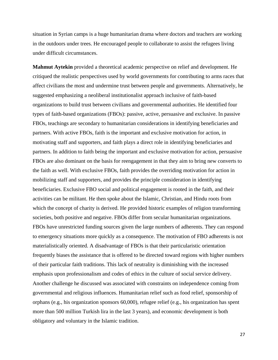situation in Syrian camps is a huge humanitarian drama where doctors and teachers are working in the outdoors under trees. He encouraged people to collaborate to assist the refugees living under difficult circumstances.

**Mahmut Aytekin** provided a theoretical academic perspective on relief and development. He critiqued the realistic perspectives used by world governments for contributing to arms races that affect civilians the most and undermine trust between people and governments. Alternatively, he suggested emphasizing a neoliberal institutionalist approach inclusive of faith-based organizations to build trust between civilians and governmental authorities. He identified four types of faith-based organizations (FBOs): passive, active, persuasive and exclusive. In passive FBOs, teachings are secondary to humanitarian considerations in identifying beneficiaries and partners. With active FBOs, faith is the important and exclusive motivation for action, in motivating staff and supporters, and faith plays a direct role in identifying beneficiaries and partners. In addition to faith being the important and exclusive motivation for action, persuasive FBOs are also dominant on the basis for reengagement in that they aim to bring new converts to the faith as well. With exclusive FBOs, faith provides the overriding motivation for action in mobilizing staff and supporters, and provides the principle consideration in identifying beneficiaries. Exclusive FBO social and political engagement is rooted in the faith, and their activities can be militant. He then spoke about the Islamic, Christian, and Hindu roots from which the concept of charity is derived. He provided historic examples of religion transforming societies, both positive and negative. FBOs differ from secular humanitarian organizations. FBOs have unrestricted funding sources given the large numbers of adherents. They can respond to emergency situations more quickly as a consequence. The motivation of FBO adherents is not materialistically oriented. A disadvantage of FBOs is that their particularistic orientation frequently biases the assistance that is offered to be directed toward regions with higher numbers of their particular faith traditions. This lack of neutrality is diminishing with the increased emphasis upon professionalism and codes of ethics in the culture of social service delivery. Another challenge he discussed was associated with constraints on independence coming from governmental and religious influences. Humanitarian relief such as food relief, sponsorship of orphans (e.g., his organization sponsors 60,000), refugee relief (e.g., his organization has spent more than 500 million Turkish lira in the last 3 years), and economic development is both obligatory and voluntary in the Islamic tradition.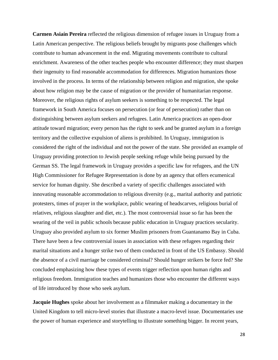**Carmen Asiaín Pereira** reflected the religious dimension of refugee issues in Uruguay from a Latin American perspective. The religious beliefs brought by migrants pose challenges which contribute to human advancement in the end. Migrating movements contribute to cultural enrichment. Awareness of the other teaches people who encounter difference; they must sharpen their ingenuity to find reasonable accommodation for differences. Migration humanizes those involved in the process. In terms of the relationship between religion and migration, she spoke about how religion may be the cause of migration or the provider of humanitarian response. Moreover, the religious rights of asylum seekers is something to be respected. The legal framework in South America focuses on persecution (or fear of persecution) rather than on distinguishing between asylum seekers and refugees. Latin America practices an open-door attitude toward migration; every person has the right to seek and be granted asylum in a foreign territory and the collective expulsion of aliens is prohibited. In Uruguay, immigration is considered the right of the individual and not the power of the state. She provided an example of Uruguay providing protection to Jewish people seeking refuge while being pursued by the German SS. The legal framework in Uruguay provides a specific law for refugees, and the UN High Commissioner for Refugee Representation is done by an agency that offers ecumenical service for human dignity. She described a variety of specific challenges associated with innovating reasonable accommodation to religious diversity (e.g., marital authority and patriotic protesters, times of prayer in the workplace, public wearing of headscarves, religious burial of relatives, religious slaughter and diet, etc.). The most controversial issue so far has been the wearing of the veil in public schools because public education in Uruguay practices secularity. Uruguay also provided asylum to six former Muslim prisoners from Guantanamo Bay in Cuba. There have been a few controversial issues in association with these refugees regarding their marital situations and a hunger strike two of them conducted in front of the US Embassy. Should the absence of a civil marriage be considered criminal? Should hunger strikers be force fed? She concluded emphasizing how these types of events trigger reflection upon human rights and religious freedom. Immigration teaches and humanizes those who encounter the different ways of life introduced by those who seek asylum.

**Jacquie Hughes** spoke about her involvement as a filmmaker making a documentary in the United Kingdom to tell micro-level stories that illustrate a macro-level issue. Documentaries use the power of human experience and storytelling to illustrate something bigger. In recent years,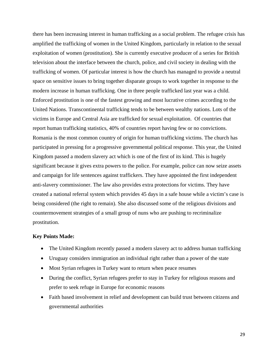there has been increasing interest in human trafficking as a social problem. The refugee crisis has amplified the trafficking of women in the United Kingdom, particularly in relation to the sexual exploitation of women (prostitution). She is currently executive producer of a series for British television about the interface between the church, police, and civil society in dealing with the trafficking of women. Of particular interest is how the church has managed to provide a neutral space on sensitive issues to bring together disparate groups to work together in response to the modern increase in human trafficking. One in three people trafficked last year was a child. Enforced prostitution is one of the fastest growing and most lucrative crimes according to the United Nations. Transcontinental trafficking tends to be between wealthy nations. Lots of the victims in Europe and Central Asia are trafficked for sexual exploitation. Of countries that report human trafficking statistics, 40% of countries report having few or no convictions. Romania is the most common country of origin for human trafficking victims. The church has participated in pressing for a progressive governmental political response. This year, the United Kingdom passed a modern slavery act which is one of the first of its kind. This is hugely significant because it gives extra powers to the police. For example, police can now seize assets and campaign for life sentences against traffickers. They have appointed the first independent anti-slavery commissioner. The law also provides extra protections for victims. They have created a national referral system which provides 45 days in a safe house while a victim's case is being considered (the right to remain). She also discussed some of the religious divisions and countermovement strategies of a small group of nuns who are pushing to recriminalize prostitution.

#### **Key Points Made:**

- The United Kingdom recently passed a modern slavery act to address human trafficking
- Uruguay considers immigration an individual right rather than a power of the state
- Most Syrian refugees in Turkey want to return when peace resumes
- During the conflict, Syrian refugees prefer to stay in Turkey for religious reasons and prefer to seek refuge in Europe for economic reasons
- Faith based involvement in relief and development can build trust between citizens and governmental authorities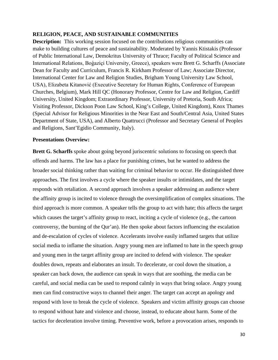#### <span id="page-30-0"></span>**RELIGION, PEACE, AND SUSTAINABLE COMMUNITIES**

**Description:** This working session focused on the contributions religious communities can make to building cultures of peace and sustainability. Moderated by Yannis Ktistakis (Professor of Public International Law, Demokritus University of Thrace; Faculty of Political Science and International Relations, Boģaziçi University, Greece), speakers were Brett G. Scharffs (Associate Dean for Faculty and Curriculum, Francis R. Kirkham Professor of Law; Associate Director, International Center for Law and Religion Studies, Brigham Young University Law School, USA), Elizabeta Kitanović (Executive Secretary for Human Rights, Conference of European Churches, Belgium), Mark Hill QC (Honorary Professor, Centre for Law and Religion, Cardiff University, United Kingdom; Extraordinary Professor, University of Pretoria, South Africa; Visiting Professor, Dickson Poon Law School, King's College, United Kingdom), Knox Thames (Special Advisor for Religious Minorities in the Near East and South/Central Asia, United States Department of State, USA), and Alberto Quattrucci (Professor and Secretary General of Peoples and Religions, Sant'Egidio Community, Italy).

#### **Presentations Overview:**

**Brett G. Scharffs** spoke about going beyond juriscentric solutions to focusing on speech that offends and harms. The law has a place for punishing crimes, but he wanted to address the broader social thinking rather than waiting for criminal behavior to occur. He distinguished three approaches. The first involves a cycle where the speaker insults or intimidates, and the target responds with retaliation. A second approach involves a speaker addressing an audience where the affinity group is incited to violence through the oversimplification of complex situations. The third approach is more common. A speaker tells the group to act with hate; this affects the target which causes the target's affinity group to react, inciting a cycle of violence (e.g., the cartoon controversy, the burning of the Qur'an). He then spoke about factors influencing the escalation and de-escalation of cycles of violence. Accelerants involve easily inflamed targets that utilize social media to inflame the situation. Angry young men are inflamed to hate in the speech group and young men in the target affinity group are incited to defend with violence. The speaker doubles down, repeats and elaborates an insult. To decelerate, or cool down the situation, a speaker can back down, the audience can speak in ways that are soothing, the media can be careful, and social media can be used to respond calmly in ways that bring solace. Angry young men can find constructive ways to channel their anger. The target can accept an apology and respond with love to break the cycle of violence. Speakers and victim affinity groups can choose to respond without hate and violence and choose, instead, to educate about harm. Some of the tactics for deceleration involve timing. Preventive work, before a provocation arises, responds to

30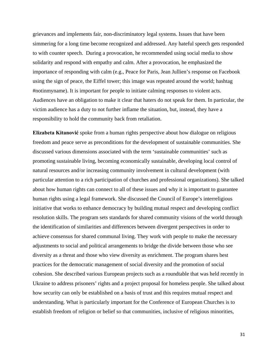grievances and implements fair, non-discriminatory legal systems. Issues that have been simmering for a long time become recognized and addressed. Any hateful speech gets responded to with counter speech. During a provocation, he recommended using social media to show solidarity and respond with empathy and calm. After a provocation, he emphasized the importance of responding with calm (e.g., Peace for Paris, Jean Jullien's response on Facebook using the sign of peace, the Eiffel tower; this image was repeated around the world; hashtag #notinmyname). It is important for people to initiate calming responses to violent acts. Audiences have an obligation to make it clear that haters do not speak for them. In particular, the victim audience has a duty to not further inflame the situation, but, instead, they have a responsibility to hold the community back from retaliation.

**Elizabeta Kitanović** spoke from a human rights perspective about how dialogue on religious freedom and peace serve as preconditions for the development of sustainable communities. She discussed various dimensions associated with the term 'sustainable communities' such as promoting sustainable living, becoming economically sustainable, developing local control of natural resources and/or increasing community involvement in cultural development (with particular attention to a rich participation of churches and professional organizations). She talked about how human rights can connect to all of these issues and why it is important to guarantee human rights using a legal framework. She discussed the Council of Europe's interreligious initiative that works to enhance democracy by building mutual respect and developing conflict resolution skills. The program sets standards for shared community visions of the world through the identification of similarities and differences between divergent perspectives in order to achieve consensus for shared communal living. They work with people to make the necessary adjustments to social and political arrangements to bridge the divide between those who see diversity as a threat and those who view diversity as enrichment. The program shares best practices for the democratic management of social diversity and the promotion of social cohesion. She described various European projects such as a roundtable that was held recently in Ukraine to address prisoners' rights and a project proposal for homeless people. She talked about how security can only be established on a basis of trust and this requires mutual respect and understanding. What is particularly important for the Conference of European Churches is to establish freedom of religion or belief so that communities, inclusive of religious minorities,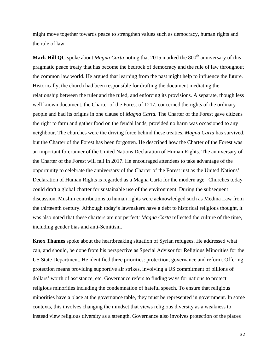might move together towards peace to strengthen values such as democracy, human rights and the rule of law.

**Mark Hill QC** spoke about *Magna Carta* noting that 2015 marked the 800<sup>th</sup> anniversary of this pragmatic peace treaty that has become the bedrock of democracy and the rule of law throughout the common law world. He argued that learning from the past might help to influence the future. Historically, the church had been responsible for drafting the document mediating the relationship between the ruler and the ruled, and enforcing its provisions. A separate, though less well known document, the Charter of the Forest of 1217, concerned the rights of the ordinary people and had its origins in one clause of *Magna Carta.* The Charter of the Forest gave citizens the right to farm and gather food on the feudal lands, provided no harm was occasioned to any neighbour. The churches were the driving force behind these treaties. *Magna Carta* has survived, but the Charter of the Forest has been forgotten. He described how the Charter of the Forest was an important forerunner of the United Nations Declaration of Human Rights. The anniversary of the Charter of the Forest will fall in 2017. He encouraged attendees to take advantage of the opportunity to celebrate the anniversary of the Charter of the Forest just as the United Nations' Declaration of Human Rights is regarded as a Magna Carta for the modern age. Churches today could draft a global charter for sustainable use of the environment. During the subsequent discussion, Muslim contributions to human rights were acknowledged such as Medina Law from the thirteenth century. Although today's lawmakers have a debt to historical religious thought, it was also noted that these charters are not perfect*; Magna Carta* reflected the culture of the time, including gender bias and anti-Semitism.

**Knox Thames** spoke about the heartbreaking situation of Syrian refugees. He addressed what can, and should, be done from his perspective as Special Advisor for Religious Minorities for the US State Department. He identified three priorities: protection, governance and reform. Offering protection means providing supportive air strikes, involving a US commitment of billions of dollars' worth of assistance, etc. Governance refers to finding ways for nations to protect religious minorities including the condemnation of hateful speech. To ensure that religious minorities have a place at the governance table, they must be represented in government. In some contexts, this involves changing the mindset that views religious diversity as a weakness to instead view religious diversity as a strength. Governance also involves protection of the places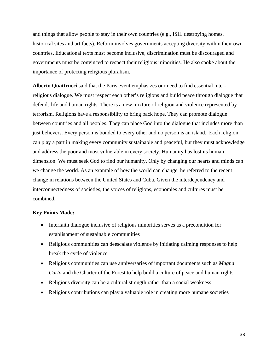and things that allow people to stay in their own countries (e.g., ISIL destroying homes, historical sites and artifacts). Reform involves governments accepting diversity within their own countries. Educational texts must become inclusive, discrimination must be discouraged and governments must be convinced to respect their religious minorities. He also spoke about the importance of protecting religious pluralism.

**Alberto Quattrucci** said that the Paris event emphasizes our need to find essential interreligious dialogue. We must respect each other's religions and build peace through dialogue that defends life and human rights. There is a new mixture of religion and violence represented by terrorism. Religions have a responsibility to bring back hope. They can promote dialogue between countries and all peoples. They can place God into the dialogue that includes more than just believers. Every person is bonded to every other and no person is an island. Each religion can play a part in making every community sustainable and peaceful, but they must acknowledge and address the poor and most vulnerable in every society. Humanity has lost its human dimension. We must seek God to find our humanity. Only by changing our hearts and minds can we change the world. As an example of how the world can change, he referred to the recent change in relations between the United States and Cuba. Given the interdependency and interconnectedness of societies, the voices of religions, economies and cultures must be combined.

#### **Key Points Made:**

- Interfaith dialogue inclusive of religious minorities serves as a precondition for establishment of sustainable communities
- Religious communities can deescalate violence by initiating calming responses to help break the cycle of violence
- Religious communities can use anniversaries of important documents such as *Magna Carta* and the Charter of the Forest to help build a culture of peace and human rights
- Religious diversity can be a cultural strength rather than a social weakness
- Religious contributions can play a valuable role in creating more humane societies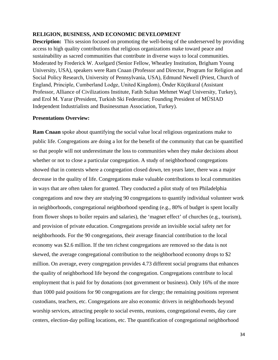#### <span id="page-34-0"></span>**RELIGION, BUSINESS, AND ECONOMIC DEVELOPMENT**

**Description:** This session focused on promoting the well-being of the underserved by providing access to high quality contributions that religious organizations make toward peace and sustainability as sacred communities that contribute in diverse ways to local communities. Moderated by Frederick W. Axelgard (Senior Fellow, Wheatley Institution, Brigham Young University, USA), speakers were Ram Cnaan (Professor and Director, Program for Religion and Social Policy Research, University of Pennsylvania, USA), Edmund Newell (Priest, Church of England, Principle, Cumberland Lodge, United Kingdom), Ӧnder Küçükural (Assistant Professor, Alliance of Civilizations Institute, Fatih Sultan Mehmet Waqf University, Turkey), and Erol M. Yarar (President, Turkish Ski Federation; Founding President of MÜSIAD Independent Industrialists and Businessman Association, Turkey).

#### **Presentations Overview:**

**Ram Cnaan** spoke about quantifying the social value local religious organizations make to public life. Congregations are doing a lot for the benefit of the community that can be quantified so that people will not underestimate the loss to communities when they make decisions about whether or not to close a particular congregation. A study of neighborhood congregations showed that in contexts where a congregation closed down, ten years later, there was a major decrease in the quality of life. Congregations make valuable contributions to local communities in ways that are often taken for granted. They conducted a pilot study of ten Philadelphia congregations and now they are studying 90 congregations to quantify individual volunteer work in neighborhoods, congregational neighborhood spending (e.g., 80% of budget is spent locally from flower shops to boiler repairs and salaries), the 'magnet effect' of churches (e.g., tourism), and provision of private education. Congregations provide an invisible social safety net for neighborhoods. For the 90 congregations, their average financial contribution to the local economy was \$2.6 million. If the ten richest congregations are removed so the data is not skewed, the average congregational contribution to the neighborhood economy drops to \$2 million. On average, every congregation provides 4.73 different social programs that enhances the quality of neighborhood life beyond the congregation. Congregations contribute to local employment that is paid for by donations (not government or business). Only 16% of the more than 1000 paid positions for 90 congregations are for clergy; the remaining positions represent custodians, teachers, etc. Congregations are also economic drivers in neighborhoods beyond worship services, attracting people to social events, reunions, congregational events, day care centers, election-day polling locations, etc. The quantification of congregational neighborhood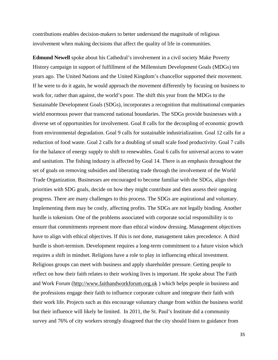contributions enables decision-makers to better understand the magnitude of religious involvement when making decisions that affect the quality of life in communities.

**Edmund Newell** spoke about his Cathedral's involvement in a civil society Make Poverty History campaign in support of fulfillment of the Millennium Development Goals (MDGs) ten years ago. The United Nations and the United Kingdom's chancellor supported their movement. If he were to do it again, he would approach the movement differently by focusing on business to work for, rather than against, the world's poor. The shift this year from the MDGs to the Sustainable Development Goals (SDGs), incorporates a recognition that multinational companies wield enormous power that transcend national boundaries. The SDGs provide businesses with a diverse set of opportunities for involvement. Goal 8 calls for the decoupling of economic growth from environmental degradation. Goal 9 calls for sustainable industrialization. Goal 12 calls for a reduction of food waste. Goal 2 calls for a doubling of small scale food productivity. Goal 7 calls for the balance of energy supply to shift to renewables. Goal 6 calls for universal access to water and sanitation. The fishing industry is affected by Goal 14. There is an emphasis throughout the set of goals on removing subsidies and liberating trade through the involvement of the World Trade Organization. Businesses are encouraged to become familiar with the SDGs, align their priorities with SDG goals, decide on how they might contribute and then assess their ongoing progress. There are many challenges to this process. The SDGs are aspirational and voluntary. Implementing them may be costly, affecting profits. The SDGs are not legally binding. Another hurdle is tokenism. One of the problems associated with corporate social responsibility is to ensure that commitments represent more than ethical window dressing. Management objectives have to align with ethical objectives. If this is not done, management takes precedence. A third hurdle is short-termism. Development requires a long-term commitment to a future vision which requires a shift in mindset. Religions have a role to play in influencing ethical investment. Religious groups can meet with business and apply shareholder pressure. Getting people to reflect on how their faith relates to their working lives is important. He spoke about The Faith and Work Forum [\(http://www.faithandworkforum.org.uk](http://www.faithandworkforum.org.uk/) ) which helps people in business and the professions engage their faith to influence corporate culture and integrate their faith with their work life. Projects such as this encourage voluntary change from within the business world but their influence will likely be limited. In 2011, the St. Paul's Institute did a community survey and 76% of city workers strongly disagreed that the city should listen to guidance from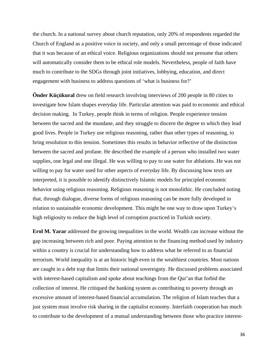the church. In a national survey about church reputation, only 20% of respondents regarded the Church of England as a positive voice in society, and only a small percentage of those indicated that it was because of an ethical voice. Religious organizations should not presume that others will automatically consider them to be ethical role models. Nevertheless, people of faith have much to contribute to the SDGs through joint initiatives, lobbying, education, and direct engagement with business to address questions of 'what is business for?'

**Önder Küçükural** drew on field research involving interviews of 200 people in 80 cities to investigate how Islam shapes everyday life. Particular attention was paid to economic and ethical decision making. In Turkey, people think in terms of religion. People experience tension between the sacred and the mundane, and they struggle to discern the degree to which they lead good lives. People in Turkey use religious reasoning, rather than other types of reasoning, to bring resolution to this tension. Sometimes this results in behavior reflective of the distinction between the sacred and profane. He described the example of a person who installed two water supplies, one legal and one illegal. He was willing to pay to use water for ablutions. He was not willing to pay for water used for other aspects of everyday life. By discussing how texts are interpreted, it is possible to identify distinctively Islamic models for principled economic behavior using religious reasoning. Religious reasoning is not monolithic. He concluded noting that, through dialogue, diverse forms of religious reasoning can be more fully developed in relation to sustainable economic development. This might be one way to draw upon Turkey's high religiosity to reduce the high level of corruption practiced in Turkish society.

**Erol M. Yarar** addressed the growing inequalities in the world. Wealth can increase without the gap increasing between rich and poor. Paying attention to the financing method used by industry within a country is crucial for understanding how to address what he referred to as financial terrorism. World inequality is at an historic high even in the wealthiest countries. Most nations are caught in a debt trap that limits their national sovereignty. He discussed problems associated with interest-based capitalism and spoke about teachings from the Qur'an that forbid the collection of interest. He critiqued the banking system as contributing to poverty through an excessive amount of interest-based financial accumulation. The religion of Islam teaches that a just system must involve risk sharing in the capitalist economy. Interfaith cooperation has much to contribute to the development of a mutual understanding between those who practice interest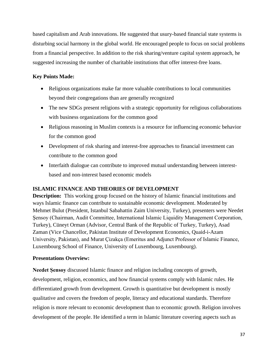based capitalism and Arab innovations. He suggested that usury-based financial state systems is disturbing social harmony in the global world. He encouraged people to focus on social problems from a financial perspective. In addition to the risk sharing/venture capital system approach, he suggested increasing the number of charitable institutions that offer interest-free loans.

# **Key Points Made:**

- Religious organizations make far more valuable contributions to local communities beyond their congregations than are generally recognized
- The new SDGs present religions with a strategic opportunity for religious collaborations with business organizations for the common good
- Religious reasoning in Muslim contexts is a resource for influencing economic behavior for the common good
- Development of risk sharing and interest-free approaches to financial investment can contribute to the common good
- Interfaith dialogue can contribute to improved mutual understanding between interestbased and non-interest based economic models

# **ISLAMIC FINANCE AND THEORIES OF DEVELOPMENT**

**Description:** This working group focused on the history of Islamic financial institutions and ways Islamic finance can contribute to sustainable economic development. Moderated by Mehmet Bulut (President, Istanbul Sabahattin Zaim University, Turkey), presenters were Needet Şensoy (Chairman, Audit Committee, International Islamic Liquidity Management Corporation, Turkey), Cüneyt Orman (Advisor, Central Bank of the Republic of Turkey, Turkey), Asad Zaman (Vice Chancellor, Pakistan Institute of Development Economics, Quaid-i-Azam University, Pakistan), and Murat Ҫizakça (Emeritus and Adjunct Professor of Islamic Finance, Luxembourg School of Finance, University of Luxembourg, Luxembourg).

# **Presentations Overview:**

**Needet Şensoy** discussed Islamic finance and religion including concepts of growth, development, religion, economics, and how financial systems comply with Islamic rules. He differentiated growth from development. Growth is quantitative but development is mostly qualitative and covers the freedom of people, literacy and educational standards. Therefore religion is more relevant to economic development than to economic growth. Religion involves development of the people. He identified a term in Islamic literature covering aspects such as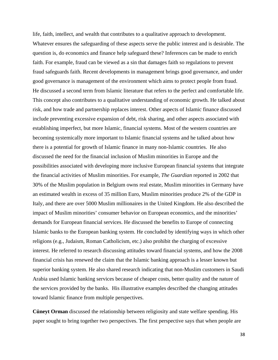life, faith, intellect, and wealth that contributes to a qualitative approach to development. Whatever ensures the safeguarding of these aspects serve the public interest and is desirable. The question is, do economics and finance help safeguard these? Inferences can be made to enrich faith. For example, fraud can be viewed as a sin that damages faith so regulations to prevent fraud safeguards faith. Recent developments in management brings good governance, and under good governance is management of the environment which aims to protect people from fraud. He discussed a second term from Islamic literature that refers to the perfect and comfortable life. This concept also contributes to a qualitative understanding of economic growth. He talked about risk, and how trade and partnership replaces interest. Other aspects of Islamic finance discussed include preventing excessive expansion of debt, risk sharing, and other aspects associated with establishing imperfect, but more Islamic, financial systems. Most of the western countries are becoming systemically more important to Islamic financial systems and he talked about how there is a potential for growth of Islamic finance in many non-Islamic countries. He also discussed the need for the financial inclusion of Muslim minorities in Europe and the possibilities associated with developing more inclusive European financial systems that integrate the financial activities of Muslim minorities. For example, *The Guardian* reported in 2002 that 30% of the Muslim population in Belgium owns real estate, Muslim minorities in Germany have an estimated wealth in excess of 35 million Euro, Muslim minorities produce 2% of the GDP in Italy, and there are over 5000 Muslim millionaires in the United Kingdom. He also described the impact of Muslim minorities' consumer behavior on European economics, and the minorities' demands for European financial services. He discussed the benefits to Europe of connecting Islamic banks to the European banking system. He concluded by identifying ways in which other religions (e.g., Judaism, Roman Catholicism, etc.) also prohibit the charging of excessive interest. He referred to research discussing attitudes toward financial systems, and how the 2008 financial crisis has renewed the claim that the Islamic banking approach is a lesser known but superior banking system. He also shared research indicating that non-Muslim customers in Saudi Arabia used Islamic banking services because of cheaper costs, better quality and the nature of the services provided by the banks. His illustrative examples described the changing attitudes toward Islamic finance from multiple perspectives.

**Cüneyt Orman** discussed the relationship between religiosity and state welfare spending. His paper sought to bring together two perspectives. The first perspective says that when people are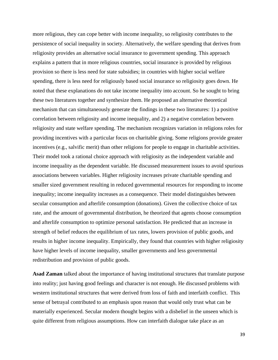more religious, they can cope better with income inequality, so religiosity contributes to the persistence of social inequality in society. Alternatively, the welfare spending that derives from religiosity provides an alternative social insurance to government spending. This approach explains a pattern that in more religious countries, social insurance is provided by religious provision so there is less need for state subsidies; in countries with higher social welfare spending, there is less need for religiously based social insurance so religiosity goes down. He noted that these explanations do not take income inequality into account. So he sought to bring these two literatures together and synthesize them. He proposed an alternative theoretical mechanism that can simultaneously generate the findings in these two literatures: 1) a positive correlation between religiosity and income inequality, and 2) a negative correlation between religiosity and state welfare spending. The mechanism recognizes variation in religions roles for providing incentives with a particular focus on charitable giving. Some religions provide greater incentives (e.g., salvific merit) than other religions for people to engage in charitable activities. Their model took a rational choice approach with religiosity as the independent variable and income inequality as the dependent variable. He discussed measurement issues to avoid spurious associations between variables. Higher religiosity increases private charitable spending and smaller sized government resulting in reduced governmental resources for responding to income inequality; income inequality increases as a consequence. Their model distinguishes between secular consumption and afterlife consumption (donations). Given the collective choice of tax rate, and the amount of governmental distribution, he theorized that agents choose consumption and afterlife consumption to optimize personal satisfaction. He predicted that an increase in strength of belief reduces the equilibrium of tax rates, lowers provision of public goods, and results in higher income inequality. Empirically, they found that countries with higher religiosity have higher levels of income inequality, smaller governments and less governmental redistribution and provision of public goods.

**Asad Zaman** talked about the importance of having institutional structures that translate purpose into reality; just having good feelings and character is not enough. He discussed problems with western institutional structures that were derived from loss of faith and interfaith conflict. This sense of betrayal contributed to an emphasis upon reason that would only trust what can be materially experienced. Secular modern thought begins with a disbelief in the unseen which is quite different from religious assumptions. How can interfaith dialogue take place as an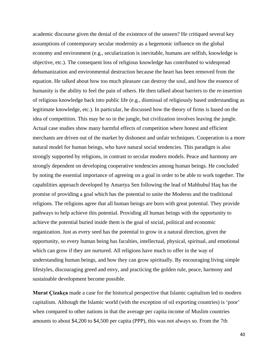academic discourse given the denial of the existence of the unseen? He critiqued several key assumptions of contemporary secular modernity as a hegemonic influence on the global economy and environment (e.g., secularization is inevitable, humans are selfish, knowledge is objective, etc.). The consequent loss of religious knowledge has contributed to widespread dehumanization and environmental destruction because the heart has been removed from the equation. He talked about how too much pleasure can destroy the soul, and how the essence of humanity is the ability to feel the pain of others. He then talked about barriers to the re-insertion of religious knowledge back into public life (e.g., dismissal of religiously based understanding as legitimate knowledge, etc.). In particular, he discussed how the theory of firms is based on the idea of competition. This may be so in the jungle, but civilization involves leaving the jungle. Actual case studies show many harmful effects of competition where honest and efficient merchants are driven out of the market by dishonest and unfair techniques. Cooperation is a more natural model for human beings, who have natural social tendencies. This paradigm is also strongly supported by religions, in contrast to secular modern models. Peace and harmony are strongly dependent on developing cooperative tendencies among human beings. He concluded by noting the essential importance of agreeing on a goal in order to be able to work together. The capabilities approach developed by Amartya Sen following the lead of Mahbubul Haq has the promise of providing a goal which has the potential to unite the Moderns and the traditional religions. The religions agree that all human beings are born with great potential. They provide pathways to help achieve this potential. Providing all human beings with the opportunity to achieve the potential buried inside them is the goal of social, political and economic organization. Just as every seed has the potential to grow in a natural direction, given the opportunity, so every human being has faculties, intellectual, physical, spiritual, and emotional which can grow if they are nurtured. All religions have much to offer in the way of understanding human beings, and how they can grow spiritually. By encouraging living simple lifestyles, discouraging greed and envy, and practicing the golden rule, peace, harmony and sustainable development become possible.

**Murat Ҫizakça** made a case for the historical perspective that Islamic capitalism led to modern capitalism. Although the Islamic world (with the exception of oil exporting countries) is 'poor' when compared to other nations in that the average per capita income of Muslim countries amounts to about \$4,200 to \$4,500 per capita (PPP), this was not always so. From the 7th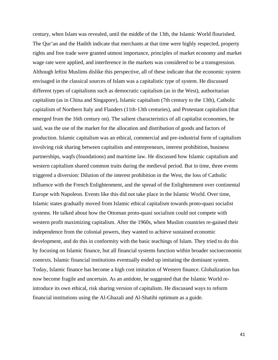century, when Islam was revealed, until the middle of the 13th, the Islamic World flourished. The Qur'an and the Hadith indicate that merchants at that time were highly respected, property rights and free trade were granted utmost importance, principles of market economy and market wage rate were applied, and interference in the markets was considered to be a transgression. Although leftist Muslims dislike this perspective, all of these indicate that the economic system envisaged in the classical sources of Islam was a capitalistic type of system. He discussed different types of capitalisms such as democratic capitalism (as in the West), authoritarian capitalism (as in China and Singapore), Islamic capitalism (7th century to the 13th), Catholic capitalism of Northern Italy and Flanders (11th-13th centuries), and Protestant capitalism (that emerged from the 16th century on). The salient characteristics of all capitalist economies, he said, was the use of the market for the allocation and distribution of goods and factors of production. Islamic capitalism was an ethical, commercial and pre-industrial form of capitalism involving risk sharing between capitalists and entrepreneurs, interest prohibition, business partnerships, waqfs (foundations) and maritime law. He discussed how Islamic capitalism and western capitalism shared common traits during the medieval period. But in time, three events triggered a diversion: Dilution of the interest prohibition in the West, the loss of Catholic influence with the French Enlightenment, and the spread of the Enlightenment over continental Europe with Napoleon. Events like this did not take place in the Islamic World. Over time, Islamic states gradually moved from Islamic ethical capitalism towards proto-quasi socialist systems. He talked about how the Ottoman proto-quasi socialism could not compete with western profit maximizing capitalism. After the 1960s, when Muslim countries re-gained their independence from the colonial powers, they wanted to achieve sustained economic development, and do this in conformity with the basic teachings of Islam. They tried to do this by focusing on Islamic finance, but all financial systems function within broader socioeconomic contexts. Islamic financial institutions eventually ended up imitating the dominant system. Today, Islamic finance has become a high cost imitation of Western finance. Globalization has now become fragile and uncertain. As an antidote, he suggested that the Islamic World reintroduce its own ethical, risk sharing version of capitalism. He discussed ways to reform financial institutions using the Al-Ghazali and Al-Shatibi optimum as a guide.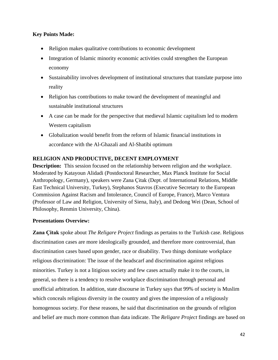# **Key Points Made:**

- Religion makes qualitative contributions to economic development
- Integration of Islamic minority economic activities could strengthen the European economy
- Sustainability involves development of institutional structures that translate purpose into reality
- Religion has contributions to make toward the development of meaningful and sustainable institutional structures
- A case can be made for the perspective that medieval Islamic capitalism led to modern Western capitalism
- Globalization would benefit from the reform of Islamic financial institutions in accordance with the Al-Ghazali and Al-Shatibi optimum

# **RELIGION AND PRODUCTIVE, DECENT EMPLOYMENT**

**Description:** This session focused on the relationship between religion and the workplace. Moderated by Katayoun Alidadi (Postdoctoral Researcher, Max Planck Institute for Social Anthropology, Germany), speakers were Zana Ҫitak (Dept. of International Relations, Middle East Technical University, Turkey), Stephanos Stavros (Executive Secretary to the European Commission Against Racism and Intolerance, Council of Europe, France), Marco Ventura (Professor of Law and Religion, University of Siena, Italy), and Dedong Wei (Dean, School of Philosophy, Renmin University, China).

# **Presentations Overview:**

**Zana Ҫitak** spoke about *The Religare Project* findings as pertains to the Turkish case. Religious discrimination cases are more ideologically grounded, and therefore more controversial, than discrimination cases based upon gender, race or disability. Two things dominate workplace religious discrimination: The issue of the headscarf and discrimination against religious minorities. Turkey is not a litigious society and few cases actually make it to the courts, in general, so there is a tendency to resolve workplace discrimination through personal and unofficial arbitration. In addition, state discourse in Turkey says that 99% of society is Muslim which conceals religious diversity in the country and gives the impression of a religiously homogenous society. For these reasons, he said that discrimination on the grounds of religion and belief are much more common than data indicate. The *Religare Project* findings are based on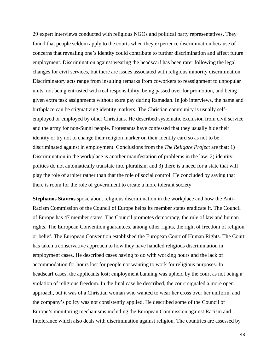29 expert interviews conducted with religious NGOs and political party representatives. They found that people seldom apply to the courts when they experience discrimination because of concerns that revealing one's identity could contribute to further discrimination and affect future employment. Discrimination against wearing the headscarf has been rarer following the legal changes for civil services, but there are issues associated with religious minority discrimination. Discriminatory acts range from insulting remarks from coworkers to reassignment to unpopular units, not being entrusted with real responsibility, being passed over for promotion, and being given extra task assignments without extra pay during Ramadan. In job interviews, the name and birthplace can be stigmatizing identity markers. The Christian community is usually selfemployed or employed by other Christians. He described systematic exclusion from civil service and the army for non-Sunni people. Protestants have confessed that they usually hide their identity or try not to change their religion marker on their identity card so as not to be discriminated against in employment. Conclusions from the *The Religare Project* are that: 1) Discrimination in the workplace is another manifestation of problems in the law; 2) identity politics do not automatically translate into pluralism; and 3) there is a need for a state that will play the role of arbiter rather than that the role of social control. He concluded by saying that there is room for the role of government to create a more tolerant society.

**Stephanos Stavros** spoke about religious discrimination in the workplace and how the Anti-Racism Commission of the Council of Europe helps its member states eradicate it. The Council of Europe has 47 member states. The Council promotes democracy, the rule of law and human rights. The European Convention guarantees, among other rights, the right of freedom of religion or belief. The European Convention established the European Court of Human Rights. The Court has taken a conservative approach to how they have handled religious discrimination in employment cases. He described cases having to do with working hours and the lack of accommodation for hours lost for people not wanting to work for religious purposes. In headscarf cases, the applicants lost; employment banning was upheld by the court as not being a violation of religious freedom. In the final case he described, the court signaled a more open approach, but it was of a Christian woman who wanted to wear her cross over her uniform, and the company's policy was not consistently applied. He described some of the Council of Europe's monitoring mechanisms including the European Commission against Racism and Intolerance which also deals with discrimination against religion. The countries are assessed by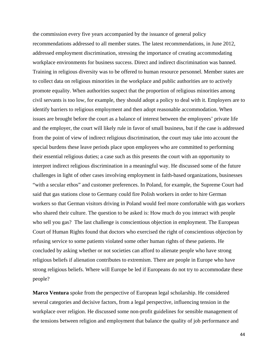the commission every five years accompanied by the issuance of general policy recommendations addressed to all member states. The latest recommendations, in June 2012, addressed employment discrimination, stressing the importance of creating accommodating workplace environments for business success. Direct and indirect discrimination was banned. Training in religious diversity was to be offered to human resource personnel. Member states are to collect data on religious minorities in the workplace and public authorities are to actively promote equality. When authorities suspect that the proportion of religious minorities among civil servants is too low, for example, they should adopt a policy to deal with it. Employers are to identify barriers to religious employment and then adopt reasonable accommodation. When issues are brought before the court as a balance of interest between the employees' private life and the employer, the court will likely rule in favor of small business, but if the case is addressed from the point of view of indirect religious discrimination, the court may take into account the special burdens these leave periods place upon employees who are committed to performing their essential religious duties; a case such as this presents the court with an opportunity to interpret indirect religious discrimination in a meaningful way. He discussed some of the future challenges in light of other cases involving employment in faith-based organizations, businesses "with a secular ethos" and customer preferences. In Poland, for example, the Supreme Court had said that gas stations close to Germany could fire Polish workers in order to hire German workers so that German visitors driving in Poland would feel more comfortable with gas workers who shared their culture. The question to be asked is: How much do you interact with people who sell you gas? The last challenge is conscientious objection in employment. The European Court of Human Rights found that doctors who exercised the right of conscientious objection by refusing service to some patients violated some other human rights of these patients. He concluded by asking whether or not societies can afford to alienate people who have strong religious beliefs if alienation contributes to extremism. There are people in Europe who have strong religious beliefs. Where will Europe be led if Europeans do not try to accommodate these people?

**Marco Ventura** spoke from the perspective of European legal scholarship. He considered several categories and decisive factors, from a legal perspective, influencing tension in the workplace over religion. He discussed some non-profit guidelines for sensible management of the tensions between religion and employment that balance the quality of job performance and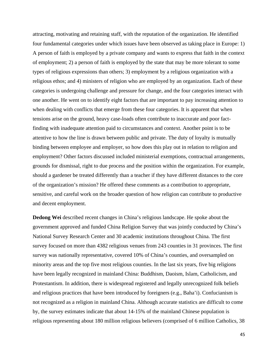attracting, motivating and retaining staff, with the reputation of the organization. He identified four fundamental categories under which issues have been observed as taking place in Europe: 1) A person of faith is employed by a private company and wants to express that faith in the context of employment; 2) a person of faith is employed by the state that may be more tolerant to some types of religious expressions than others; 3) employment by a religious organization with a religious ethos; and 4) ministers of religion who are employed by an organization. Each of these categories is undergoing challenge and pressure for change, and the four categories interact with one another. He went on to identify eight factors that are important to pay increasing attention to when dealing with conflicts that emerge from these four categories. It is apparent that when tensions arise on the ground, heavy case-loads often contribute to inaccurate and poor factfinding with inadequate attention paid to circumstances and context. Another point is to be attentive to how the line is drawn between public and private. The duty of loyalty is mutually binding between employee and employer, so how does this play out in relation to religion and employment? Other factors discussed included ministerial exemptions, contractual arrangements, grounds for dismissal, right to due process and the position within the organization. For example, should a gardener be treated differently than a teacher if they have different distances to the core of the organization's mission? He offered these comments as a contribution to appropriate, sensitive, and careful work on the broader question of how religion can contribute to productive and decent employment.

**Dedong Wei** described recent changes in China's religious landscape. He spoke about the government approved and funded China Religion Survey that was jointly conducted by China's National Survey Research Center and 30 academic institutions throughout China. The first survey focused on more than 4382 religious venues from 243 counties in 31 provinces. The first survey was nationally representative, covered 10% of China's counties, and oversampled on minority areas and the top five most religious counties. In the last six years, five big religions have been legally recognized in mainland China: Buddhism, Daoism, Islam, Catholicism, and Protestantism. In addition, there is widespread registered and legally unrecognized folk beliefs and religious practices that have been introduced by foreigners (e.g., Baha'i). Confucianism is not recognized as a religion in mainland China. Although accurate statistics are difficult to come by, the survey estimates indicate that about 14-15% of the mainland Chinese population is religious representing about 180 million religious believers (comprised of 6 million Catholics, 38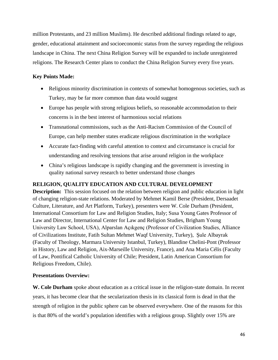million Protestants, and 23 million Muslims). He described additional findings related to age, gender, educational attainment and socioeconomic status from the survey regarding the religious landscape in China. The next China Religion Survey will be expanded to include unregistered religions. The Research Center plans to conduct the China Religion Survey every five years.

# **Key Points Made:**

- Religious minority discrimination in contexts of somewhat homogenous societies, such as Turkey, may be far more common than data would suggest
- Europe has people with strong religious beliefs, so reasonable accommodation to their concerns is in the best interest of harmonious social relations
- Transnational commissions, such as the Anti-Racism Commission of the Council of Europe, can help member states eradicate religious discrimination in the workplace
- Accurate fact-finding with careful attention to context and circumstance is crucial for understanding and resolving tensions that arise around religion in the workplace
- China's religious landscape is rapidly changing and the government is investing in quality national survey research to better understand those changes

# **RELIGION, QUALITY EDUCATION AND CULTURAL DEVELOPMENT**

**Description:** This session focused on the relation between religion and public education in light of changing religion-state relations. Moderated by Mehmet Kamil Berse (President, Dersaadet Culture, Literature, and Art Platform, Turkey), presenters were W. Cole Durham (President, International Consortium for Law and Religion Studies, Italy; Susa Young Gates Professor of Law and Director, International Center for Law and Religion Studies, Brigham Young University Law School, USA), Alparslan Açıkgenç (Professor of Civilization Studies, Alliance of Civilizations Institute, Fatih Sultan Mehmet Waqf University, Turkey), Şule Albayrak (Faculty of Theology, Marmara University Istanbul, Turkey), Blandine Chelini-Pont (Professor in History, Law and Religion, Aix-Marseille University, France), and Ana Maria Célis (Faculty of Law, Pontifical Catholic University of Chile; President, Latin American Consortium for Religious Freedom, Chile).

# **Presentations Overview:**

**W. Cole Durham** spoke about education as a critical issue in the religion-state domain. In recent years, it has become clear that the secularization thesis in its classical form is dead in that the strength of religion in the public sphere can be observed everywhere. One of the reasons for this is that 80% of the world's population identifies with a religious group. Slightly over 15% are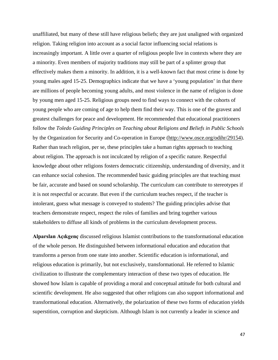unaffiliated, but many of these still have religious beliefs; they are just unaligned with organized religion. Taking religion into account as a social factor influencing social relations is increasingly important. A little over a quarter of religious people live in contexts where they are a minority. Even members of majority traditions may still be part of a splinter group that effectively makes them a minority. In addition, it is a well-known fact that most crime is done by young males aged 15-25. Demographics indicate that we have a 'young population' in that there are millions of people becoming young adults, and most violence in the name of religion is done by young men aged 15-25. Religious groups need to find ways to connect with the cohorts of young people who are coming of age to help them find their way. This is one of the gravest and greatest challenges for peace and development. He recommended that educational practitioners follow the *Toledo Guiding Principles on Teaching about Religions and Beliefs in Public Schools* by the Organization for Security and Co-operation in Europe [\(http://www.osce.org/odihr/29154\)](http://www.osce.org/odihr/29154). Rather than teach religion, per se, these principles take a human rights approach to teaching about religion. The approach is not inculcated by religion of a specific nature. Respectful knowledge about other religions fosters democratic citizenship, understanding of diversity, and it can enhance social cohesion. The recommended basic guiding principles are that teaching must be fair, accurate and based on sound scholarship. The curriculum can contribute to stereotypes if it is not respectful or accurate. But even if the curriculum teaches respect, if the teacher is intolerant, guess what message is conveyed to students? The guiding principles advise that teachers demonstrate respect, respect the roles of families and bring together various stakeholders to diffuse all kinds of problems in the curriculum development process.

**Alparslan Açıkgenç** discussed religious Islamist contributions to the transformational education of the whole person. He distinguished between informational education and education that transforms a person from one state into another. Scientific education is informational, and religious education is primarily, but not exclusively, transformational. He referred to Islamic civilization to illustrate the complementary interaction of these two types of education. He showed how Islam is capable of providing a moral and conceptual attitude for both cultural and scientific development. He also suggested that other religions can also support informational and transformational education. Alternatively, the polarization of these two forms of education yields superstition, corruption and skepticism. Although Islam is not currently a leader in science and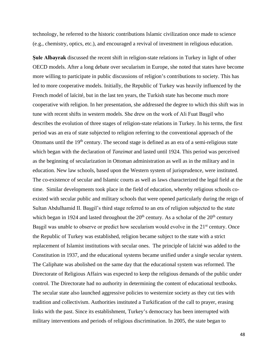technology, he referred to the historic contributions Islamic civilization once made to science (e.g., chemistry, optics, etc.), and encouraged a revival of investment in religious education.

**Şule Albayrak** discussed the recent shift in religion-state relations in Turkey in light of other OECD models. After a long debate over secularism in Europe, she noted that states have become more willing to participate in public discussions of religion's contributions to society. This has led to more cooperative models. Initially, the Republic of Turkey was heavily influenced by the French model of laïcité, but in the last ten years, the Turkish state has become much more cooperative with religion. In her presentation, she addressed the degree to which this shift was in tune with recent shifts in western models. She drew on the work of Ali Fuat Başgil who describes the evolution of three stages of religion-state relations in Turkey. In his terms, the first period was an era of state subjected to religion referring to the conventional approach of the Ottomans until the  $19<sup>th</sup>$  century. The second stage is defined as an era of a semi-religious state which began with the declaration of *Tanzimat* and lasted until 1924. This period was perceived as the beginning of secularization in Ottoman administration as well as in the military and in education. New law schools, based upon the Western system of jurisprudence, were instituted. The co-existence of secular and Islamic courts as well as laws characterized the legal field at the time. Similar developments took place in the field of education, whereby religious schools coexisted with secular public and military schools that were opened particularly during the reign of Sultan Abdulhamid II. Başgil's third stage referred to an era of religion subjected to the state which began in 1924 and lasted throughout the  $20<sup>th</sup>$  century. As a scholar of the  $20<sup>th</sup>$  century Başgil was unable to observe or predict how secularism would evolve in the 21<sup>st</sup> century. Once the Republic of Turkey was established, religion became subject to the state with a strict replacement of Islamist institutions with secular ones. The principle of laïcité was added to the Constitution in 1937, and the educational systems became unified under a single secular system. The Caliphate was abolished on the same day that the educational system was reformed. The Directorate of Religious Affairs was expected to keep the religious demands of the public under control. The Directorate had no authority in determining the content of educational textbooks. The secular state also launched aggressive policies to westernize society as they cut ties with tradition and collectivism. Authorities instituted a Turkification of the call to prayer, erasing links with the past. Since its establishment, Turkey's democracy has been interrupted with military interventions and periods of religious discrimination. In 2005, the state began to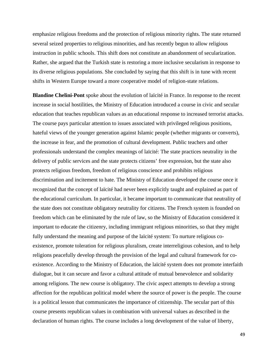emphasize religious freedoms and the protection of religious minority rights. The state returned several seized properties to religious minorities, and has recently begun to allow religious instruction in public schools. This shift does not constitute an abandonment of secularization. Rather, she argued that the Turkish state is restoring a more inclusive secularism in response to its diverse religious populations. She concluded by saying that this shift is in tune with recent shifts in Western Europe toward a more cooperative model of religion-state relations.

**Blandine Chelini-Pont** spoke about the evolution of laïcité in France. In response to the recent increase in social hostilities, the Ministry of Education introduced a course in civic and secular education that teaches republican values as an educational response to increased terrorist attacks. The course pays particular attention to issues associated with privileged religious positions, hateful views of the younger generation against Islamic people (whether migrants or converts), the increase in fear, and the promotion of cultural development. Public teachers and other professionals understand the complex meanings of laïcité: The state practices neutrality in the delivery of public services and the state protects citizens' free expression, but the state also protects religious freedom, freedom of religious conscience and prohibits religious discrimination and incitement to hate. The Ministry of Education developed the course once it recognized that the concept of laïcité had never been explicitly taught and explained as part of the educational curriculum. In particular, it became important to communicate that neutrality of the state does not constitute obligatory neutrality for citizens. The French system is founded on freedom which can be eliminated by the rule of law, so the Ministry of Education considered it important to educate the citizenry, including immigrant religious minorities, so that they might fully understand the meaning and purpose of the laïcité system: To nurture religious coexistence, promote toleration for religious pluralism, create interreligious cohesion, and to help religions peacefully develop through the provision of the legal and cultural framework for coexistence. According to the Ministry of Education, the laïcité system does not promote interfaith dialogue, but it can secure and favor a cultural attitude of mutual benevolence and solidarity among religions. The new course is obligatory. The civic aspect attempts to develop a strong affection for the republican political model where the source of power is the people. The course is a political lesson that communicates the importance of citizenship. The secular part of this course presents republican values in combination with universal values as described in the declaration of human rights. The course includes a long development of the value of liberty,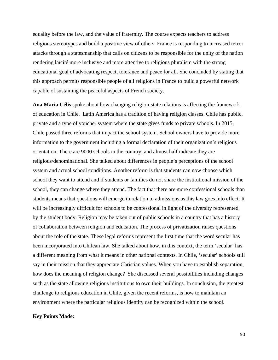equality before the law, and the value of fraternity. The course expects teachers to address religious stereotypes and build a positive view of others. France is responding to increased terror attacks through a statesmanship that calls on citizens to be responsible for the unity of the nation rendering laïcité more inclusive and more attentive to religious pluralism with the strong educational goal of advocating respect, tolerance and peace for all. She concluded by stating that this approach permits responsible people of all religions in France to build a powerful network capable of sustaining the peaceful aspects of French society.

**Ana Maria Célis** spoke about how changing religion-state relations is affecting the framework of education in Chile. Latin America has a tradition of having religion classes. Chile has public, private and a type of voucher system where the state gives funds to private schools. In 2015, Chile passed three reforms that impact the school system. School owners have to provide more information to the government including a formal declaration of their organization's religious orientation. There are 9000 schools in the country, and almost half indicate they are religious/denominational. She talked about differences in people's perceptions of the school system and actual school conditions. Another reform is that students can now choose which school they want to attend and if students or families do not share the institutional mission of the school, they can change where they attend. The fact that there are more confessional schools than students means that questions will emerge in relation to admissions as this law goes into effect. It will be increasingly difficult for schools to be confessional in light of the diversity represented by the student body. Religion may be taken out of public schools in a country that has a history of collaboration between religion and education. The process of privatization raises questions about the role of the state. These legal reforms represent the first time that the word secular has been incorporated into Chilean law. She talked about how, in this context, the term 'secular' has a different meaning from what it means in other national contexts. In Chile, 'secular' schools still say in their mission that they appreciate Christian values. When you have to establish separation, how does the meaning of religion change? She discussed several possibilities including changes such as the state allowing religious institutions to own their buildings. In conclusion, the greatest challenge to religious education in Chile, given the recent reforms, is how to maintain an environment where the particular religious identity can be recognized within the school.

# **Key Points Made:**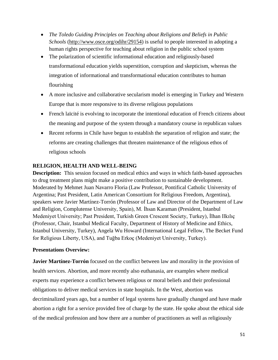- *The Toledo Guiding Principles on Teaching about Religions and Beliefs in Public Schools* [\(http://www.osce.org/odihr/29154\)](http://www.osce.org/odihr/29154) is useful to people interested in adopting a human rights perspective for teaching about religion in the public school system
- The polarization of scientific informational education and religiously-based transformational education yields superstition, corruption and skepticism, whereas the integration of informational and transformational education contributes to human flourishing
- A more inclusive and collaborative secularism model is emerging in Turkey and Western Europe that is more responsive to its diverse religious populations
- French laïcité is evolving to incorporate the intentional education of French citizens about the meaning and purpose of the system through a mandatory course in republican values
- Recent reforms in Chile have begun to establish the separation of religion and state; the reforms are creating challenges that threaten maintenance of the religious ethos of religious schools

# **RELIGION, HEALTH AND WELL-BEING**

**Description:** This session focused on medical ethics and ways in which faith-based approaches to drug treatment plans might make a positive contribution to sustainable development. Moderated by Mehmet Juan Navarro Floria (Law Professor, Pontifical Catholic University of Argentina; Past President, Latin American Consortium for Religious Freedom, Argentina), speakers were Javier Martínez-Torrón (Professor of Law and Director of the Department of Law and Religion, Complutense University, Spain), M. İhsan Karaman (President, Istanbul Medeniyet University; Past President, Turkish Green Crescent Society, Turkey), İlhan Ilkılıç (Professor, Chair, Istanbul Medical Faculty, Department of History of Medicine and Ethics, Istanbul University, Turkey), Angela Wu Howard (International Legal Fellow, The Becket Fund for Religious Liberty, USA), and Tuğba Erkoç (Medeniyet University, Turkey).

# **Presentations Overview:**

**Javier Martínez-Torrón** focused on the conflict between law and morality in the provision of health services. Abortion, and more recently also euthanasia, are examples where medical experts may experience a conflict between religious or moral beliefs and their professional obligations to deliver medical services in state hospitals. In the West, abortion was decriminalized years ago, but a number of legal systems have gradually changed and have made abortion a right for a service provided free of charge by the state. He spoke about the ethical side of the medical profession and how there are a number of practitioners as well as religiously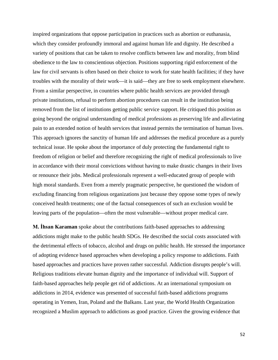inspired organizations that oppose participation in practices such as abortion or euthanasia, which they consider profoundly immoral and against human life and dignity. He described a variety of positions that can be taken to resolve conflicts between law and morality, from blind obedience to the law to conscientious objection. Positions supporting rigid enforcement of the law for civil servants is often based on their choice to work for state health facilities; if they have troubles with the morality of their work—it is said—they are free to seek employment elsewhere. From a similar perspective, in countries where public health services are provided through private institutions, refusal to perform abortion procedures can result in the institution being removed from the list of institutions getting public service support. He critiqued this position as going beyond the original understanding of medical professions as preserving life and alleviating pain to an extended notion of health services that instead permits the termination of human lives. This approach ignores the sanctity of human life and addresses the medical procedure as a purely technical issue. He spoke about the importance of duly protecting the fundamental right to freedom of religion or belief and therefore recognizing the right of medical professionals to live in accordance with their moral convictions without having to make drastic changes in their lives or renounce their jobs. Medical professionals represent a well-educated group of people with high moral standards. Even from a merely pragmatic perspective, he questioned the wisdom of excluding financing from religious organizations just because they oppose some types of newly conceived health treatments; one of the factual consequences of such an exclusion would be leaving parts of the population—often the most vulnerable—without proper medical care.

**M. İhsan Karaman** spoke about the contributions faith-based approaches to addressing addictions might make to the public health SDGs. He described the social costs associated with the detrimental effects of tobacco, alcohol and drugs on public health. He stressed the importance of adopting evidence based approaches when developing a policy response to addictions. Faith based approaches and practices have proven rather successful. Addiction disrupts people's will. Religious traditions elevate human dignity and the importance of individual will. Support of faith-based approaches help people get rid of addictions. At an international symposium on addictions in 2014, evidence was presented of successful faith-based addictions programs operating in Yemen, Iran, Poland and the Balkans. Last year, the World Health Organization recognized a Muslim approach to addictions as good practice. Given the growing evidence that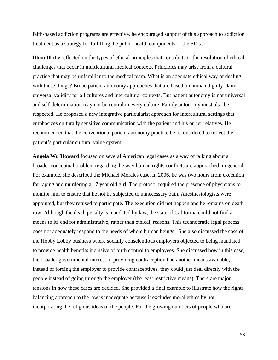faith-based addiction programs are effective, he encouraged support of this approach to addiction treatment as a strategy for fulfilling the public health components of the SDGs.

**İlhan Ilkılıç** reflected on the types of ethical principles that contribute to the resolution of ethical challenges that occur in multicultural medical contexts. Principles may arise from a cultural practice that may be unfamiliar to the medical team. What is an adequate ethical way of dealing with these things? Broad patient autonomy approaches that are based on human dignity claim universal validity for all cultures and intercultural contexts. But patient autonomy is not universal and self-determination may not be central in every culture. Family autonomy must also be respected. He proposed a new integrative particularist approach for intercultural settings that emphasizes culturally sensitive communication with the patient and his or her relatives. He recommended that the conventional patient autonomy practice be reconsidered to reflect the patient's particular cultural value system.

**Angela Wu Howard** focused on several American legal cases as a way of talking about a broader conceptual problem regarding the way human rights conflicts are approached, in general. For example, she described the Michael Morales case. In 2006, he was two hours from execution for raping and murdering a 17 year old girl. The protocol required the presence of physicians to monitor him to ensure that he not be subjected to unnecessary pain. Anesthesiologists were appointed, but they refused to participate. The execution did not happen and he remains on death row. Although the death penalty is mandated by law, the state of California could not find a means to its end for administrative, rather than ethical, reasons. This technocratic legal process does not adequately respond to the needs of whole human beings. She also discussed the case of the Hobby Lobby business where socially conscientious employers objected to being mandated to provide health benefits inclusive of birth control to employees. She discussed how in this case, the broader governmental interest of providing contraception had another means available; instead of forcing the employer to provide contraceptives, they could just deal directly with the people instead of going through the employer (the least restrictive means). There are major tensions in how these cases are decided. She provided a final example to illustrate how the rights balancing approach to the law is inadequate because it excludes moral ethics by not incorporating the religious ideas of the people. For the growing numbers of people who are

53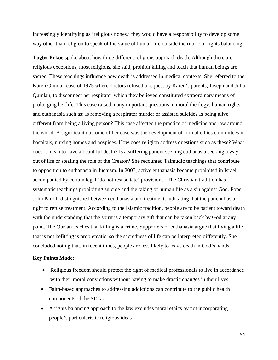increasingly identifying as 'religious nones,' they would have a responsibility to develop some way other than religion to speak of the value of human life outside the rubric of rights balancing.

**Tuğba Erkoç** spoke about how three different religions approach death. Although there are religious exceptions, most religions, she said, prohibit killing and teach that human beings are sacred. These teachings influence how death is addressed in medical contexts. She referred to the Karen Quinlan case of 1975 where doctors refused a request by Karen's parents, Joseph and Julia Quinlan, to disconnect her respirator which they believed constituted extraordinary means of prolonging her life. This case raised many important questions in moral theology, human rights and euthanasia such as: Is removing a respirator murder or assisted suicide? Is being alive different from being a living person? This case affected the practice of medicine and law around the world. A significant outcome of her case was the development of formal ethics committees in hospitals, nursing homes and hospices. How does religion address questions such as these? What does it mean to have a beautiful death? Is a suffering patient seeking euthanasia seeking a way out of life or stealing the role of the Creator? She recounted Talmudic teachings that contribute to opposition to euthanasia in Judaism. In 2005, active euthanasia became prohibited in Israel accompanied by certain legal 'do not resuscitate' provisions. The Christian tradition has systematic teachings prohibiting suicide and the taking of human life as a sin against God. Pope John Paul II distinguished between euthanasia and treatment, indicating that the patient has a right to refuse treatment. According to the Islamic tradition, people are to be patient toward death with the understanding that the spirit is a temporary gift that can be taken back by God at any point. The Qur'an teaches that killing is a crime. Supporters of euthanasia argue that living a life that is not befitting is problematic, so the sacredness of life can be interpreted differently. She concluded noting that, in recent times, people are less likely to leave death in God's hands.

### **Key Points Made:**

- Religious freedom should protect the right of medical professionals to live in accordance with their moral convictions without having to make drastic changes in their lives
- Faith-based approaches to addressing addictions can contribute to the public health components of the SDGs
- A rights balancing approach to the law excludes moral ethics by not incorporating people's particularistic religious ideas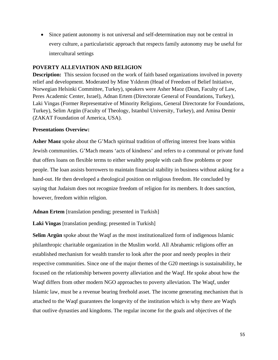• Since patient autonomy is not universal and self-determination may not be central in every culture, a particularistic approach that respects family autonomy may be useful for intercultural settings

# **POVERTY ALLEVIATION AND RELIGION**

**Description:** This session focused on the work of faith based organizations involved in poverty relief and development. Moderated by Mine Yıldırım (Head of Freedom of Belief Initiative, Norwegian Helsinki Committee, Turkey), speakers were Asher Maoz (Dean, Faculty of Law, Peres Academic Center, Israel), Adnan Ertem (Directorate General of Foundations, Turkey), Laki Vingas (Former Representative of Minority Religions, General Directorate for Foundations, Turkey), Selim Argün (Faculty of Theology, Istanbul University, Turkey), and Amina Demir (ZAKAT Foundation of America, USA).

# **Presentations Overview:**

**Asher Maoz** spoke about the G'Mach spiritual tradition of offering interest free loans within Jewish communities. G'Mach means 'acts of kindness' and refers to a communal or private fund that offers loans on flexible terms to either wealthy people with cash flow problems or poor people. The loan assists borrowers to maintain financial stability in business without asking for a hand-out. He then developed a theological position on religious freedom. He concluded by saying that Judaism does not recognize freedom of religion for its members. It does sanction, however, freedom within religion.

**Adnan Ertem** [translation pending; presented in Turkish]

**Laki Vingas** [translation pending; presented in Turkish]

**Selim Argün** spoke about the Waqf as the most institutionalized form of indigenous Islamic philanthropic charitable organization in the Muslim world. All Abrahamic religions offer an established mechanism for wealth transfer to look after the poor and needy peoples in their respective communities. Since one of the major themes of the G20 meetings is sustainability, he focused on the relationship between poverty alleviation and the Waqf. He spoke about how the Waqf differs from other modern NGO approaches to poverty alleviation. The Waqf, under Islamic law, must be a revenue bearing freehold asset. The income generating mechanism that is attached to the Waqf guarantees the longevity of the institution which is why there are Waqfs that outlive dynasties and kingdoms. The regular income for the goals and objectives of the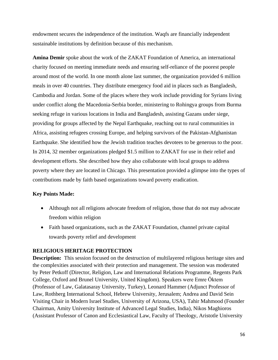endowment secures the independence of the institution. Waqfs are financially independent sustainable institutions by definition because of this mechanism.

**Amina Demir** spoke about the work of the ZAKAT Foundation of America, an international charity focused on meeting immediate needs and ensuring self-reliance of the poorest people around most of the world. In one month alone last summer, the organization provided 6 million meals in over 40 countries. They distribute emergency food aid in places such as Bangladesh, Cambodia and Jordan. Some of the places where they work include providing for Syrians living under conflict along the Macedonia-Serbia border, ministering to Rohingya groups from Burma seeking refuge in various locations in India and Bangladesh, assisting Gazans under siege, providing for groups affected by the Nepal Earthquake, reaching out to rural communities in Africa, assisting refugees crossing Europe, and helping survivors of the Pakistan-Afghanistan Earthquake. She identified how the Jewish tradition teaches devotees to be generous to the poor. In 2014, 32 member organizations pledged \$1.5 million to ZAKAT for use in their relief and development efforts. She described how they also collaborate with local groups to address poverty where they are located in Chicago. This presentation provided a glimpse into the types of contributions made by faith based organizations toward poverty eradication.

# **Key Points Made:**

- Although not all religions advocate freedom of religion, those that do not may advocate freedom within religion
- Faith based organizations, such as the ZAKAT Foundation, channel private capital towards poverty relief and development

### **RELIGIOUS HERITAGE PROTECTION**

**Description:** This session focused on the destruction of multilayered religious heritage sites and the complexities associated with their protection and management. The session was moderated by Peter Petkoff (Director, Religion, Law and International Relations Programme, Regents Park College, Oxford and Brunel University, United Kingdom). Speakers were Emre Ӧktem (Professor of Law, Galatasaray University, Turkey), Leonard Hammer (Adjunct Professor of Law, Rothberg International School, Hebrew University, Jerusalem; Andrea and David Sein Visiting Chair in Modern Israel Studies, University of Arizona, USA), Tahir Mahmood (Founder Chairman, Amity University Institute of Advanced Legal Studies, India), Nikos Maghioros (Assistant Professor of Canon and Ecclesiastical Law, Faculty of Theology, Aristotle University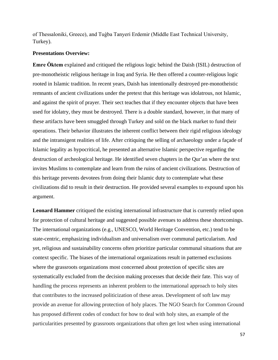of Thessaloniki, Greece), and Tuģba Tanyeri Erdemir (Middle East Technical University, Turkey).

### **Presentations Overview:**

**Emre Ӧktem** explained and critiqued the religious logic behind the Daish (ISIL) destruction of pre-monotheistic religious heritage in Iraq and Syria. He then offered a counter-religious logic rooted in Islamic tradition. In recent years, Daish has intentionally destroyed pre-monotheistic remnants of ancient civilizations under the pretext that this heritage was idolatrous, not Islamic, and against the spirit of prayer. Their sect teaches that if they encounter objects that have been used for idolatry, they must be destroyed. There is a double standard, however, in that many of these artifacts have been smuggled through Turkey and sold on the black market to fund their operations. Their behavior illustrates the inherent conflict between their rigid religious ideology and the intransigent realities of life. After critiquing the selling of archaeology under a façade of Islamic legality as hypocritical, he presented an alternative Islamic perspective regarding the destruction of archeological heritage. He identified seven chapters in the Qur'an where the text invites Muslims to contemplate and learn from the ruins of ancient civilizations. Destruction of this heritage prevents devotees from doing their Islamic duty to contemplate what these civilizations did to result in their destruction. He provided several examples to expound upon his argument.

**Leonard Hammer** critiqued the existing international infrastructure that is currently relied upon for protection of cultural heritage and suggested possible avenues to address these shortcomings. The international organizations (e.g., UNESCO, World Heritage Convention, etc.) tend to be state-centric, emphasizing individualism and universalism over communal particularism. And yet, religious and sustainability concerns often prioritize particular communal situations that are context specific. The biases of the international organizations result in patterned exclusions where the grassroots organizations most concerned about protection of specific sites are systematically excluded from the decision making processes that decide their fate. This way of handling the process represents an inherent problem to the international approach to holy sites that contributes to the increased politicization of these areas. Development of soft law may provide an avenue for allowing protection of holy places. The NGO Search for Common Ground has proposed different codes of conduct for how to deal with holy sites, an example of the particularities presented by grassroots organizations that often get lost when using international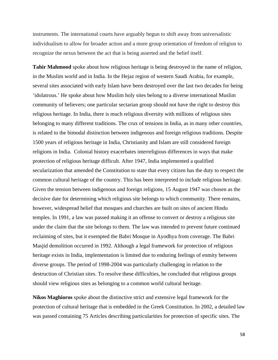instruments. The international courts have arguably begun to shift away from universalistic individualism to allow for broader action and a more group orientation of freedom of religion to recognize the nexus between the act that is being asserted and the belief itself.

**Tahir Mahmood** spoke about how religious heritage is being destroyed in the name of religion, in the Muslim world and in India. In the Hejaz region of western Saudi Arabia, for example, several sites associated with early Islam have been destroyed over the last two decades for being 'idolatrous.' He spoke about how Muslim holy sites belong to a diverse international Muslim community of believers; one particular sectarian group should not have the right to destroy this religious heritage. In India, there is much religious diversity with millions of religious sites belonging to many different traditions. The crux of tensions in India, as in many other countries, is related to the bimodal distinction between indigenous and foreign religious traditions. Despite 1500 years of religious heritage in India, Christianity and Islam are still considered foreign religions in India. Colonial history exacerbates interreligious differences in ways that make protection of religious heritage difficult. After 1947, India implemented a qualified secularization that amended the Constitution to state that every citizen has the duty to respect the common cultural heritage of the country. This has been interpreted to include religious heritage. Given the tension between indigenous and foreign religions, 15 August 1947 was chosen as the decisive date for determining which religious site belongs to which community. There remains, however, widespread belief that mosques and churches are built on sites of ancient Hindu temples. In 1991, a law was passed making it an offense to convert or destroy a religious site under the claim that the site belongs to them. The law was intended to prevent future continued reclaiming of sites, but it exempted the Babri Mosque in Ayodhya from coverage. The Babri Masjid demolition occurred in 1992. Although a legal framework for protection of religious heritage exists in India, implementation is limited due to enduring feelings of enmity between diverse groups. The period of 1998-2004 was particularly challenging in relation to the destruction of Christian sites. To resolve these difficulties, he concluded that religious groups should view religious sites as belonging to a common world cultural heritage.

**Nikos Maghioros** spoke about the distinctive strict and extensive legal framework for the protection of cultural heritage that is embedded in the Greek Constitution. In 2002, a detailed law was passed containing 75 Articles describing particularities for protection of specific sites. The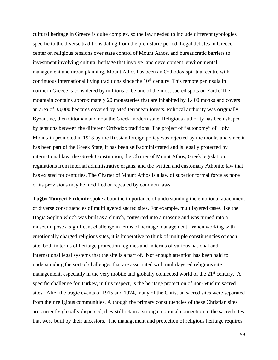cultural heritage in Greece is quite complex, so the law needed to include different typologies specific to the diverse traditions dating from the prehistoric period. Legal debates in Greece center on religious tensions over state control of Mount Athos, and bureaucratic barriers to investment involving cultural heritage that involve land development, environmental management and urban planning. Mount Athos has been an Orthodox spiritual centre with continuous international living traditions since the  $10<sup>th</sup>$  century. This remote peninsula in northern Greece is considered by millions to be one of the most sacred spots on Earth. The mountain contains approximately 20 monasteries that are inhabited by 1,400 monks and covers an area of 33,000 hectares covered by Mediterranean forests. Political authority was originally Byzantine, then Ottoman and now the Greek modern state. Religious authority has been shaped by tensions between the different Orthodox traditions. The project of "autonomy" of Holy Mountain promoted in 1913 by the Russian foreign policy was rejected by the monks and since it has been part of the Greek State, it has been self-administrated and is legally protected by international law, the Greek Constitution, the Charter of Mount Athos, Greek legislation, regulations from internal administrative organs, and the written and customary Athonite law that has existed for centuries. The Charter of Mount Athos is a law of superior formal force as none of its provisions may be modified or repealed by common laws.

**Tuğba Tanyeri Erdemir** spoke about the importance of understanding the emotional attachment of diverse constituencies of multilayered sacred sites. For example, multilayered cases like the Hagia Sophia which was built as a church, converted into a mosque and was turned into a museum, pose a significant challenge in terms of heritage management. When working with emotionally charged religious sites, it is imperative to think of multiple constituencies of each site, both in terms of heritage protection regimes and in terms of various national and international legal systems that the site is a part of. Not enough attention has been paid to understanding the sort of challenges that are associated with multilayered religious site management, especially in the very mobile and globally connected world of the 21<sup>st</sup> century. A specific challenge for Turkey, in this respect, is the heritage protection of non-Muslim sacred sites. After the tragic events of 1915 and 1924, many of the Christian sacred sites were separated from their religious communities. Although the primary constituencies of these Christian sites are currently globally dispersed, they still retain a strong emotional connection to the sacred sites that were built by their ancestors. The management and protection of religious heritage requires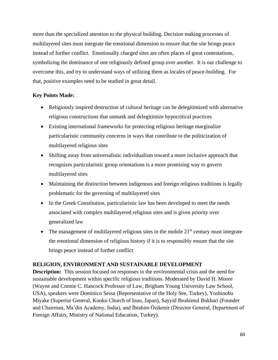more than the specialized attention to the physical building. Decision making processes of multilayered sites must integrate the emotional dimension to ensure that the site brings peace instead of further conflict. Emotionally charged sites are often places of great contestations, symbolizing the dominance of one religiously defined group over another. It is our challenge to overcome this, and try to understand ways of utilizing them as locales of peace-building. For that, positive examples need to be studied in great detail.

# **Key Points Made:**

- Religiously inspired destruction of cultural heritage can be delegitimized with alternative religious constructions that unmask and delegitimize hypocritical practices
- Existing international frameworks for protecting religious heritage marginalize particularistic community concerns in ways that contribute to the politicization of multilayered religious sites
- Shifting away from universalistic individualism toward a more inclusive approach that recognizes particularistic group orientations is a more promising way to govern multilayered sites
- Maintaining the distinction between indigenous and foreign religious traditions is legally problematic for the governing of multilayered sites
- In the Greek Constitution, particularistic law has been developed to meet the needs associated with complex multilayered religious sites and is given priority over generalized law
- The management of multilayered religious sites in the mobile  $21<sup>st</sup>$  century must integrate the emotional dimension of religious history if it is to responsibly ensure that the site brings peace instead of further conflict

# **RELIGION, ENVIRONMENT AND SUSTAINABLE DEVELOPMENT**

**Description:** This session focused on responses to the environmental crisis and the need for sustainable development within specific religious traditions. Moderated by David H. Moore (Wayne and Connie C. Hancock Professor of Law, Brigham Young University Law School, USA), speakers were Dominico Sessa (Representative of the Holy See, Turkey), Yoshinobu Miyake (Superior General, Konko Church of Izuo, Japan), Sayyid Ibrahimul Bukhari (Founder and Chairman, Ma'din Academy, India), and İbrahim Ӧzdemir (Director General, Department of Foreign Affairs, Ministry of National Education, Turkey).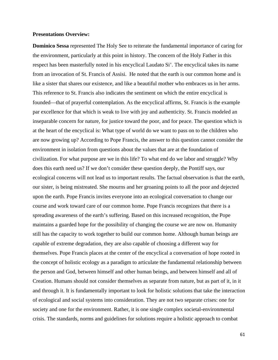#### **Presentations Overview:**

**Dominico Sessa** represented The Holy See to reiterate the fundamental importance of caring for the environment, particularly at this point in history. The concern of the Holy Father in this respect has been masterfully noted in his encyclical Laudato Si'. The encyclical takes its name from an invocation of St. Francis of Assisi. He noted that the earth is our common home and is like a sister that shares our existence, and like a beautiful mother who embraces us in her arms. This reference to St. Francis also indicates the sentiment on which the entire encyclical is founded—that of prayerful contemplation. As the encyclical affirms, St. Francis is the example par excellence for that which is weak to live with joy and authenticity. St. Francis modeled an inseparable concern for nature, for justice toward the poor, and for peace. The question which is at the heart of the encyclical is: What type of world do we want to pass on to the children who are now growing up? According to Pope Francis, the answer to this question cannot consider the environment in isolation from questions about the values that are at the foundation of civilization. For what purpose are we in this life? To what end do we labor and struggle? Why does this earth need us? If we don't consider these question deeply, the Pontiff says, our ecological concerns will not lead us to important results. The factual observation is that the earth, our sister, is being mistreated. She mourns and her groaning points to all the poor and dejected upon the earth. Pope Francis invites everyone into an ecological conversation to change our course and work toward care of our common home. Pope Francis recognizes that there is a spreading awareness of the earth's suffering. Based on this increased recognition, the Pope maintains a guarded hope for the possibility of changing the course we are now on. Humanity still has the capacity to work together to build our common home. Although human beings are capable of extreme degradation, they are also capable of choosing a different way for themselves. Pope Francis places at the center of the encyclical a conversation of hope rooted in the concept of holistic ecology as a paradigm to articulate the fundamental relationship between the person and God, between himself and other human beings, and between himself and all of Creation. Humans should not consider themselves as separate from nature, but as part of it, in it and through it. It is fundamentally important to look for holistic solutions that take the interaction of ecological and social systems into consideration. They are not two separate crises: one for society and one for the environment. Rather, it is one single complex societal-environmental crisis. The standards, norms and guidelines for solutions require a holistic approach to combat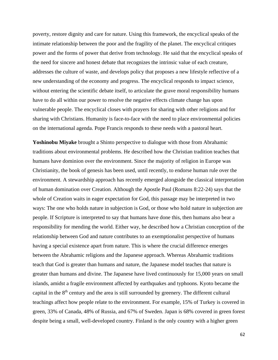poverty, restore dignity and care for nature. Using this framework, the encyclical speaks of the intimate relationship between the poor and the fragility of the planet. The encyclical critiques power and the forms of power that derive from technology. He said that the encyclical speaks of the need for sincere and honest debate that recognizes the intrinsic value of each creature, addresses the culture of waste, and develops policy that proposes a new lifestyle reflective of a new understanding of the economy and progress. The encyclical responds to impact science, without entering the scientific debate itself, to articulate the grave moral responsibility humans have to do all within our power to resolve the negative effects climate change has upon vulnerable people. The encyclical closes with prayers for sharing with other religions and for sharing with Christians. Humanity is face-to-face with the need to place environmental policies on the international agenda. Pope Francis responds to these needs with a pastoral heart.

**Yoshinobu Miyake** brought a Shinto perspective to dialogue with those from Abrahamic traditions about environmental problems. He described how the Christian tradition teaches that humans have dominion over the environment. Since the majority of religion in Europe was Christianity, the book of genesis has been used, until recently, to endorse human rule over the environment. A stewardship approach has recently emerged alongside the classical interpretation of human domination over Creation. Although the Apostle Paul (Romans 8:22-24) says that the whole of Creation waits in eager expectation for God, this passage may be interpreted in two ways: The one who holds nature in subjection is God, or those who hold nature in subjection are people. If Scripture is interpreted to say that humans have done this, then humans also bear a responsibility for mending the world. Either way, he described how a Christian conception of the relationship between God and nature contributes to an exemptionalist perspective of humans having a special existence apart from nature. This is where the crucial difference emerges between the Abrahamic religions and the Japanese approach. Whereas Abrahamic traditions teach that God is greater than humans and nature, the Japanese model teaches that nature is greater than humans and divine. The Japanese have lived continuously for 15,000 years on small islands, amidst a fragile environment affected by earthquakes and typhoons. Kyoto became the capital in the 8<sup>th</sup> century and the area is still surrounded by greenery. The different cultural teachings affect how people relate to the environment. For example, 15% of Turkey is covered in green, 33% of Canada, 48% of Russia, and 67% of Sweden. Japan is 68% covered in green forest despite being a small, well-developed country. Finland is the only country with a higher green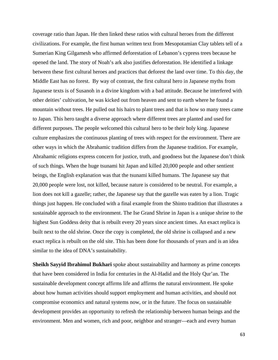coverage ratio than Japan. He then linked these ratios with cultural heroes from the different civilizations. For example, the first human written text from Mesopotamian Clay tablets tell of a Sumerian King Gilgamesh who affirmed deforestation of Lebanon's cypress trees because he opened the land. The story of Noah's ark also justifies deforestation. He identified a linkage between these first cultural heroes and practices that deforest the land over time. To this day, the Middle East has no forest. By way of contrast, the first cultural hero in Japanese myths from Japanese texts is of Susanoh in a divine kingdom with a bad attitude. Because he interfered with other deities' cultivation, he was kicked out from heaven and sent to earth where he found a mountain without trees. He pulled out his hairs to plant trees and that is how so many trees came to Japan. This hero taught a diverse approach where different trees are planted and used for different purposes. The people welcomed this cultural hero to be their holy king. Japanese culture emphasizes the continuous planting of trees with respect for the environment. There are other ways in which the Abrahamic tradition differs from the Japanese tradition. For example, Abrahamic religions express concern for justice, truth, and goodness but the Japanese don't think of such things. When the huge tsunami hit Japan and killed 20,000 people and other sentient beings, the English explanation was that the tsunami killed humans. The Japanese say that 20,000 people were lost, not killed, because nature is considered to be neutral. For example, a lion does not kill a gazelle; rather, the Japanese say that the gazelle was eaten by a lion. Tragic things just happen. He concluded with a final example from the Shinto tradition that illustrates a sustainable approach to the environment. The Ise Grand Shrine in Japan is a unique shrine to the highest Sun Goddess deity that is rebuilt every 20 years since ancient times. An exact replica is built next to the old shrine. Once the copy is completed, the old shrine is collapsed and a new exact replica is rebuilt on the old site. This has been done for thousands of years and is an idea similar to the idea of DNA's sustainability.

**Sheikh Sayyid Ibrahimul Bukhari** spoke about sustainability and harmony as prime concepts that have been considered in India for centuries in the Al-Hadid and the Holy Qur'an. The sustainable development concept affirms life and affirms the natural environment. He spoke about how human activities should support employment and human activities, and should not compromise economics and natural systems now, or in the future. The focus on sustainable development provides an opportunity to refresh the relationship between human beings and the environment. Men and women, rich and poor, neighbor and stranger—each and every human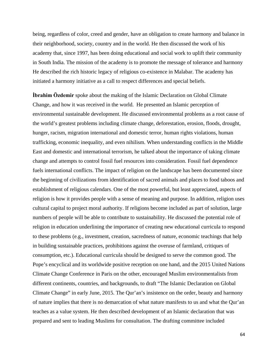being, regardless of color, creed and gender, have an obligation to create harmony and balance in their neighborhood, society, country and in the world. He then discussed the work of his academy that, since 1997, has been doing educational and social work to uplift their community in South India. The mission of the academy is to promote the message of tolerance and harmony He described the rich historic legacy of religious co-existence in Malabar. The academy has initiated a harmony initiative as a call to respect differences and special beliefs.

**İbrahim Ӧzdemir** spoke about the making of the Islamic Declaration on Global Climate Change, and how it was received in the world. He presented an Islamic perception of environmental sustainable development. He discussed environmental problems as a root cause of the world's greatest problems including climate change, deforestation, erosion, floods, drought, hunger, racism, migration international and domestic terror, human rights violations, human trafficking, economic inequality, and even nihilism. When understanding conflicts in the Middle East and domestic and international terrorism, he talked about the importance of taking climate change and attempts to control fossil fuel resources into consideration. Fossil fuel dependence fuels international conflicts. The impact of religion on the landscape has been documented since the beginning of civilizations from identification of sacred animals and places to food taboos and establishment of religious calendars. One of the most powerful, but least appreciated, aspects of religion is how it provides people with a sense of meaning and purpose. In addition, religion uses cultural capital to project moral authority. If religions become included as part of solution, large numbers of people will be able to contribute to sustainability. He discussed the potential role of religion in education underlining the importance of creating new educational curricula to respond to these problems (e.g., investment, creation, sacredness of nature, economic teachings that help in building sustainable practices, prohibitions against the overuse of farmland, critiques of consumption, etc.). Educational curricula should be designed to serve the common good. The Pope's encyclical and its worldwide positive reception on one hand, and the 2015 United Nations Climate Change Conference in Paris on the other, encouraged Muslim environmentalists from different continents, countries, and backgrounds, to draft "The Islamic Declaration on Global Climate Change" in early June, 2015. The Qur'an's insistence on the order, beauty and harmony of nature implies that there is no demarcation of what nature manifests to us and what the Qur'an teaches as a value system. He then described development of an Islamic declaration that was prepared and sent to leading Muslims for consultation. The drafting committee included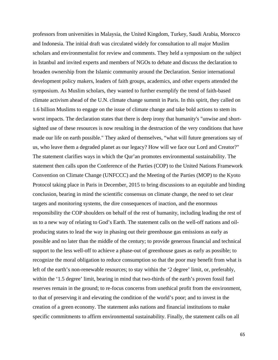professors from universities in Malaysia, the United Kingdom, Turkey, Saudi Arabia, Morocco and Indonesia. The initial draft was circulated widely for consultation to all major Muslim scholars and environmentalist for review and comments. They held a symposium on the subject in Istanbul and invited experts and members of NGOs to debate and discuss the declaration to broaden ownership from the Islamic community around the Declaration. Senior international development policy makers, leaders of faith groups, academics, and other experts attended the symposium. As Muslim scholars, they wanted to further exemplify the trend of faith-based climate activism ahead of the U.N. climate change summit in Paris. In this spirit, they called on 1.6 billion Muslims to engage on the issue of climate change and take bold actions to stem its worst impacts. The declaration states that there is deep irony that humanity's "unwise and shortsighted use of these resources is now resulting in the destruction of the very conditions that have made our life on earth possible." They asked of themselves, "what will future generations say of us, who leave them a degraded planet as our legacy? How will we face our Lord and Creator?" The statement clarifies ways in which the Qur'an promotes environmental sustainability. The statement then calls upon the Conference of the Parties (COP) to the United Nations Framework Convention on Climate Change (UNFCCC) and the Meeting of the Parties (MOP) to the Kyoto Protocol taking place in Paris in December, 2015 to bring discussions to an equitable and binding conclusion, bearing in mind the scientific consensus on climate change, the need to set clear targets and monitoring systems, the dire consequences of inaction, and the enormous responsibility the COP shoulders on behalf of the rest of humanity, including leading the rest of us to a new way of relating to God's Earth. The statement calls on the well-off nations and oilproducing states to lead the way in phasing out their greenhouse gas emissions as early as possible and no later than the middle of the century; to provide generous financial and technical support to the less well-off to achieve a phase-out of greenhouse gases as early as possible; to recognize the moral obligation to reduce consumption so that the poor may benefit from what is left of the earth's non-renewable resources; to stay within the '2 degree' limit, or, preferably, within the '1.5 degree' limit, bearing in mind that two-thirds of the earth's proven fossil fuel reserves remain in the ground; to re-focus concerns from unethical profit from the environment, to that of preserving it and elevating the condition of the world's poor; and to invest in the creation of a green economy. The statement asks nations and financial institutions to make specific commitments to affirm environmental sustainability. Finally, the statement calls on all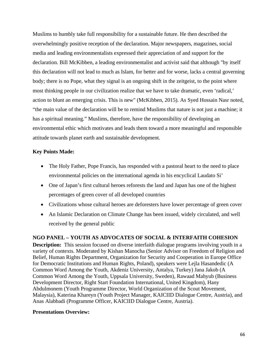Muslims to humbly take full responsibility for a sustainable future. He then described the overwhelmingly positive reception of the declaration. Major newspapers, magazines, social media and leading environmentalists expressed their appreciation of and support for the declaration. Bill McKibben, a leading environmentalist and activist said that although "by itself this declaration will not lead to much as Islam, for better and for worse, lacks a central governing body; there is no Pope, what they signal is an ongoing shift in the zeitgeist, to the point where most thinking people in our civilization realize that we have to take dramatic, even 'radical,' action to blunt an emerging crisis. This is new" (McKibben, 2015). As Syed Hossain Nasr noted, "the main value of the declaration will be to remind Muslims that nature is not just a machine; it has a spiritual meaning." Muslims, therefore, have the responsibility of developing an environmental ethic which motivates and leads them toward a more meaningful and responsible attitude towards planet earth and sustainable development.

# **Key Points Made:**

- The Holy Father, Pope Francis, has responded with a pastoral heart to the need to place environmental policies on the international agenda in his encyclical Laudato Si'
- One of Japan's first cultural heroes reforests the land and Japan has one of the highest percentages of green cover of all developed countries
- Civilizations whose cultural heroes are deforesters have lower percentage of green cover
- An Islamic Declaration on Climate Change has been issued, widely circulated, and well received by the general public

# **NGO PANEL – YOUTH AS ADVOCATES OF SOCIAL & INTERFAITH COHESION**

**Description:** This session focused on diverse interfaith dialogue programs involving youth in a variety of contexts. Moderated by Kishan Manocha (Senior Advisor on Freedom of Religion and Belief, Human Rights Department, Organization for Security and Cooperation in Europe Office for Democratic Institutions and Human Rights, Poland), speakers were Lejla Hasandedic (A Common Word Among the Youth, Akdeniz University, Antalya, Turkey) Jana Jakob (A Common Word Among the Youth, Uppsala University, Sweden), Rawaad Mahyub (Business Development Director, Right Start Foundation International, United Kingdom), Hany Abdulmonem (Youth Programme Director, World Organization of the Scout Movement, Malaysia), Katerina Khareyn (Youth Project Manager, KAICIID Dialogue Centre, Austria), and Anas Alabbadi (Programme Officer, KAICIID Dialogue Centre, Austria).

# **Presentations Overview:**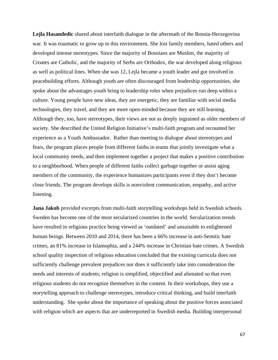**Lejla Hasandedic** shared about interfaith dialogue in the aftermath of the Bosnia-Herzegovina war. It was traumatic to grow up in this environment. She lost family members, hated others and developed intense stereotypes. Since the majority of Bosnians are Muslim, the majority of Croates are Catholic, and the majority of Serbs are Orthodox, the war developed along religious as well as political lines. When she was 12, Lejla became a youth leader and got involved in peacebuilding efforts. Although youth are often discouraged from leadership opportunities, she spoke about the advantages youth bring to leadership roles when prejudices run deep within a culture. Young people have new ideas, they are energetic, they are familiar with social media technologies, they travel, and they are more open-minded because they are still learning. Although they, too, have stereotypes, their views are not as deeply ingrained as older members of society. She described the United Religion Initiative's multi-faith program and recounted her experience as a Youth Ambassador. Rather than meeting to dialogue about stereotypes and fears, the program places people from different faiths in teams that jointly investigate what a local community needs, and then implement together a project that makes a positive contribution to a neighborhood. When people of different faiths collect garbage together or assist aging members of the community, the experience humanizes participants even if they don't become close friends. The program develops skills is nonviolent communication, empathy, and active listening.

**Jana Jakob** provided excerpts from multi-faith storytelling workshops held in Swedish schools. Sweden has become one of the most secularized countries in the world. Secularization trends have resulted in religious practice being viewed as 'outdated' and unsuitable to enlightened human beings. Between 2010 and 2014, there has been a 66% increase in anti-Semitic hate crimes, an 81% increase in Islamophia, and a 244% increase in Christian hate crimes. A Swedish school quality inspection of religious education concluded that the existing curricula does not sufficiently challenge prevalent prejudices nor does it sufficiently take into consideration the needs and interests of students; religion is simplified, objectified and alienated so that even religious students do not recognize themselves in the content. In their workshops, they use a storytelling approach to challenge stereotypes, introduce critical thinking, and build interfaith understanding. She spoke about the importance of speaking about the positive forces associated with religion which are aspects that are underreported in Swedish media. Building interpersonal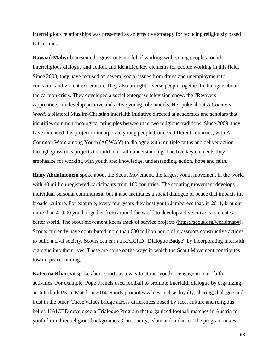interreligious relationships was presented as an effective strategy for reducing religiously based hate crimes.

**Rawaad Mahyub** presented a grassroots model of working with young people around interreligious dialogue and action, and identified key elements for people working in this field. Since 2003, they have focused on several social issues from drugs and unemployment to education and violent extremism. They also brought diverse people together to dialogue about the cartoon crisis. They developed a social enterprise television show, the "Revivers Apprentice," to develop positive and active young role models. He spoke about *A Common Word,* a bilateral Muslim-Christian interfaith initiative directed at academics and scholars that identifies common theological principles between the two religious traditions. Since 2009, they have extended this project to incorporate young people from 75 different countries, with A Common Word among Youth (ACWAY) to dialogue with multiple faiths and deliver action through grassroots projects to build interfaith understanding. The five key elements they emphasize for working with youth are: knowledge, understanding, action, hope and faith.

**Hany Abdulmonem** spoke about the Scout Movement, the largest youth movement in the world with 40 million registered participants from 160 countries. The scouting movement develops individual personal commitment, but it also facilitates a social dialogue of peace that impacts the broader culture. For example, every four years they host youth Jamborees that, in 2011, brought more than 40,000 youth together from around the world to develop active citizens to create a better world. The scout movement keeps track of service projects [\(https://scout.org/worldmap#\)](https://scout.org/worldmap). Scouts currently have contributed more than 630 million hours of grassroots constructive actions to build a civil society. Scouts can earn a KAICIID "Dialogue Badge" by incorporating interfaith dialogue into their lives. These are some of the ways in which the Scout Movement contributes toward peacebuilding.

**Katerina Khareyn** spoke about sports as a way to attract youth to engage in inter-faith activities. For example, Pope Francis used football to promote interfaith dialogue by organizing an Interfaith Peace Match in 2014. Sports promotes values such as loyalty, sharing, dialogue and trust in the other. These values bridge across differences posed by race, culture and religious belief. KAICIID developed a Trialogue Program that organized football matches in Austria for youth from three religious backgrounds: Christianity, Islam and Judaism. The program mixes

68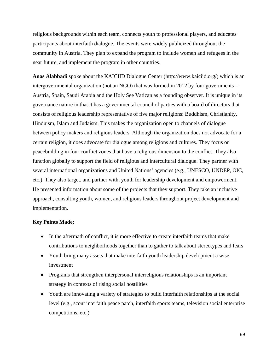religious backgrounds within each team, connects youth to professional players, and educates participants about interfaith dialogue. The events were widely publicized throughout the community in Austria. They plan to expand the program to include women and refugees in the near future, and implement the program in other countries.

**Anas Alabbadi** spoke about the KAICIID Dialogue Center [\(http://www.kaiciid.org/\)](http://www.kaiciid.org/) which is an intergovernmental organization (not an NGO) that was formed in 2012 by four governments – Austria, Spain, Saudi Arabia and the Holy See Vatican as a founding observer. It is unique in its governance nature in that it has a governmental council of parties with a board of directors that consists of religious leadership representative of five major religions: Buddhism, Christianity, Hinduism, Islam and Judaism. This makes the organization open to channels of dialogue between policy makers and religious leaders. Although the organization does not advocate for a certain religion, it does advocate for dialogue among religions and cultures. They focus on peacebuilding in four conflict zones that have a religious dimension to the conflict. They also function globally to support the field of religious and intercultural dialogue. They partner with several international organizations and United Nations' agencies (e.g., UNESCO, UNDEP, OIC, etc.). They also target, and partner with, youth for leadership development and empowerment. He presented information about some of the projects that they support. They take an inclusive approach, consulting youth, women, and religious leaders throughout project development and implementation.

### **Key Points Made:**

- In the aftermath of conflict, it is more effective to create interfaith teams that make contributions to neighborhoods together than to gather to talk about stereotypes and fears
- Youth bring many assets that make interfaith youth leadership development a wise investment
- Programs that strengthen interpersonal interreligious relationships is an important strategy in contexts of rising social hostilities
- Youth are innovating a variety of strategies to build interfaith relationships at the social level (e.g., scout interfaith peace patch, interfaith sports teams, television social enterprise competitions, etc.)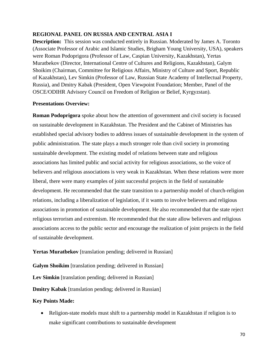# **REGIONAL PANEL ON RUSSIA AND CENTRAL ASIA I**

**Description:** This session was conducted entirely in Russian. Moderated by James A. Toronto (Associate Professor of Arabic and Islamic Studies, Brigham Young University, USA), speakers were Roman Podoprigora (Professor of Law, Caspian University, Kazakhstan), Yertas Muratbekov (Director, International Centre of Cultures and Religions, Kazakhstan), Galym Shoikim (Chairman, Committee for Religious Affairs, Ministry of Culture and Sport, Republic of Kazakhstan), Lev Simkin (Professor of Law, Russian State Academy of Intellectual Property, Russia), and Dmitry Kabak (President, Open Viewpoint Foundation; Member, Panel of the OSCE/ODIHR Advisory Council on Freedom of Religion or Belief, Kyrgyzstan).

# **Presentations Overview:**

**Roman Podoprigora** spoke about how the attention of government and civil society is focused on sustainable development in Kazakhstan. The President and the Cabinet of Ministries has established special advisory bodies to address issues of sustainable development in the system of public administration. The state plays a much stronger role than civil society in promoting sustainable development. The existing model of relations between state and religious associations has limited public and social activity for religious associations, so the voice of believers and religious associations is very weak in Kazakhstan. When these relations were more liberal, there were many examples of joint successful projects in the field of sustainable development. He recommended that the state transition to a partnership model of church-religion relations, including a liberalization of legislation, if it wants to involve believers and religious associations in promotion of sustainable development. He also recommended that the state reject religious terrorism and extremism. He recommended that the state allow believers and religious associations access to the public sector and encourage the realization of joint projects in the field of sustainable development.

**Yertas Muratbekov** [translation pending; delivered in Russian]

**Galym Shoikim** [translation pending; delivered in Russian]

Lev Simkin [translation pending; delivered in Russian]

**Dmitry Kabak** [translation pending; delivered in Russian]

# **Key Points Made:**

• Religion-state models must shift to a partnership model in Kazakhstan if religion is to make significant contributions to sustainable development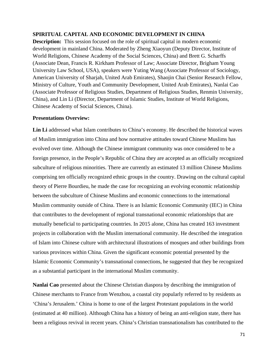# **SPIRITUAL CAPITAL AND ECONOMIC DEVELOPMENT IN CHINA**

**Description:** This session focused on the role of spiritual capital in modern economic development in mainland China. Moderated by Zheng Xiaoyun (Deputy Director, Institute of World Religions, Chinese Academy of the Social Sciences, China) and Brett G. Scharffs (Associate Dean, Francis R. Kirkham Professor of Law; Associate Director, Brigham Young University Law School, USA), speakers were Yuting Wang (Associate Professor of Sociology, American University of Sharjah, United Arab Emirates), Shaojin Chai (Senior Research Fellow, Ministry of Culture, Youth and Community Development, United Arab Emirates), Nanlai Cao (Associate Professor of Religious Studies, Department of Religious Studies, Renmin University, China), and Lin Li (Director, Department of Islamic Studies, Institute of World Religions, Chinese Academy of Social Sciences, China).

# **Presentations Overview:**

**Lin Li** addressed what Islam contributes to China's economy. He described the historical waves of Muslim immigration into China and how normative attitudes toward Chinese Muslims has evolved over time. Although the Chinese immigrant community was once considered to be a foreign presence, in the People's Republic of China they are accepted as an officially recognized subculture of religious minorities. There are currently an estimated 13 million Chinese Muslims comprising ten officially recognized ethnic groups in the country. Drawing on the cultural capital theory of Pierre Bourdieu, he made the case for recognizing an evolving economic relationship between the subculture of Chinese Muslims and economic connections to the international Muslim community outside of China. There is an Islamic Economic Community (IEC) in China that contributes to the development of regional transnational economic relationships that are mutually beneficial to participating countries. In 2015 alone, China has created 163 investment projects in collaboration with the Muslim international community. He described the integration of Islam into Chinese culture with architectural illustrations of mosques and other buildings from various provinces within China. Given the significant economic potential presented by the Islamic Economic Community's transnational connections, he suggested that they be recognized as a substantial participant in the international Muslim community.

**Nanlai Cao** presented about the Chinese Christian diaspora by describing the immigration of Chinese merchants to France from Wenzhou, a coastal city popularly referred to by residents as 'China's Jerusalem.' China is home to one of the largest Protestant populations in the world (estimated at 40 million). Although China has a history of being an anti-religion state, there has been a religious revival in recent years. China's Christian transnationalism has contributed to the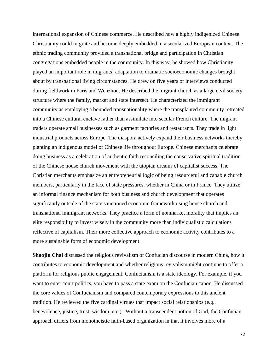international expansion of Chinese commerce. He described how a highly indigenized Chinese Christianity could migrate and become deeply embedded in a secularized European context. The ethnic trading community provided a transnational bridge and participation in Christian congregations embedded people in the community. In this way, he showed how Christianity played an important role in migrants' adaptation to dramatic socioeconomic changes brought about by transnational living circumstances. He drew on five years of interviews conducted during fieldwork in Paris and Wenzhou. He described the migrant church as a large civil society structure where the family, market and state intersect. He characterized the immigrant community as employing a bounded transnationality where the transplanted community retreated into a Chinese cultural enclave rather than assimilate into secular French culture. The migrant traders operate small businesses such as garment factories and restaurants. They trade in light industrial products across Europe. The diaspora actively expand their business networks thereby planting an indigenous model of Chinese life throughout Europe. Chinese merchants celebrate doing business as a celebration of authentic faith reconciling the conservative spiritual tradition of the Chinese house church movement with the utopian dreams of capitalist success. The Christian merchants emphasize an entrepreneurial logic of being resourceful and capable church members, particularly in the face of state pressures, whether in China or in France. They utilize an informal finance mechanism for both business and church development that operates significantly outside of the state sanctioned economic framework using house church and transnational immigrant networks. They practice a form of nonmarket morality that implies an elite responsibility to invest wisely in the community more than individualistic calculations reflective of capitalism. Their more collective approach to economic activity contributes to a more sustainable form of economic development.

**Shaojin Chai** discussed the religious revivalism of Confucian discourse in modern China, how it contributes to economic development and whether religious revivalism might continue to offer a platform for religious public engagement. Confucianism is a state ideology. For example, if you want to enter court politics, you have to pass a state exam on the Confucian canon. He discussed the core values of Confucianism and compared contemporary expressions to this ancient tradition. He reviewed the five cardinal virtues that impact social relationships (e.g., benevolence, justice, trust, wisdom, etc.). Without a transcendent notion of God, the Confucian approach differs from monotheistic faith-based organization in that it involves more of a

72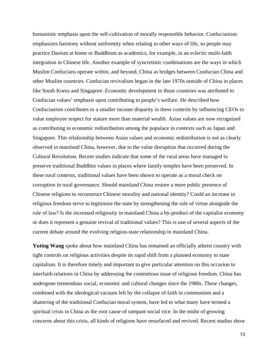humanistic emphasis upon the self-cultivation of morally responsible behavior. Confucianism emphasizes harmony without uniformity when relating to other ways of life, so people may practice Daoism at home or Buddhism as academics, for example, in an eclectic multi-faith integration in Chinese life. Another example of syncretistic combinations are the ways in which Muslim Confucians operate within, and beyond, China as bridges between Confucian China and other Muslim countries. Confucian revivalism began in the late 1970s outside of China in places like South Korea and Singapore. Economic development in those countries was attributed to Confucian values' emphasis upon contributing to people's welfare. He described how Confucianism contributes to a smaller income disparity in these contexts by influencing CEOs to value employee respect for stature more than material wealth. Asian values are now recognized as contributing to economic redistribution among the populace in contexts such as Japan and Singapore. This relationship between Asian values and economic redistribution is not as clearly observed in mainland China, however, due to the value disruption that occurred during the Cultural Revolution. Recent studies indicate that some of the rural areas have managed to preserve traditional Buddhist values in places where family temples have been preserved. In these rural contexts, traditional values have been shown to operate as a moral check on corruption in rural governance. Should mainland China restore a more public presence of Chinese religions to reconstruct Chinese morality and national identity? Could an increase in religious freedom serve to legitimize the state by strengthening the rule of virtue alongside the rule of law? Is the increased religiosity in mainland China a by-product of the capitalist economy or does it represent a genuine revival of traditional values? This is one of several aspects of the current debate around the evolving religion-state relationship in mainland China.

**Yuting Wang** spoke about how mainland China has remained an officially atheist country with tight controls on religious activities despite its rapid shift from a planned economy to state capitalism. It is therefore timely and important to give particular attention on this occasion to interfaith relations in China by addressing the contentious issue of religious freedom. China has undergone tremendous social, economic and cultural changes since the 1980s. These changes, combined with the ideological vacuum left by the collapse of faith in communism and a shattering of the traditional Confucian moral system, have led to what many have termed a spiritual crisis in China as the root cause of rampant social vice. In the midst of growing concerns about this crisis, all kinds of religions have resurfaced and revived. Recent studies show

73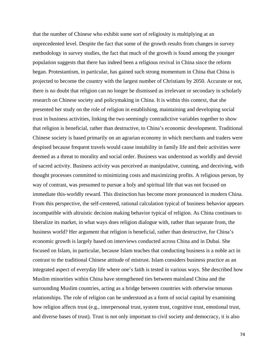that the number of Chinese who exhibit some sort of religiosity is multiplying at an unprecedented level. Despite the fact that some of the growth results from changes in survey methodology in survey studies, the fact that much of the growth is found among the younger population suggests that there has indeed been a religious revival in China since the reform began. Protestantism, in particular, has gained such strong momentum in China that China is projected to become the country with the largest number of Christians by 2050. Accurate or not, there is no doubt that religion can no longer be dismissed as irrelevant or secondary in scholarly research on Chinese society and policymaking in China. It is within this context, that she presented her study on the role of religion in establishing, maintaining and developing social trust in business activities, linking the two seemingly contradictive variables together to show that religion is beneficial, rather than destructive, to China's economic development. Traditional Chinese society is based primarily on an agrarian economy in which merchants and traders were despised because frequent travels would cause instability in family life and their activities were deemed as a threat to morality and social order. Business was understood as worldly and devoid of sacred activity. Business activity was perceived as manipulative, cunning, and deceiving, with thought processes committed to minimizing costs and maximizing profits. A religious person, by way of contrast, was presumed to pursue a holy and spiritual life that was not focused on immediate this-worldly reward. This distinction has become more pronounced in modern China. From this perspective, the self-centered, rational calculation typical of business behavior appears incompatible with altruistic decision making behavior typical of religion. As China continues to liberalize its market, in what ways does religion dialogue with, rather than separate from, the business world? Her argument that religion is beneficial, rather than destructive, for China's economic growth is largely based on interviews conducted across China and in Dubai. She focused on Islam, in particular, because Islam teaches that conducting business is a noble act in contrast to the traditional Chinese attitude of mistrust. Islam considers business practice as an integrated aspect of everyday life where one's faith is tested in various ways. She described how Muslim minorities within China have strengthened ties between mainland China and the surrounding Muslim countries, acting as a bridge between countries with otherwise tenuous relationships. The role of religion can be understood as a form of social capital by examining how religion affects trust (e.g., interpersonal trust, system trust, cognitive trust, emotional trust, and diverse bases of trust). Trust is not only important to civil society and democracy, it is also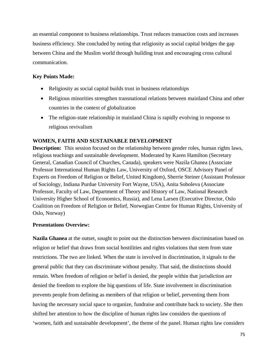an essential component to business relationships. Trust reduces transaction costs and increases business efficiency. She concluded by noting that religiosity as social capital bridges the gap between China and the Muslim world through building trust and encouraging cross cultural communication.

## **Key Points Made:**

- Religiosity as social capital builds trust in business relationships
- Religious minorities strengthen transnational relations between mainland China and other countries in the context of globalization
- The religion-state relationship in mainland China is rapidly evolving in response to religious revivalism

## **WOMEN, FAITH AND SUSTAINABLE DEVELOPMENT**

**Description:** This session focused on the relationship between gender roles, human rights laws, religious teachings and sustainable development. Moderated by Karen Hamilton (Secretary General, Canadian Council of Churches, Canada), speakers were Nazila Ghanea (Associate Professor International Human Rights Law, University of Oxford, OSCE Advisory Panel of Experts on Freedom of Religion or Belief, United Kingdom), Sherrie Steiner (Assistant Professor of Sociology, Indiana Purdue University Fort Wayne, USA), Anita Soboleva (Associate Professor, Faculty of Law, Department of Theory and History of Law, National Research University Higher School of Economics, Russia), and Lena Larsen (Executive Director, Oslo Coalition on Freedom of Religion or Belief, Norwegian Centre for Human Rights, University of Oslo, Norway)

## **Presentations Overview:**

**Nazila Ghanea** at the outset, sought to point out the distinction between discrimination based on religion or belief that draws from social hostilities and rights violations that stem from state restrictions. The two are linked. When the state is involved in discrimination, it signals to the general public that they can discriminate without penalty. That said, the distinctions should remain. When freedom of religion or belief is denied, the people within that jurisdiction are denied the freedom to explore the big questions of life. State involvement in discrimination prevents people from defining as members of that religion or belief, preventing them from having the necessary social space to organize, fundraise and contribute back to society. She then shifted her attention to how the discipline of human rights law considers the questions of 'women, faith and sustainable development', the theme of the panel. Human rights law considers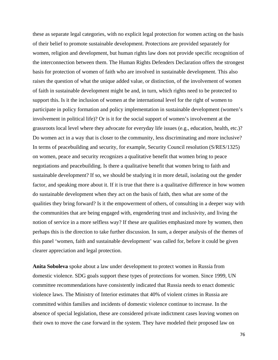these as separate legal categories, with no explicit legal protection for women acting on the basis of their belief to promote sustainable development. Protections are provided separately for women, religion and development, but human rights law does not provide specific recognition of the interconnection between them. The Human Rights Defenders Declaration offers the strongest basis for protection of women of faith who are involved in sustainable development. This also raises the question of what the unique added value, or distinction, of the involvement of women of faith in sustainable development might be and, in turn, which rights need to be protected to support this. Is it the inclusion of women at the international level for the right of women to participate in policy formation and policy implementation in sustainable development (women's involvement in political life)? Or is it for the social support of women's involvement at the grassroots local level where they advocate for everyday life issues (e.g., education, health, etc.)? Do women act in a way that is closer to the community, less discriminating and more inclusive? In terms of peacebuilding and security, for example, Security Council resolution (S/RES/1325) on women, peace and security recognizes a qualitative benefit that women bring to peace negotiations and peacebuilding. Is there a qualitative benefit that women bring to faith and sustainable development? If so, we should be studying it in more detail, isolating out the gender factor, and speaking more about it. If it is true that there is a qualitative difference in how women do sustainable development when they act on the basis of faith, then what are some of the qualities they bring forward? Is it the empowerment of others, of consulting in a deeper way with the communities that are being engaged with, engendering trust and inclusivity, and living the notion of service in a more selfless way? If these are qualities emphasized more by women, then perhaps this is the direction to take further discussion. In sum, a deeper analysis of the themes of this panel 'women, faith and sustainable development' was called for, before it could be given clearer appreciation and legal protection.

**Anita Soboleva** spoke about a law under development to protect women in Russia from domestic violence. SDG goals support these types of protections for women. Since 1999, UN committee recommendations have consistently indicated that Russia needs to enact domestic violence laws. The Ministry of Interior estimates that 40% of violent crimes in Russia are committed within families and incidents of domestic violence continue to increase. In the absence of special legislation, these are considered private indictment cases leaving women on their own to move the case forward in the system. They have modeled their proposed law on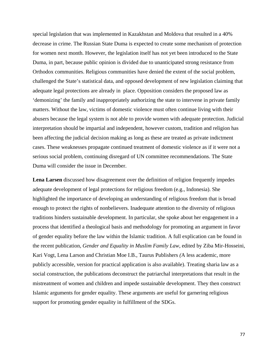special legislation that was implemented in Kazakhstan and Moldova that resulted in a 40% decrease in crime. The Russian State Duma is expected to create some mechanism of protection for women next month. However, the legislation itself has not yet been introduced to the State Duma, in part, because public opinion is divided due to unanticipated strong resistance from Orthodox communities. Religious communities have denied the extent of the social problem, challenged the State's statistical data, and opposed development of new legislation claiming that adequate legal protections are already in place. Opposition considers the proposed law as 'demonizing' the family and inappropriately authorizing the state to intervene in private family matters. Without the law, victims of domestic violence must often continue living with their abusers because the legal system is not able to provide women with adequate protection. Judicial interpretation should be impartial and independent, however custom, tradition and religion has been affecting the judicial decision making as long as these are treated as private indictment cases. These weaknesses propagate continued treatment of domestic violence as if it were not a serious social problem, continuing disregard of UN committee recommendations. The State Duma will consider the issue in December.

**Lena Larsen** discussed how disagreement over the definition of religion frequently impedes adequate development of legal protections for religious freedom (e.g., Indonesia). She highlighted the importance of developing an understanding of religious freedom that is broad enough to protect the rights of nonbelievers. Inadequate attention to the diversity of religious traditions hinders sustainable development. In particular, she spoke about her engagement in a process that identified a theological basis and methodology for promoting an argument in favor of gender equality before the law within the Islamic tradition. A full explication can be found in the recent publication, *Gender and Equality in Muslim Family Law,* edited by Ziba Mir-Hosseini, Kari Vogt, Lena Larson and Christian Moe I.B., Taurus Publishers *(*A less academic, more publicly accessible, version for practical application is also available). Treating sharia law as a social construction, the publications deconstruct the patriarchal interpretations that result in the mistreatment of women and children and impede sustainable development. They then construct Islamic arguments for gender equality. These arguments are useful for garnering religious support for promoting gender equality in fulfillment of the SDGs.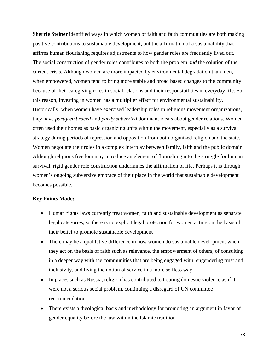**Sherrie Steiner** identified ways in which women of faith and faith communities are both making positive contributions to sustainable development, but the affirmation of a sustainability that affirms human flourishing requires adjustments to how gender roles are frequently lived out. The social construction of gender roles contributes to both the problem *and* the solution of the current crisis. Although women are more impacted by environmental degradation than men, when empowered, women tend to bring more stable and broad based changes to the community because of their caregiving roles in social relations and their responsibilities in everyday life. For this reason, investing in women has a multiplier effect for environmental sustainability. Historically, when women have exercised leadership roles in religious movement organizations, they have *partly embraced* and *partly subverted* dominant ideals about gender relations. Women often used their homes as basic organizing units within the movement, especially as a survival strategy during periods of repression and opposition from both organized religion and the state. Women negotiate their roles in a complex interplay between family, faith and the public domain. Although religious freedom may introduce an element of flourishing into the struggle for human survival, rigid gender role construction undermines the affirmation of life. Perhaps it is through women's ongoing subversive embrace of their place in the world that sustainable development becomes possible.

### **Key Points Made:**

- Human rights laws currently treat women, faith and sustainable development as separate legal categories, so there is no explicit legal protection for women acting on the basis of their belief to promote sustainable development
- There may be a qualitative difference in how women do sustainable development when they act on the basis of faith such as relevance, the empowerment of others, of consulting in a deeper way with the communities that are being engaged with, engendering trust and inclusivity, and living the notion of service in a more selfless way
- In places such as Russia, religion has contributed to treating domestic violence as if it were not a serious social problem, continuing a disregard of UN committee recommendations
- There exists a theological basis and methodology for promoting an argument in favor of gender equality before the law within the Islamic tradition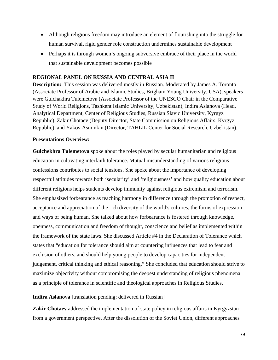- Although religious freedom may introduce an element of flourishing into the struggle for human survival, rigid gender role construction undermines sustainable development
- Perhaps it is through women's ongoing subversive embrace of their place in the world that sustainable development becomes possible

## **REGIONAL PANEL ON RUSSIA AND CENTRAL ASIA II**

**Description:** This session was delivered mostly in Russian. Moderated by James A. Toronto (Associate Professor of Arabic and Islamic Studies, Brigham Young University, USA), speakers were Gulchakhra Tulemetova (Associate Professor of the UNESCO Chair in the Comparative Study of World Religions, Tashkent Islamic University, Uzbekistan), Indira Aslanova (Head, Analytical Department, Center of Religious Studies, Russian Slavic University, Kyrgyz Republic), Zakir Chotaev (Deputy Director, State Commission on Religious Affairs, Kyrgyz Republic), and Yakov Asminkin (Director, TAHLIL Center for Social Research, Uzbekistan).

#### **Presentations Overview:**

**Gulchekhra Tulemetova** spoke about the roles played by secular humanitarian and religious education in cultivating interfaith tolerance. Mutual misunderstanding of various religious confessions contributes to social tensions. She spoke about the importance of developing respectful attitudes towards both 'secularity' and 'religiousness' and how quality education about different religions helps students develop immunity against religious extremism and terrorism. She emphasized forbearance as teaching harmony in difference through the promotion of respect, acceptance and appreciation of the rich diversity of the world's cultures, the forms of expression and ways of being human. She talked about how forbearance is fostered through knowledge, openness, communication and freedom of thought, conscience and belief as implemented within the framework of the state laws. She discussed Article #4 in the Declaration of Tolerance which states that "education for tolerance should aim at countering influences that lead to fear and exclusion of others, and should help young people to develop capacities for independent judgement, critical thinking and ethical reasoning." She concluded that education should strive to maximize objectivity without compromising the deepest understanding of religious phenomena as a principle of tolerance in scientific and theological approaches in Religious Studies.

#### **Indira Aslanova** [translation pending; delivered in Russian]

**Zakir Chotaev** addressed the implementation of state policy in religious affairs in Kyrgyzstan from a government perspective. After the dissolution of the Soviet Union, different approaches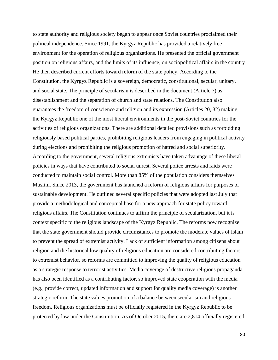to state authority and religious society began to appear once Soviet countries proclaimed their political independence. Since 1991, the Kyrgyz Republic has provided a relatively free environment for the operation of religious organizations. He presented the official government position on religious affairs, and the limits of its influence, on sociopolitical affairs in the country He then described current efforts toward reform of the state policy. According to the Constitution, the Kyrgyz Republic is a sovereign, democratic, constitutional, secular, unitary, and social state. The principle of secularism is described in the document (Article 7) as disestablishment and the separation of church and state relations. The Constitution also guarantees the freedom of conscience and religion and its expression (Articles 20, 32) making the Kyrgyz Republic one of the most liberal environments in the post-Soviet countries for the activities of religious organizations. There are additional detailed provisions such as forbidding religiously based political parties, prohibiting religious leaders from engaging in political activity during elections and prohibiting the religious promotion of hatred and social superiority. According to the government, several religious extremists have taken advantage of these liberal policies in ways that have contributed to social unrest. Several police arrests and raids were conducted to maintain social control. More than 85% of the population considers themselves Muslim. Since 2013, the government has launched a reform of religious affairs for purposes of sustainable development. He outlined several specific policies that were adopted last July that provide a methodological and conceptual base for a new approach for state policy toward religious affairs. The Constitution continues to affirm the principle of secularization, but it is context specific to the religious landscape of the Kyrgyz Republic. The reforms now recognize that the state government should provide circumstances to promote the moderate values of Islam to prevent the spread of extremist activity. Lack of sufficient information among citizens about religion and the historical low quality of religious education are considered contributing factors to extremist behavior, so reforms are committed to improving the quality of religious education as a strategic response to terrorist activities. Media coverage of destructive religious propaganda has also been identified as a contributing factor, so improved state cooperation with the media (e.g., provide correct, updated information and support for quality media coverage) is another strategic reform. The state values promotion of a balance between secularism and religious freedom. Religious organizations must be officially registered in the Kyrgyz Republic to be protected by law under the Constitution. As of October 2015, there are 2,814 officially registered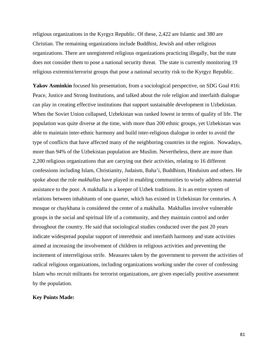religious organizations in the Kyrgyz Republic. Of these, 2,422 are Islamic and 380 are Christian. The remaining organizations include Buddhist, Jewish and other religious organizations. There are unregistered religious organizations practicing illegally, but the state does not consider them to pose a national security threat. The state is currently monitoring 19 religious extremist/terrorist groups that pose a national security risk to the Kyrgyz Republic.

**Yakov Asminkin** focused his presentation, from a sociological perspective, on SDG Goal #16: Peace, Justice and Strong Institutions, and talked about the role religion and interfaith dialogue can play in creating effective institutions that support sustainable development in Uzbekistan. When the Soviet Union collapsed, Uzbekistan was ranked lowest in terms of quality of life. The population was quite diverse at the time, with more than 200 ethnic groups, yet Uzbekistan was able to maintain inter-ethnic harmony and build inter-religious dialogue in order to avoid the type of conflicts that have affected many of the neighboring countries in the region. Nowadays, more than 94% of the Uzbekistan population are Muslim. Nevertheless, there are more than 2,200 religious organizations that are carrying out their activities, relating to 16 different confessions including Islam, Christianity, Judaism, Baha'i, Buddhism, Hinduism and others. He spoke about the role *makhallas* have played in enabling communities to wisely address material assistance to the poor. A makhalla is a keeper of Uzbek traditions. It is an entire system of relations between inhabitants of one quarter, which has existed in Uzbekistan for centuries. A mosque or chaykhana is considered the center of a makhalla. Makhallas involve vulnerable groups in the social and spiritual life of a community, and they maintain control and order throughout the country. He said that sociological studies conducted over the past 20 years indicate widespread popular support of interethnic and interfaith harmony and state activities aimed at increasing the involvement of children in religious activities and preventing the incitement of interreligious strife. Measures taken by the government to prevent the activities of radical religious organizations, including organizations working under the cover of confessing Islam who recruit militants for terrorist organizations, are given especially positive assessment by the population.

#### **Key Points Made:**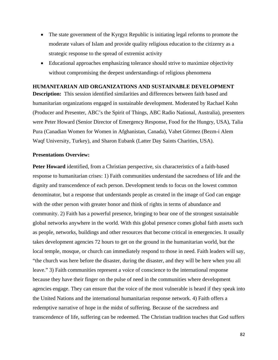- The state government of the Kyrgyz Republic is initiating legal reforms to promote the moderate values of Islam and provide quality religious education to the citizenry as a strategic response to the spread of extremist activity
- Educational approaches emphasizing tolerance should strive to maximize objectivity without compromising the deepest understandings of religious phenomena

## **HUMANITARIAN AID ORGANIZATIONS AND SUSTAINABLE DEVELOPMENT**

**Description:** This session identified similarities and differences between faith based and humanitarian organizations engaged in sustainable development. Moderated by Rachael Kohn (Producer and Presenter, ABC's the Spirit of Things, ABC Radio National, Australia), presenters were Peter Howard (Senior Director of Emergency Response, Food for the Hungry, USA), Talia Pura (Canadian Women for Women in Afghanistan, Canada), Vahet Görmez (Bezm-i Alem Waqf University, Turkey), and Sharon Eubank (Latter Day Saints Charities, USA).

## **Presentations Overview:**

**Peter Howard** identified, from a Christian perspective, six characteristics of a faith-based response to humanitarian crises: 1) Faith communities understand the sacredness of life and the dignity and transcendence of each person. Development tends to focus on the lowest common denominator, but a response that understands people as created in the image of God can engage with the other person with greater honor and think of rights in terms of abundance and community. 2) Faith has a powerful presence, bringing to bear one of the strongest sustainable global networks anywhere in the world. With this global presence comes global faith assets such as people, networks, buildings and other resources that become critical in emergencies. It usually takes development agencies 72 hours to get on the ground in the humanitarian world, but the local temple, mosque, or church can immediately respond to those in need. Faith leaders will say, "the church was here before the disaster, during the disaster, and they will be here when you all leave." 3) Faith communities represent a voice of conscience to the international response because they have their finger on the pulse of need in the communities where development agencies engage. They can ensure that the voice of the most vulnerable is heard if they speak into the United Nations and the international humanitarian response network. 4) Faith offers a redemptive narrative of hope in the midst of suffering. Because of the sacredness and transcendence of life, suffering can be redeemed. The Christian tradition teaches that God suffers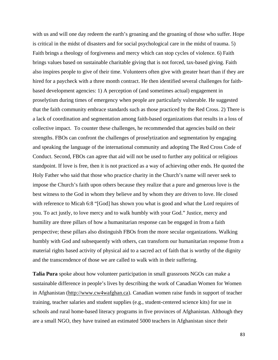with us and will one day redeem the earth's groaning and the groaning of those who suffer. Hope is critical in the midst of disasters and for social psychological care in the midst of trauma. 5) Faith brings a theology of forgiveness and mercy which can stop cycles of violence. 6) Faith brings values based on sustainable charitable giving that is not forced, tax-based giving. Faith also inspires people to give of their time. Volunteers often give with greater heart than if they are hired for a paycheck with a three month contract. He then identified several challenges for faithbased development agencies: 1) A perception of (and sometimes actual) engagement in proselytism during times of emergency when people are particularly vulnerable. He suggested that the faith community embrace standards such as those practiced by the Red Cross. 2) There is a lack of coordination and segmentation among faith-based organizations that results in a loss of collective impact. To counter these challenges, he recommended that agencies build on their strengths. FBOs can confront the challenges of proselytization and segmentation by engaging and speaking the language of the international community and adopting The Red Cross Code of Conduct. Second, FBOs can agree that aid will not be used to further any political or religious standpoint. If love is free, then it is not practiced as a way of achieving other ends. He quoted the Holy Father who said that those who practice charity in the Church's name will never seek to impose the Church's faith upon others because they realize that a pure and generous love is the best witness to the God in whom they believe and by whom they are driven to love. He closed with reference to Micah 6:8 "[God] has shown you what is good and what the Lord requires of you. To act justly, to love mercy and to walk humbly with your God." Justice, mercy and humility are three pillars of how a humanitarian response can be engaged in from a faith perspective; these pillars also distinguish FBOs from the more secular organizations. Walking humbly with God and subsequently with others, can transform our humanitarian response from a material rights based activity of physical aid to a sacred act of faith that is worthy of the dignity and the transcendence of those we are called to walk with in their suffering.

**Talia Pura** spoke about how volunteer participation in small grassroots NGOs can make a sustainable difference in people's lives by describing the work of Canadian Women for Women in Afghanistan [\(http://www.cw4wafghan.ca\)](http://www.cw4wafghan.ca/). Canadian women raise funds in support of teacher training, teacher salaries and student supplies (e.g., student-centered science kits) for use in schools and rural home-based literacy programs in five provinces of Afghanistan. Although they are a small NGO, they have trained an estimated 5000 teachers in Afghanistan since their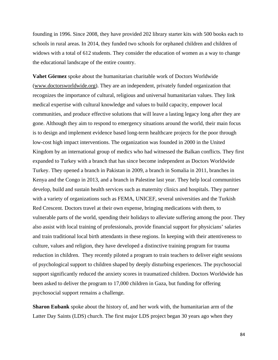founding in 1996. Since 2008, they have provided 202 library starter kits with 500 books each to schools in rural areas. In 2014, they funded two schools for orphaned children and children of widows with a total of 612 students. They consider the education of women as a way to change the educational landscape of the entire country.

**Vahet Görmez** spoke about the humanitarian charitable work of Doctors Worldwide [\(www.doctorsworldwide.org\)](http://www.doctorsworldwide.org/). They are an independent, privately funded organization that recognizes the importance of cultural, religious and universal humanitarian values. They link medical expertise with cultural knowledge and values to build capacity, empower local communities, and produce effective solutions that will leave a lasting legacy long after they are gone. Although they aim to respond to emergency situations around the world, their main focus is to design and implement evidence based long-term healthcare projects for the poor through low-cost high impact interventions. The organization was founded in 2000 in the United Kingdom by an international group of medics who had witnessed the Balkan conflicts. They first expanded to Turkey with a branch that has since become independent as Doctors Worldwide Turkey. They opened a branch in Pakistan in 2009, a branch in Somalia in 2011, branches in Kenya and the Congo in 2013, and a branch in Palestine last year. They help local communities develop, build and sustain health services such as maternity clinics and hospitals. They partner with a variety of organizations such as FEMA, UNICEF, several universities and the Turkish Red Crescent. Doctors travel at their own expense, bringing medications with them, to vulnerable parts of the world, spending their holidays to alleviate suffering among the poor. They also assist with local training of professionals, provide financial support for physicians' salaries and train traditional local birth attendants in these regions. In keeping with their attentiveness to culture, values and religion, they have developed a distinctive training program for trauma reduction in children. They recently piloted a program to train teachers to deliver eight sessions of psychological support to children shaped by deeply disturbing experiences. The psychosocial support significantly reduced the anxiety scores in traumatized children. Doctors Worldwide has been asked to deliver the program to 17,000 children in Gaza, but funding for offering psychosocial support remains a challenge.

**Sharon Eubank** spoke about the history of, and her work with, the humanitarian arm of the Latter Day Saints (LDS) church. The first major LDS project began 30 years ago when they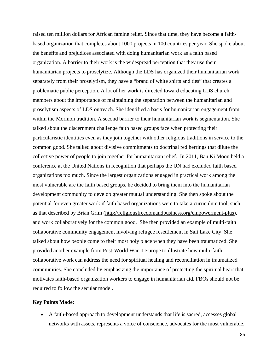raised ten million dollars for African famine relief. Since that time, they have become a faithbased organization that completes about 1000 projects in 100 countries per year. She spoke about the benefits and prejudices associated with doing humanitarian work as a faith based organization. A barrier to their work is the widespread perception that they use their humanitarian projects to proselytize. Although the LDS has organized their humanitarian work separately from their proselytism, they have a "brand of white shirts and ties" that creates a problematic public perception. A lot of her work is directed toward educating LDS church members about the importance of maintaining the separation between the humanitarian and proselytism aspects of LDS outreach. She identified a basis for humanitarian engagement from within the Mormon tradition. A second barrier to their humanitarian work is segmentation. She talked about the discernment challenge faith based groups face when protecting their particularistic identities even as they join together with other religious traditions in service to the common good. She talked about divisive commitments to doctrinal red herrings that dilute the collective power of people to join together for humanitarian relief. In 2011, Ban Ki Moon held a conference at the United Nations in recognition that perhaps the UN had excluded faith based organizations too much. Since the largest organizations engaged in practical work among the most vulnerable are the faith based groups, he decided to bring them into the humanitarian development community to develop greater mutual understanding. She then spoke about the potential for even greater work if faith based organizations were to take a curriculum tool, such as that described by Brian Grim [\(http://religiousfreedomandbusiness.org/empowerment-plus\)](http://religiousfreedomandbusiness.org/empowerment-plus), and work collaboratively for the common good. She then provided an example of multi-faith collaborative community engagement involving refugee resettlement in Salt Lake City. She talked about how people come to their most holy place when they have been traumatized. She provided another example from Post-World War II Europe to illustrate how multi-faith collaborative work can address the need for spiritual healing and reconciliation in traumatized communities. She concluded by emphasizing the importance of protecting the spiritual heart that motivates faith-based organization workers to engage in humanitarian aid. FBOs should not be required to follow the secular model.

## **Key Points Made:**

• A faith-based approach to development understands that life is sacred, accesses global networks with assets, represents a voice of conscience, advocates for the most vulnerable,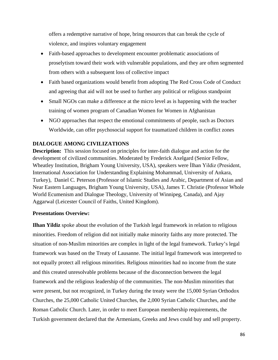offers a redemptive narrative of hope, bring resources that can break the cycle of violence, and inspires voluntary engagement

- Faith-based approaches to development encounter problematic associations of proselytism toward their work with vulnerable populations, and they are often segmented from others with a subsequent loss of collective impact
- Faith based organizations would benefit from adopting The Red Cross Code of Conduct and agreeing that aid will not be used to further any political or religious standpoint
- Small NGOs can make a difference at the micro level as is happening with the teacher training of women program of Canadian Women for Women in Afghanistan
- NGO approaches that respect the emotional commitments of people, such as Doctors Worldwide, can offer psychosocial support for traumatized children in conflict zones

# **DIALOGUE AMONG CIVILIZATIONS**

**Description:** This session focused on principles for inter-faith dialogue and action for the development of civilized communities. Moderated by Frederick Axelgard (Senior Fellow, Wheatley Institution, Brigham Young University, USA), speakers were İlhan Yildiz (President, International Association for Understanding Explaining Mohammad, University of Ankara, Turkey), Daniel C. Peterson (Professor of Islamic Studies and Arabic, Department of Asian and Near Eastern Languages, Brigham Young University, USA), James T. Christie (Professor Whole World Ecumenism and Dialogue Theology, University of Winnipeg, Canada), and Ajay Aggarwal (Leicester Council of Faiths, United Kingdom).

## **Presentations Overview:**

**Ilhan Yildiz** spoke about the evolution of the Turkish legal framework in relation to religious minorities. Freedom of religion did not initially make minority faiths any more protected. The situation of non-Muslim minorities are complex in light of the legal framework. Turkey's legal framework was based on the Treaty of Lausanne. The initial legal framework was interpreted to not equally protect all religious minorities. Religious minorities had no income from the state and this created unresolvable problems because of the disconnection between the legal framework and the religious leadership of the communities. The non-Muslim minorities that were present, but not recognized, in Turkey during the treaty were the 15,000 Syrian Orthodox Churches, the 25,000 Catholic United Churches, the 2,000 Syrian Catholic Churches, and the Roman Catholic Church. Later, in order to meet European membership requirements, the Turkish government declared that the Armenians, Greeks and Jews could buy and sell property.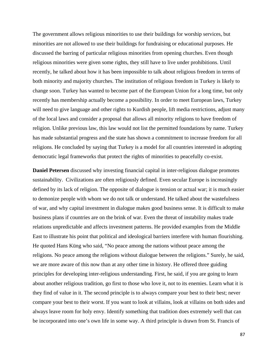The government allows religious minorities to use their buildings for worship services, but minorities are not allowed to use their buildings for fundraising or educational purposes. He discussed the barring of particular religious minorities from opening churches. Even though religious minorities were given some rights, they still have to live under prohibitions. Until recently, he talked about how it has been impossible to talk about religious freedom in terms of both minority and majority churches. The institution of religious freedom in Turkey is likely to change soon. Turkey has wanted to become part of the European Union for a long time, but only recently has membership actually become a possibility. In order to meet European laws, Turkey will need to give language and other rights to Kurdish people, lift media restrictions, adjust many of the local laws and consider a proposal that allows all minority religions to have freedom of religion. Unlike previous law, this law would not list the permitted foundations by name. Turkey has made substantial progress and the state has shown a commitment to increase freedom for all religions. He concluded by saying that Turkey is a model for all countries interested in adopting democratic legal frameworks that protect the rights of minorities to peacefully co-exist.

**Daniel Petersen** discussed why investing financial capital in inter-religious dialogue promotes sustainability. Civilizations are often religiously defined. Even secular Europe is increasingly defined by its lack of religion. The opposite of dialogue is tension or actual war; it is much easier to demonize people with whom we do not talk or understand. He talked about the wastefulness of war, and why capital investment in dialogue makes good business sense. It is difficult to make business plans if countries are on the brink of war. Even the threat of instability makes trade relations unpredictable and affects investment patterns. He provided examples from the Middle East to illustrate his point that political and ideological barriers interfere with human flourishing. He quoted Hans Küng who said, "No peace among the nations without peace among the religions. No peace among the religions without dialogue between the religions." Surely, he said, we are more aware of this now than at any other time in history. He offered three guiding principles for developing inter-religious understanding. First, he said, if you are going to learn about another religious tradition, go first to those who love it, not to its enemies. Learn what it is they find of value in it. The second principle is to always compare your best to their best; never compare your best to their worst. If you want to look at villains, look at villains on both sides and always leave room for holy envy. Identify something that tradition does extremely well that can be incorporated into one's own life in some way. A third principle is drawn from St. Francis of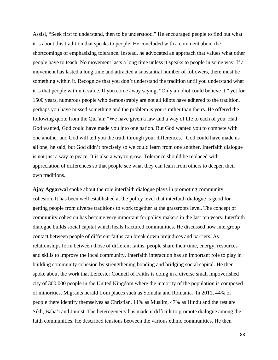Assisi, "Seek first to understand, then to be understood." He encouraged people to find out what it is about this tradition that speaks to people. He concluded with a comment about the shortcomings of emphasizing tolerance. Instead, he advocated an approach that values what other people have to teach. No movement lasts a long time unless it speaks to people in some way. If a movement has lasted a long time and attracted a substantial number of followers, there must be something within it. Recognize that you don't understand the tradition until you understand what it is that people within it value. If you come away saying, "Only an idiot could believe it," yet for 1500 years, numerous people who demonstrably are not all idiots have adhered to the tradition, perhaps you have missed something and the problem is yours rather than theirs. He offered the following quote from the Qur'an: "We have given a law and a way of life to each of you. Had God wanted, God could have made you into one nation. But God wanted you to compete with one another and God will tell you the truth through your differences." God could have made us all one, he said, but God didn't precisely so we could learn from one another. Interfaith dialogue is not just a way to peace. It is also a way to grow. Tolerance should be replaced with appreciation of differences so that people see what they can learn from others to deepen their own traditions.

**Ajay Aggarwal** spoke about the role interfaith dialogue plays in promoting community cohesion. It has been well established at the policy level that interfaith dialogue is good for getting people from diverse traditions to work together at the grassroots level. The concept of community cohesion has become very important for policy makers in the last ten years. Interfaith dialogue builds social capital which heals fractured communities. He discussed how intergroup contact between people of different faiths can break down prejudices and barriers. As relationships form between those of different faiths, people share their time, energy, resources and skills to improve the local community. Interfaith interaction has an important role to play in building community cohesion by strengthening bonding and bridging social capital. He then spoke about the work that Leicester Council of Faiths is doing in a diverse small impoverished city of 300,000 people in the United Kingdom where the majority of the population is composed of minorities. Migrants herald from places such as Somalia and Romania. In 2011, 44% of people there identify themselves as Christian, 11% as Muslim, 47% as Hindu and the rest are Sikh, Baha'i and Jainist. The heterogeneity has made it difficult to promote dialogue among the faith communities. He described tensions between the various ethnic communities. He then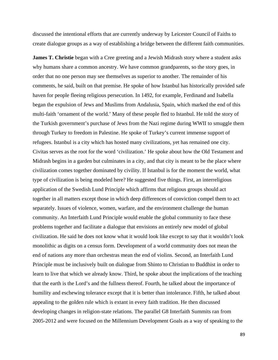discussed the intentional efforts that are currently underway by Leicester Council of Faiths to create dialogue groups as a way of establishing a bridge between the different faith communities.

**James T. Christie** began with a Cree greeting and a Jewish Midrash story where a student asks why humans share a common ancestry. We have common grandparents, so the story goes, in order that no one person may see themselves as superior to another. The remainder of his comments, he said, built on that premise. He spoke of how Istanbul has historically provided safe haven for people fleeing religious persecution. In 1492, for example, Ferdinand and Isabella began the expulsion of Jews and Muslims from Andalusia, Spain, which marked the end of this multi-faith 'ornament of the world.' Many of these people fled to Istanbul. He told the story of the Turkish government's purchase of Jews from the Nazi regime during WWII to smuggle them through Turkey to freedom in Palestine. He spoke of Turkey's current immense support of refugees. Istanbul is a city which has hosted many civilizations, yet has remained one city. Civitas serves as the root for the word 'civilization.' He spoke about how the Old Testament and Midrash begins in a garden but culminates in a city, and that city is meant to be the place where civilization comes together dominated by civility. If Istanbul is for the moment the world, what type of civilization is being modeled here? He suggested five things. First, an interreligious application of the Swedish Lund Principle which affirms that religious groups should act together in all matters except those in which deep differences of conviction compel them to act separately. Issues of violence, women, warfare, and the environment challenge the human community. An Interfaith Lund Principle would enable the global community to face these problems together and facilitate a dialogue that envisions an entirely new model of global civilization. He said he does not know what it would look like except to say that it wouldn't look monolithic as digits on a census form. Development of a world community does not mean the end of nations any more than orchestras mean the end of violins. Second, an Interfaith Lund Principle must be inclusively built on dialogue from Shinto to Christian to Buddhist in order to learn to live that which we already know. Third, he spoke about the implications of the teaching that the earth is the Lord's and the fullness thereof. Fourth, he talked about the importance of humility and eschewing tolerance except that it is better than intolerance. Fifth, he talked about appealing to the golden rule which is extant in every faith tradition. He then discussed developing changes in religion-state relations. The parallel G8 Interfaith Summits ran from 2005-2012 and were focused on the Millennium Development Goals as a way of speaking to the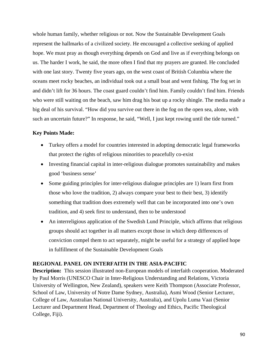whole human family, whether religious or not. Now the Sustainable Development Goals represent the hallmarks of a civilized society. He encouraged a collective seeking of applied hope. We must pray as though everything depends on God and live as if everything belongs on us. The harder I work, he said, the more often I find that my prayers are granted. He concluded with one last story. Twenty five years ago, on the west coast of British Columbia where the oceans meet rocky beaches, an individual took out a small boat and went fishing. The fog set in and didn't lift for 36 hours. The coast guard couldn't find him. Family couldn't find him. Friends who were still waiting on the beach, saw him drag his boat up a rocky shingle. The media made a big deal of his survival. "How did you survive out there in the fog on the open sea, alone, with such an uncertain future?" In response, he said, "Well, I just kept rowing until the tide turned."

## **Key Points Made:**

- Turkey offers a model for countries interested in adopting democratic legal frameworks that protect the rights of religious minorities to peacefully co-exist
- Investing financial capital in inter-religious dialogue promotes sustainability and makes good 'business sense'
- Some guiding principles for inter-religious dialogue principles are 1) learn first from those who love the tradition, 2) always compare your best to their best, 3) identify something that tradition does extremely well that can be incorporated into one's own tradition, and 4) seek first to understand, then to be understood
- An interreligious application of the Swedish Lund Principle, which affirms that religious groups should act together in all matters except those in which deep differences of conviction compel them to act separately, might be useful for a strategy of applied hope in fulfillment of the Sustainable Development Goals

# **REGIONAL PANEL ON INTERFAITH IN THE ASIA-PACIFIC**

**Description:** This session illustrated non-European models of interfaith cooperation. Moderated by Paul Morris (UNESCO Chair in Inter-Religious Understanding and Relations, Victoria University of Wellington, New Zealand), speakers were Keith Thompson (Associate Professor, School of Law, University of Notre Dame Sydney, Australia), Asmi Wood (Senior Lecturer, College of Law, Australian National University, Australia), and Upolu Luma Vaai (Senior Lecturer and Department Head, Department of Theology and Ethics, Pacific Theological College, Fiji).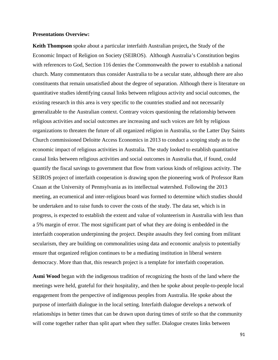#### **Presentations Overview:**

**Keith Thompson** spoke about a particular interfaith Australian project**,** the Study of the Economic Impact of Religion on Society (SEIROS). Although Australia's Constitution begins with references to God, Section 116 denies the Commonwealth the power to establish a national church. Many commentators thus consider Australia to be a secular state, although there are also constituents that remain unsatisfied about the degree of separation. Although there is literature on quantitative studies identifying causal links between religious activity and social outcomes, the existing research in this area is very specific to the countries studied and not necessarily generalizable to the Australian context. Contrary voices questioning the relationship between religious activities and social outcomes are increasing and such voices are felt by religious organizations to threaten the future of all organized religion in Australia, so the Latter Day Saints Church commissioned Deloitte Access Economics in 2013 to conduct a scoping study as to the economic impact of religious activities in Australia. The study looked to establish quantitative causal links between religious activities and social outcomes in Australia that, if found, could quantify the fiscal savings to government that flow from various kinds of religious activity. The SEIROS project of interfaith cooperation is drawing upon the pioneering work of Professor Ram Cnaan at the University of Pennsylvania as its intellectual watershed. Following the 2013 meeting, an ecumenical and inter-religious board was formed to determine which studies should be undertaken and to raise funds to cover the costs of the study. The data set, which is in progress, is expected to establish the extent and value of volunteerism in Australia with less than a 5% margin of error. The most significant part of what they are doing is embedded in the interfaith cooperation underpinning the project. Despite assaults they feel coming from militant secularism, they are building on commonalities using data and economic analysis to potentially ensure that organized religion continues to be a mediating institution in liberal western democracy. More than that, this research project is a template for interfaith cooperation.

**Asmi Wood** began with the indigenous tradition of recognizing the hosts of the land where the meetings were held, grateful for their hospitality, and then he spoke about people-to-people local engagement from the perspective of indigenous peoples from Australia. He spoke about the purpose of interfaith dialogue in the local setting. Interfaith dialogue develops a network of relationships in better times that can be drawn upon during times of strife so that the community will come together rather than split apart when they suffer. Dialogue creates links between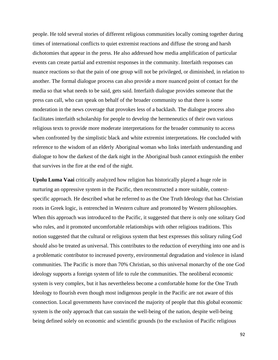people. He told several stories of different religious communities locally coming together during times of international conflicts to quiet extremist reactions and diffuse the strong and harsh dichotomies that appear in the press. He also addressed how media amplification of particular events can create partial and extremist responses in the community. Interfaith responses can nuance reactions so that the pain of one group will not be privileged, or diminished, in relation to another. The formal dialogue process can also provide a more nuanced point of contact for the media so that what needs to be said, gets said. Interfaith dialogue provides someone that the press can call, who can speak on behalf of the broader community so that there is some moderation in the news coverage that provokes less of a backlash. The dialogue process also facilitates interfaith scholarship for people to develop the hermeneutics of their own various religious texts to provide more moderate interpretations for the broader community to access when confronted by the simplistic black and white extremist interpretations. He concluded with reference to the wisdom of an elderly Aboriginal woman who links interfaith understanding and dialogue to how the darkest of the dark night in the Aboriginal bush cannot extinguish the ember that survives in the fire at the end of the night.

**Upolu Luma Vaai** critically analyzed how religion has historically played a huge role in nurturing an oppressive system in the Pacific, then reconstructed a more suitable, contextspecific approach. He described what he referred to as the One Truth Ideology that has Christian roots in Greek logic, is entrenched in Western culture and promoted by Western philosophies. When this approach was introduced to the Pacific, it suggested that there is only one solitary God who rules, and it promoted uncomfortable relationships with other religious traditions. This notion suggested that the cultural or religious system that best expresses this solitary ruling God should also be treated as universal. This contributes to the reduction of everything into one and is a problematic contributor to increased poverty, environmental degradation and violence in island communities. The Pacific is more than 70% Christian, so this universal monarchy of the one God ideology supports a foreign system of life to rule the communities. The neoliberal economic system is very complex, but it has nevertheless become a comfortable home for the One Truth Ideology to flourish even though most indigenous people in the Pacific are not aware of this connection. Local governments have convinced the majority of people that this global economic system is the only approach that can sustain the well-being of the nation, despite well-being being defined solely on economic and scientific grounds (to the exclusion of Pacific religious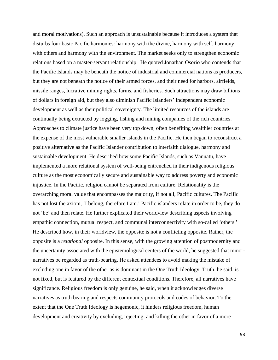and moral motivations). Such an approach is unsustainable because it introduces a system that disturbs four basic Pacific harmonies: harmony with the divine, harmony with self, harmony with others and harmony with the environment. The market seeks only to strengthen economic relations based on a master-servant relationship. He quoted Jonathan Osorio who contends that the Pacific Islands may be beneath the notice of industrial and commercial nations as producers, but they are not beneath the notice of their armed forces, and their need for harbors, airfields, missile ranges, lucrative mining rights, farms, and fisheries. Such attractions may draw billions of dollars in foreign aid, but they also diminish Pacific Islanders' independent economic development as well as their political sovereignty. The limited resources of the islands are continually being extracted by logging, fishing and mining companies of the rich countries. Approaches to climate justice have been very top down, often benefiting wealthier countries at the expense of the most vulnerable smaller islands in the Pacific. He then began to reconstruct a positive alternative as the Pacific Islander contribution to interfaith dialogue, harmony and sustainable development. He described how some Pacific Islands, such as Vanuatu, have implemented a more relational system of well-being entrenched in their indigenous religious culture as the most economically secure and sustainable way to address poverty and economic injustice. In the Pacific, religion cannot be separated from culture. Relationality is the overarching moral value that encompasses the majority, if not all, Pacific cultures. The Pacific has not lost the axiom, 'I belong, therefore I am.' Pacific islanders relate in order to be, they do not 'be' and then relate. He further explicated their worldview describing aspects involving empathic connection, mutual respect, and communal interconnectivity with so-called 'others.' He described how, in their worldview, the opposite is not a conflicting opposite. Rather, the opposite is a *relational* opposite. In this sense, with the growing attention of postmodernity and the uncertainty associated with the epistemological centers of the world, he suggested that minornarratives be regarded as truth-bearing. He asked attendees to avoid making the mistake of excluding one in favor of the other as is dominant in the One Truth Ideology. Truth, he said, is not fixed, but is featured by the different contextual conditions. Therefore, all narratives have significance. Religious freedom is only genuine, he said, when it acknowledges diverse narratives as truth bearing and respects community protocols and codes of behavior. To the extent that the One Truth Ideology is hegemonic, it hinders religious freedom, human development and creativity by excluding, rejecting, and killing the other in favor of a more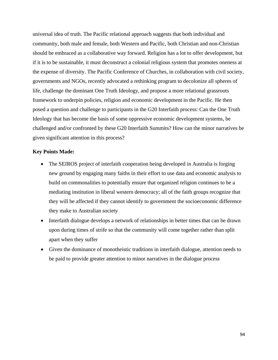universal idea of truth. The Pacific relational approach suggests that both individual and community, both male and female, both Western and Pacific, both Christian and non-Christian should be embraced as a collaborative way forward. Religion has a lot to offer development, but if it is to be sustainable, it must deconstruct a colonial religious system that promotes oneness at the expense of diversity. The Pacific Conference of Churches, in collaboration with civil society, governments and NGOs, recently advocated a rethinking program to decolonize all spheres of life, challenge the dominant One Truth Ideology, and propose a more relational grassroots framework to underpin policies, religion and economic development in the Pacific. He then posed a question and challenge to participants in the G20 Interfaith process: Can the One Truth Ideology that has become the basis of some oppressive economic development systems, be challenged and/or confronted by these G20 Interfaith Summits? How can the minor narratives be given significant attention in this process?

#### **Key Points Made:**

- The SEIROS project of interfaith cooperation being developed in Australia is forging new ground by engaging many faiths in their effort to use data and economic analysis to build on commonalities to potentially ensure that organized religion continues to be a mediating institution in liberal western democracy; all of the faith groups recognize that they will be affected if they cannot identify to government the socioeconomic difference they make to Australian society
- Interfaith dialogue develops a network of relationships in better times that can be drawn upon during times of strife so that the community will come together rather than split apart when they suffer
- Given the dominance of monotheistic traditions in interfaith dialogue, attention needs to be paid to provide greater attention to minor narratives in the dialogue process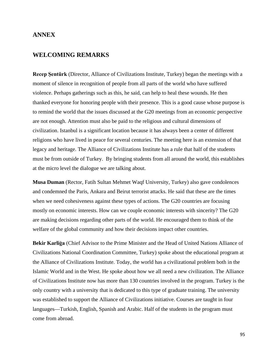## **ANNEX**

# **WELCOMING REMARKS**

**Recep Şentürk** (Director, Alliance of Civilizations Institute, Turkey) began the meetings with a moment of silence in recognition of people from all parts of the world who have suffered violence. Perhaps gatherings such as this, he said, can help to heal these wounds. He then thanked everyone for honoring people with their presence. This is a good cause whose purpose is to remind the world that the issues discussed at the G20 meetings from an economic perspective are not enough. Attention must also be paid to the religious and cultural dimensions of civilization. Istanbul is a significant location because it has always been a center of different religions who have lived in peace for several centuries. The meeting here is an extension of that legacy and heritage. The Alliance of Civilizations Institute has a rule that half of the students must be from outside of Turkey. By bringing students from all around the world, this establishes at the micro level the dialogue we are talking about.

**Musa Duman** (Rector, Fatih Sultan Mehmet Waqf University, Turkey) also gave condolences and condemned the Paris, Ankara and Beirut terrorist attacks. He said that these are the times when we need cohesiveness against these types of actions. The G20 countries are focusing mostly on economic interests. How can we couple economic interests with sincerity? The G20 are making decisions regarding other parts of the world. He encouraged them to think of the welfare of the global community and how their decisions impact other countries.

**Bekir Karliģa** (Chief Advisor to the Prime Minister and the Head of United Nations Alliance of Civilizations National Coordination Committee, Turkey) spoke about the educational program at the Alliance of Civilizations Institute. Today, the world has a civilizational problem both in the Islamic World and in the West. He spoke about how we all need a new civilization. The Alliance of Civilizations Institute now has more than 130 countries involved in the program. Turkey is the only country with a university that is dedicated to this type of graduate training. The university was established to support the Alliance of Civilizations initiative. Courses are taught in four languages—Turkish, English, Spanish and Arabic. Half of the students in the program must come from abroad.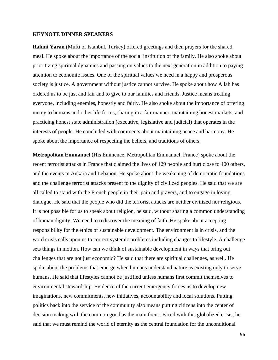#### **KEYNOTE DINNER SPEAKERS**

**Rahmi Yaran** (Mufti of Istanbul, Turkey) offered greetings and then prayers for the shared meal. He spoke about the importance of the social institution of the family. He also spoke about prioritizing spiritual dynamics and passing on values to the next generation in addition to paying attention to economic issues. One of the spiritual values we need in a happy and prosperous society is justice. A government without justice cannot survive. He spoke about how Allah has ordered us to be just and fair and to give to our families and friends. Justice means treating everyone, including enemies, honestly and fairly. He also spoke about the importance of offering mercy to humans and other life forms, sharing in a fair manner, maintaining honest markets, and practicing honest state administration (executive, legislative and judicial) that operates in the interests of people. He concluded with comments about maintaining peace and harmony. He spoke about the importance of respecting the beliefs, and traditions of others.

**Metropolitan Emmanuel** (His Eminence, Metropolitan Emmanuel, France) spoke about the recent terrorist attacks in France that claimed the lives of 129 people and hurt close to 400 others, and the events in Ankara and Lebanon. He spoke about the weakening of democratic foundations and the challenge terrorist attacks present to the dignity of civilized peoples. He said that we are all called to stand with the French people in their pain and prayers, and to engage in loving dialogue. He said that the people who did the terrorist attacks are neither civilized nor religious. It is not possible for us to speak about religion, he said, without sharing a common understanding of human dignity. We need to rediscover the meaning of faith. He spoke about accepting responsibility for the ethics of sustainable development. The environment is in crisis, and the word crisis calls upon us to correct systemic problems including changes to lifestyle. A challenge sets things in motion. How can we think of sustainable development in ways that bring out challenges that are not just economic? He said that there are spiritual challenges, as well. He spoke about the problems that emerge when humans understand nature as existing only to serve humans. He said that lifestyles cannot be justified unless humans first commit themselves to environmental stewardship. Evidence of the current emergency forces us to develop new imaginations, new commitments, new initiatives, accountability and local solutions. Putting politics back into the service of the community also means putting citizens into the center of decision making with the common good as the main focus. Faced with this globalized crisis, he said that we must remind the world of eternity as the central foundation for the unconditional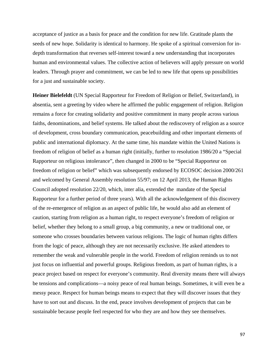acceptance of justice as a basis for peace and the condition for new life. Gratitude plants the seeds of new hope. Solidarity is identical to harmony. He spoke of a spiritual conversion for indepth transformation that reverses self-interest toward a new understanding that incorporates human and environmental values. The collective action of believers will apply pressure on world leaders. Through prayer and commitment, we can be led to new life that opens up possibilities for a just and sustainable society.

**Heiner Bielefeldt** (UN Special Rapporteur for Freedom of Religion or Belief, Switzerland), in absentia, sent a greeting by video where he affirmed the public engagement of religion. Religion remains a force for creating solidarity and positive commitment in many people across various faiths, denominations, and belief systems. He talked about the rediscovery of religion as a source of development, cross boundary communication, peacebuilding and other important elements of public and international diplomacy. At the same time, his mandate within the United Nations is freedom of religion of belief as a human right (initially, further to resolution 1986/20 a "Special Rapporteur on religious intolerance", then changed in 2000 to be "Special Rapporteur on freedom of religion or belief" which was subsequently endorsed by ECOSOC decision 2000/261 and welcomed by General Assembly resolution 55/97; on 12 April 2013, the Human Rights Council adopted resolution 22/20, which, inter alia, extended the mandate of the Special Rapporteur for a further period of three years). With all the acknowledgement of this discovery of the re-emergence of religion as an aspect of public life, he would also add an element of caution, starting from religion as a human right, to respect everyone's freedom of religion or belief, whether they belong to a small group, a big community, a new or traditional one, or someone who crosses boundaries between various religions. The logic of human rights differs from the logic of peace, although they are not necessarily exclusive. He asked attendees to remember the weak and vulnerable people in the world. Freedom of religion reminds us to not just focus on influential and powerful groups. Religious freedom, as part of human rights, is a peace project based on respect for everyone's community. Real diversity means there will always be tensions and complications—a noisy peace of real human beings. Sometimes, it will even be a messy peace. Respect for human beings means to expect that they will discover issues that they have to sort out and discuss. In the end, peace involves development of projects that can be sustainable because people feel respected for who they are and how they see themselves.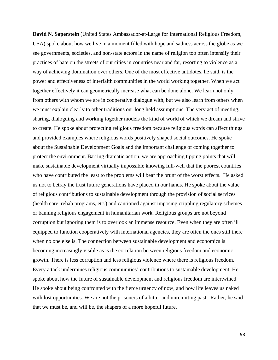**David N. Saperstein** (United States Ambassador-at-Large for International Religious Freedom, USA) spoke about how we live in a moment filled with hope and sadness across the globe as we see governments, societies, and non-state actors in the name of religion too often intensify their practices of hate on the streets of our cities in countries near and far, resorting to violence as a way of achieving domination over others. One of the most effective antidotes, he said, is the power and effectiveness of interfaith communities in the world working together. When we act together effectively it can geometrically increase what can be done alone. We learn not only from others with whom we are in cooperative dialogue with, but we also learn from others when we must explain clearly to other traditions our long held assumptions. The very act of meeting, sharing, dialoguing and working together models the kind of world of which we dream and strive to create. He spoke about protecting religious freedom because religious words can affect things and provided examples where religious words positively shaped social outcomes. He spoke about the Sustainable Development Goals and the important challenge of coming together to protect the environment. Barring dramatic action, we are approaching tipping points that will make sustainable development virtually impossible knowing full-well that the poorest countries who have contributed the least to the problems will bear the brunt of the worst effects. He asked us not to betray the trust future generations have placed in our hands. He spoke about the value of religious contributions to sustainable development through the provision of social services (health care, rehab programs, etc.) and cautioned against imposing crippling regulatory schemes or banning religious engagement in humanitarian work. Religious groups are not beyond corruption but ignoring them is to overlook an immense resource. Even when they are often ill equipped to function cooperatively with international agencies, they are often the ones still there when no one else is. The connection between sustainable development and economics is becoming increasingly visible as is the correlation between religious freedom and economic growth. There is less corruption and less religious violence where there is religious freedom. Every attack undermines religious communities' contributions to sustainable development. He spoke about how the future of sustainable development and religious freedom are intertwined. He spoke about being confronted with the fierce urgency of now, and how life leaves us naked with lost opportunities. We are not the prisoners of a bitter and unremitting past. Rather, he said that we must be, and will be, the shapers of a more hopeful future.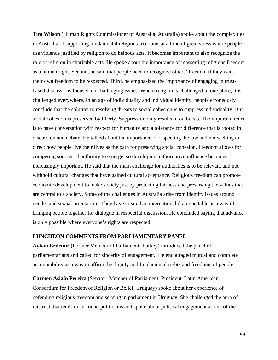**Tim Wilson** (Human Rights Commissioner of Australia, Australia) spoke about the complexities in Australia of supporting fundamental religious freedoms at a time of great stress where people use violence justified by religion to do heinous acts. It becomes important to also recognize the role of religion in charitable acts. He spoke about the importance of reasserting religious freedom as a human right. Second, he said that people need to recognize others' freedom if they want their own freedom to be respected. Third, he emphasized the importance of engaging in trustbased discussions focused on challenging issues. Where religion is challenged in one place, it is challenged everywhere. In an age of individuality and individual identity, people erroneously conclude that the solution to resolving threats to social cohesion is to suppress individuality. But social cohesion is preserved by liberty. Suppression only results in outbursts. The important tenet is to have conversation with respect for humanity and a tolerance for difference that is rooted in discussion and debate. He talked about the importance of respecting the law and not seeking to direct how people live their lives as the path for preserving social cohesion. Freedom allows for competing sources of authority to emerge, so developing authoritative influence becomes increasingly important. He said that the main challenge for authorities is to be relevant and not withhold cultural changes that have gained cultural acceptance. Religious freedom can promote economic development to make society just by protecting fairness and preserving the values that are central to a society. Some of the challenges in Australia arise from identity issues around gender and sexual orientation. They have created an international dialogue table as a way of bringing people together for dialogue in respectful discussion. He concluded saying that advance is only possible where everyone's rights are respected.

#### **LUNCHEON COMMENTS FROM PARLIAMENTARY PANEL**

**Aykan Erdemir** (Former Member of Parliament, Turkey) introduced the panel of parliamentarians and called for sincerity of engagement**.** He encouraged mutual and complete accountability as a way to affirm the dignity and fundamental rights and freedoms of people.

**Carmen Asiaín Pereira** (Senator, Member of Parliament; President, Latin American Consortium for Freedom of Religion or Belief, Uruguay) spoke about her experience of defending religious freedom and serving in parliament in Uruguay. She challenged the aura of mistrust that tends to surround politicians and spoke about political engagement as one of the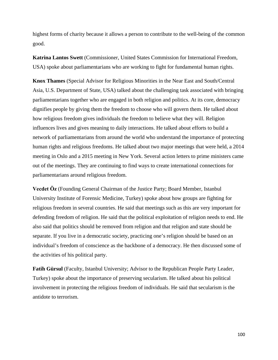highest forms of charity because it allows a person to contribute to the well-being of the common good.

**Katrina Lantos Swett** (Commissioner, United States Commission for International Freedom, USA) spoke about parliamentarians who are working to fight for fundamental human rights.

**Knox Thames** (Special Advisor for Religious Minorities in the Near East and South/Central Asia, U.S. Department of State, USA) talked about the challenging task associated with bringing parliamentarians together who are engaged in both religion and politics. At its core, democracy dignifies people by giving them the freedom to choose who will govern them. He talked about how religious freedom gives individuals the freedom to believe what they will. Religion influences lives and gives meaning to daily interactions. He talked about efforts to build a network of parliamentarians from around the world who understand the importance of protecting human rights and religious freedoms. He talked about two major meetings that were held, a 2014 meeting in Oslo and a 2015 meeting in New York. Several action letters to prime ministers came out of the meetings. They are continuing to find ways to create international connections for parliamentarians around religious freedom.

**Vecdet Ӧz** (Founding General Chairman of the Justice Party; Board Member, Istanbul University Institute of Forensic Medicine, Turkey) spoke about how groups are fighting for religious freedom in several countries. He said that meetings such as this are very important for defending freedom of religion. He said that the political exploitation of religion needs to end. He also said that politics should be removed from religion and that religion and state should be separate. If you live in a democratic society, practicing one's religion should be based on an individual's freedom of conscience as the backbone of a democracy. He then discussed some of the activities of his political party.

**Fatih Gürsul** (Faculty, Istanbul University; Advisor to the Republican People Party Leader, Turkey) spoke about the importance of preserving secularism. He talked about his political involvement in protecting the religious freedom of individuals. He said that secularism is the antidote to terrorism.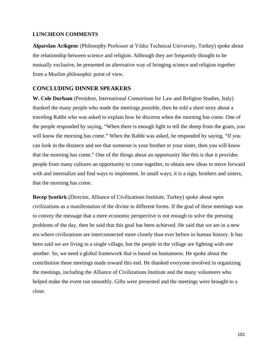#### **LUNCHEON COMMENTS**

**Alparslan Acikgenc** (Philosophy Professor at Yıldız Technical University, Turkey) spoke about the relationship between science and religion. Although they are frequently thought to be mutually exclusive, he presented an alternative way of bringing science and religion together from a Muslim philosophic point of view.

# **CONCLUDING DINNER SPEAKERS**

**W. Cole Durham** (President, International Consortium for Law and Religion Studies, Italy) thanked the many people who made the meetings possible, then he told a short story about a traveling Rabbi who was asked to explain how he discerns when the morning has come. One of the people responded by saying, "When there is enough light to tell the sheep from the goats, you will know the morning has come." When the Rabbi was asked, he responded by saying, "If you can look in the distance and see that someone is your brother or your sister, then you will know that the morning has come." One of the things about an opportunity like this is that it provides people from many cultures an opportunity to come together, to obtain new ideas to move forward with and internalize and find ways to implement. In small ways, it is a sign, brothers and sisters, that the morning has come.

**Recep Şentürk** (Director, Alliance of Civilizations Institute, Turkey) spoke about open civilizations as a manifestation of the divine in different forms. If the goal of these meetings was to convey the message that a mere economic perspective is not enough to solve the pressing problems of the day, then he said that this goal has been achieved. He said that we are in a new era where civilizations are interconnected more closely than ever before in human history. It has been said we are living in a single village, but the people in the village are fighting with one another. So, we need a global framework that is based on humanness. He spoke about the contribution these meetings made toward this end. He thanked everyone involved in organizing the meetings, including the Alliance of Civilizations Institute and the many volunteers who helped make the event run smoothly. Gifts were presented and the meetings were brought to a close.